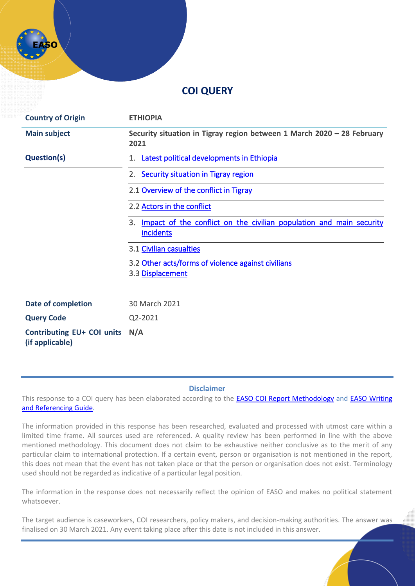# **COI QUERY**

| <b>Country of Origin</b>                      | <b>ETHIOPIA</b>                                                                        |
|-----------------------------------------------|----------------------------------------------------------------------------------------|
| <b>Main subject</b>                           | Security situation in Tigray region between 1 March 2020 - 28 February<br>2021         |
| <b>Question(s)</b>                            | Latest political developments in Ethiopia<br>1.                                        |
|                                               | <b>Security situation in Tigray region</b><br>2.                                       |
|                                               | 2.1 Overview of the conflict in Tigray                                                 |
|                                               | 2.2 Actors in the conflict                                                             |
|                                               | Impact of the conflict on the civilian population and main security<br>3.<br>incidents |
|                                               | 3.1 Civilian casualties                                                                |
|                                               | 3.2 Other acts/forms of violence against civilians<br>3.3 Displacement                 |
|                                               |                                                                                        |
| Date of completion                            | 30 March 2021                                                                          |
| <b>Query Code</b>                             | Q2-2021                                                                                |
| Contributing EU+ COI units<br>(if applicable) | N/A                                                                                    |

#### **Disclaimer**

This response to a COI query has been elaborated according to the **[EASO COI Report Methodology](https://coi.easo.europa.eu/administration/easo/PLib/2019_EASO_COI_Report_Methodology.pdf)** and **EASO Writing** [and Referencing Guide](https://coi.easo.europa.eu/administration/easo/PLib/2019_EASO_COI_Writing_and_Referencing_Guide.pdf)*.* 

The information provided in this response has been researched, evaluated and processed with utmost care within a limited time frame. All sources used are referenced. A quality review has been performed in line with the above mentioned methodology. This document does not claim to be exhaustive neither conclusive as to the merit of any particular claim to international protection. If a certain event, person or organisation is not mentioned in the report, this does not mean that the event has not taken place or that the person or organisation does not exist. Terminology used should not be regarded as indicative of a particular legal position.

The information in the response does not necessarily reflect the opinion of EASO and makes no political statement whatsoever.

The target audience is caseworkers, COI researchers, policy makers, and decision-making authorities. The answer was finalised on 30 March 2021. Any event taking place after this date is not included in this answer.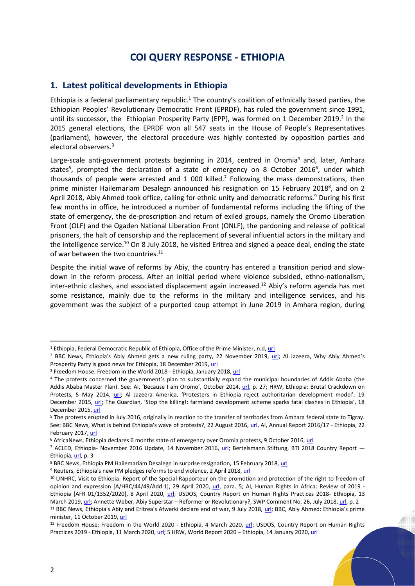## **COI QUERY RESPONSE - ETHIOPIA**

## <span id="page-1-0"></span>**1. Latest political developments in Ethiopia**

Ethiopia is a federal parliamentary republic.<sup>1</sup> The country's coalition of ethnically based parties, the Ethiopian Peoples' Revolutionary Democratic Front (EPRDF), has ruled the government since 1991, until its successor, the Ethiopian Prosperity Party (EPP), was formed on 1 December 2019.<sup>2</sup> In the 2015 general elections, the EPRDF won all 547 seats in the House of People's Representatives (parliament), however, the electoral procedure was highly contested by opposition parties and electoral observers.<sup>3</sup>

Large-scale anti-government protests beginning in 2014, centred in Oromia<sup>4</sup> and, later, Amhara states<sup>5</sup>, prompted the declaration of a state of emergency on 8 October 2016<sup>6</sup>, under which thousands of people were arrested and 1 000 killed.<sup>7</sup> Following the mass demonstrations, then prime minister Hailemariam Desalegn announced his resignation on 15 February 2018 $^{\circ}$ , and on 2 April 2018, Abiy Ahmed took office, calling for ethnic unity and democratic reforms.<sup>9</sup> During his first few months in office, he introduced a number of fundamental reforms including the lifting of the state of emergency, the de-proscription and return of exiled groups, namely the Oromo Liberation Front (OLF) and the Ogaden National Liberation Front (ONLF), the pardoning and release of political prisoners, the halt of censorship and the replacement of several influential actors in the military and the intelligence service.<sup>10</sup> On 8 July 2018, he visited Eritrea and signed a peace deal, ending the state of war between the two countries. 11

Despite the initial wave of reforms by Abiy, the country has entered a transition period and slowdown in the reform process. After an initial period where violence subsided, ethno-nationalism, inter-ethnic clashes, and associated displacement again increased.<sup>12</sup> Abiy's reform agenda has met some resistance, mainly due to the reforms in the military and intelligence services, and his government was the subject of a purported coup attempt in June 2019 in Amhara region, during

<sup>&</sup>lt;sup>1</sup> Ethiopia, Federal Democratic Republic of Ethiopia, Office of the Prime Minister, n.d[, url](https://www.pmo.gov.et/government/)

<sup>&</sup>lt;sup>2</sup> BBC News, Ethiopia's Abiy Ahmed gets a new ruling party, 22 November 2019, [url;](https://www.bbc.com/news/world-africa-50515636) Al Jazeera, Why Abiy Ahmed's Prosperity Party is good news for Ethiopia, 18 December 2019[, url](https://www.aljazeera.com/opinions/2019/12/18/why-abiy-ahmeds-prosperity-party-is-good-news-for-ethiopia)

<sup>&</sup>lt;sup>3</sup> Freedom House: Freedom in the World 2018 - Ethiopia, January 2018[, url](https://freedomhouse.org/report/freedom-world/2018/ethiopia)

<sup>4</sup> The protests concerned the government's plan to substantially expand the municipal boundaries of Addis Ababa (the Addis Ababa Master Plan). See: AI, 'Because I am Oromo', October 2014, [url,](https://www.amnesty.org/download/Documents/4000/afr250062014en.pdf) p. 27; HRW, Ethiopia: Brutal Crackdown on Protests, 5 May 2014, [url](https://www.hrw.org/news/2014/05/05/ethiopia-brutal-crackdown-protests); Al Jazeera America, 'Protesters in Ethiopia reject authoritarian development model', 19 December 2015, [url;](http://america.aljazeera.com/opinions/2015/12/protesters-in-ethiopia-reject-authoritariandevelopment-model.htm) The Guardian, 'Stop the killing!: farmland development scheme sparks fatal clashes in Ethiopia', 18 December 2015[, url](http://www.theguardian.com/global-development/2015/dec/18/ethiopia-oromia-farmland-development-fatal-clashes)

<sup>5</sup> The protests erupted in July 2016, originally in reaction to the transfer of territories from Amhara federal state to Tigray. See: BBC News, What is behind Ethiopia's wave of protests?, 22 August 2016[, url,](https://www.bbc.com/news/world-africa-36940906) AI, Annual Report 2016/17 - Ethiopia, 22 February 2017[, url](https://www.amnesty.org/download/Documents/POL1048002017ENGLISH.PDF)

<sup>&</sup>lt;sup>6</sup> AfricaNews, Ethiopia declares 6 months state of emergency over Oromia protests, 9 October 2016, [url](https://www.africanews.com/2016/10/09/ethiopia-declares-6-months-state-of-emergency-over-oromia-protests/)

<sup>&</sup>lt;sup>7</sup> ACLED, Ethiopia- November 2016 Update, 14 November 2016, [url;](https://acleddata.com/2016/11/14/ethiopia-november-2016-update/) Bertelsmann Stiftung, BTI 2018 Country Report — Ethiopia[, url,](https://www.bti-project.org/content/en/downloads/reports/country_report_2018_ETH.pdf) p. 3

<sup>&</sup>lt;sup>8</sup> BBC News, Ethiopia PM Hailemariam Desalegn in surprise resignation, 15 February 2018, [url](https://www.bbc.com/news/world-africa-43073285)

<sup>9</sup> Reuters, Ethiopia's new PM pledges reforms to end violence, 2 April 2018[, url](https://www.reuters.com/article/idUSKCN1H90N2)

<sup>&</sup>lt;sup>10</sup> UNHRC, Visit to Ethiopia: Report of the Special Rapporteur on the promotion and protection of the right to freedom of opinion and expression [A/HRC/44/49/Add.1], 29 April 2020, [url,](https://undocs.org/A/HRC/44/49/Add.1) para. 5; AI, Human Rights in Africa: Review of 2019 - Ethiopia [AFR 01/1352/2020], 8 April 2020, [url;](https://www.amnesty.org/en/countries/africa/ethiopia/report-ethiopia/) USDOS, Country Report on Human Rights Practices 2018- Ethiopia, 13 March 2019[, url;](https://www.state.gov/reports/2018-country-reports-on-human-rights-practices/ethiopia/) Annette Weber, Abiy Superstar – Reformer or Revolutionary?, SWP Comment No. 26, July 2018[, url,](https://www.swp-berlin.org/fileadmin/contents/products/comments/2018C26_web.pdf) p. 2 <sup>11</sup> BBC News, Ethiopia's Abiy and Eritrea's Afwerki declare end of war, 9 July 2018, [url;](https://www.bbc.com/news/world-africa-44764597) BBC, Abiy Ahmed: Ethiopia's prime minister, 11 October 2019[, url](https://www.bbc.com/news/world-africa-43567007)

<sup>&</sup>lt;sup>12</sup> Freedom House: Freedom in the World 2020 - Ethiopia, 4 March 2020, [url;](https://freedomhouse.org/country/ethiopia/freedom-world/2020) USDOS, Country Report on Human Rights Practices 2019 - Ethiopia, 11 March 2020[, url;](https://www.state.gov/reports/2019-country-reports-on-human-rights-practices/ethiopia/) 5 HRW, World Report 2020 - Ethiopia, 14 January 2020[, url](https://www.hrw.org/world-report/2020/country-chapters/ethiopia)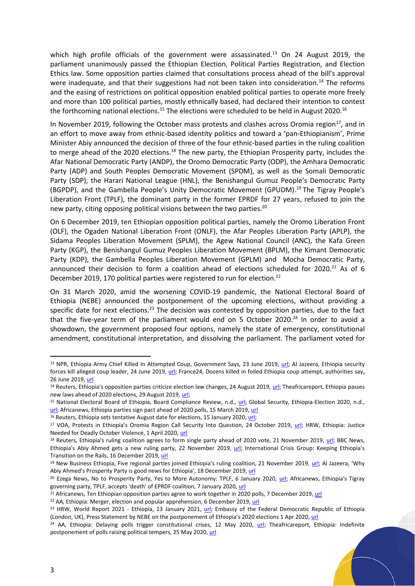which high profile officials of the government were assassinated.<sup>13</sup> On 24 August 2019, the parliament unanimously passed the Ethiopian Election, Political Parties Registration, and Election Ethics law. Some opposition parties claimed that consultations process ahead of the bill's approval were inadequate, and that their suggestions had not been taken into consideration.<sup>14</sup> The reforms and the easing of restrictions on political opposition enabled political parties to operate more freely and more than 100 political parties, mostly ethnically based, had declared their intention to contest the forthcoming national elections.<sup>15</sup> The elections were scheduled to be held in August 2020.<sup>16</sup>

In November 2019, following the October mass protests and clashes across Oromia region $^{17}$ , and in an effort to move away from ethnic-based identity politics and toward a 'pan-Ethiopianism', Prime Minister Abiy announced the decision of three of the four ethnic-based parties in the ruling coalition to merge ahead of the 2020 elections.<sup>18</sup> The new party, the Ethiopian Prosperity party, includes the Afar National Democratic Party (ANDP), the Oromo Democratic Party (ODP), the Amhara Democratic Party (ADP) and South Peoples Democratic Movement (SPDM), as well as the Somali Democratic Party (SDP), the Harari National League (HNL), the Benishangul Gumuz People's Democratic Party (BGPDP), and the Gambella People's Unity Democratic Movement (GPUDM). <sup>19</sup> The Tigray People's Liberation Front (TPLF), the dominant party in the former EPRDF for 27 years, refused to join the new party, citing opposing political visions between the two parties.<sup>20</sup>

On 6 December 2019, ten Ethiopian opposition political parties, namely the Oromo Liberation Front (OLF), the Ogaden National Liberation Front (ONLF), the Afar Peoples Liberation Party (APLP), the Sidama Peoples Liberation Movement (SPLM), the Agew National Council (ANC), the Kafa Green Party (KGP), the Benishangul Gumuz Peoples Liberation Movement (BPLM), the Kimant Democratic Party (KDP), the Gambella Peoples Liberation Movement (GPLM) and Mocha Democratic Party, announced their decision to form a coalition ahead of elections scheduled for 2020.<sup>21</sup> As of 6 December 2019, 170 political parties were registered to run for election.<sup>22</sup>

On 31 March 2020, amid the worsening COVID-19 pandemic, the National Electoral Board of Ethiopia (NEBE) announced the postponement of the upcoming elections, without providing a specific date for next elections.<sup>23</sup> The decision was contested by opposition parties, due to the fact that the five-year term of the parliament would end on 5 October 2020.<sup>24</sup> In order to avoid a showdown, the government proposed four options, namely the state of emergency, constitutional amendment, constitutional interpretation, and dissolving the parliament. The parliament voted for

<sup>&</sup>lt;sup>13</sup> NPR, Ethiopia Army Chief Killed In Attempted Coup, Government Says, 23 June 2019, [url;](https://www.npr.org/2019/06/23/735236160/ethiopia-army-chief-killed-in-attempted-coup-government-says?t=1615543163932) Al Jazeera, Ethiopia security forces kill alleged coup leader, 24 June 2019, [url;](https://www.aljazeera.com/news/2019/6/24/ethiopia-security-forces-kill-alleged-coup-leader) France24, Dozens killed in foiled Ethiopia coup attempt, authorities say**,**  26 June 2019[, url](https://www.france24.com/en/20190626-dozens-killed-foiled-ethiopia-coup-attempt-authorities-say-abiy-ahmed-amhara)

<sup>&</sup>lt;sup>14</sup> Reuters, Ethiopia's opposition parties criticize election law changes, 24 August 2019, [url;](https://www.reuters.com/article/us-ethiopia-politics-idUSKCN1VE0OV) Theafricareport, Ethiopia passes new laws ahead of 2020 elections, 29 August 2019, [url;](https://www.theafricareport.com/16693/ethiopia-passes-new-laws-ahead-of-2020-elections/)

<sup>15</sup> National Electoral Board of Ethiopia, Board Compliance Review, n.d., [url;](https://nebe.org.et/pdf/Board-Compliance-Review-National-Parties.pdf) Global Security, Ethiopia-Election 2020, n.d., [url;](https://www.globalsecurity.org/military/world/ethiopia/politics-2020.htm) Africanews, Ethiopia parties sign pact ahead of 2020 polls, 15 March 2019[, url](https://www.africanews.com/2019/03/15/ethiopia-parties-sign-pact-ahead-of-2020-polls-pm-stresses-fairness/)

<sup>&</sup>lt;sup>16</sup> Reuters, Ethiopia sets tentative August date for elections, 15 January 2020[, url;](https://www.reuters.com/article/us-ethiopia-election-idUSKBN1ZE0R3)

<sup>&</sup>lt;sup>17</sup> VOA, Protests in Ethiopia's Oromia Region Call Security Into Question, 24 October 2019, [url;](https://www.voanews.com/africa/protests-ethiopias-oromia-region-call-security-question) HRW, Ethiopia: Justice Needed for Deadly October Violence, 1 April 2020[, url](https://www.hrw.org/news/2020/04/01/ethiopia-justice-needed-deadly-october-violence)

<sup>&</sup>lt;sup>18</sup> Reuters, Ethiopia's ruling coalition agrees to form single party ahead of 2020 vote, 21 November 2019, [url;](https://www.reuters.com/article/us-ethiopia-politics-idUSKBN1XV24H) BBC News, Ethiopia's Abiy Ahmed gets a new ruling party, 22 November 2019, [url](../Documents/EASO%20AD5%20-%20Country%20Guιdance/Houses/Loan%20appplication%20documents/Documents/BBC%20News,%20Ethiopia); International Crisis Group: Keeping Ethiopia's Transition on the Rails, 16 December 2019, [url](https://www.crisisgroup.org/africa/horn-africa/ethiopia/283-keeping-ethiopias-transition-rails)

<sup>&</sup>lt;sup>19</sup> New Business Ethiopia, Five regional parties joined Ethiopia's ruling coalition, 21 November 2019, [url](https://newbusinessethiopia.com/politics/five-regional-parties-joined-ethiopias-ruling-coalition/); Al Jazeera, 'Why Abiy Ahmed's Prosperity Party is good news for Ethiopia', 18 December 2019, [url](https://www.aljazeera.com/opinions/2019/12/18/why-abiy-ahmeds-prosperity-party-is-good-news-for-ethiopia)

<sup>&</sup>lt;sup>20</sup> Ezega News, No to Prosperity Party, Yes to More Autonomy: TPLF, 6 January 2020, [url;](https://www.ezega.com/News/NewsDetails/7631/No-to-Prosperity-Party-Yes-to-More-Autonomy-TPLF) Africanews, Ethiopia's Tigray governing party, TPLF, accepts 'death' of EPRDF coalition, 7 January 2020[, url](https://www.africanews.com/2020/01/07/ethiopia-s-tigray-governing-party-tplf-quits-ruling-coalition/)

<sup>&</sup>lt;sup>21</sup> Africanews, Ten Ethiopian opposition parties agree to work together in 2020 polls, 7 December 2019, [url](https://www.africanews.com/2019/12/07/ten-ethiopian-oppostion-parties-agree-to-work-together-in-2020-polls/)

<sup>&</sup>lt;sup>22</sup> AA, Ethiopia: Merger, election and popular apprehension, 6 December 2019, [url](https://www.aa.com.tr/en/africa/ethiopia-merger-election-and-popular-apprehension/1665642)

<sup>&</sup>lt;sup>23</sup> HRW, World Report 2021 - Ethiopia, 13 January 2021, [url;](https://www.hrw.org/world-report/2021/country-chapters/ethiopia) Embassy of the Federal Democratic Republic of Ethiopia (London, UK), Press Statement by NEBE on the postponement of Ethiopia's 2020 elections 1 Apr 2020, [url](https://www.ethioembassy.org.uk/press-statement-by-nebe-on-the-postponement-of-ethiopia-2020-elections/)

<sup>&</sup>lt;sup>24</sup> AA, Ethiopia: Delaying polls trigger constitutional crises, 12 May 2020, [url;](https://www.aa.com.tr/en/africa/ethiopia-delaying-polls-trigger-constitutional-crises/1837553) Theafricareport, Ethiopia: Indefinite postponement of polls raising political tempers, 25 May 2020[, url](https://www.theafricareport.com/28418/ethiopia-indefinite-postponement-of-polls-raising-political-tempers/)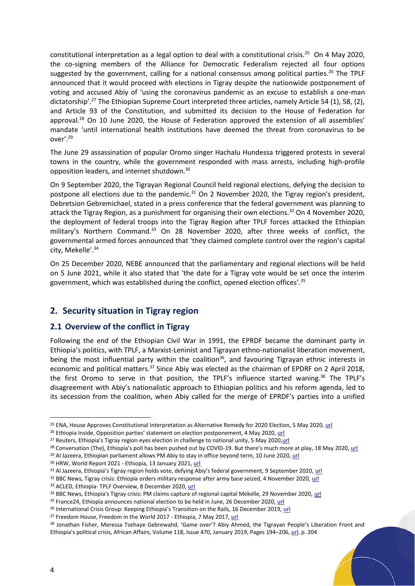constitutional interpretation as a legal option to deal with a constitutional crisis.<sup>25</sup> On 4 May 2020, the co-signing members of the Alliance for Democratic Federalism rejected all four options suggested by the government, calling for a national consensus among political parties. <sup>26</sup> The TPLF announced that it would proceed with elections in Tigray despite the nationwide postponement of voting and accused Abiy of 'using the coronavirus pandemic as an excuse to establish a one-man dictatorship'.<sup>27</sup> The Ethiopian Supreme Court interpreted three articles, namely Article 54 (1), 58, (2), and Article 93 of the Constitution, and submitted its decision to the House of Federation for approval.<sup>28</sup> On 10 June 2020, the House of Federation approved the extension of all assemblies' mandate 'until international health institutions have deemed the threat from coronavirus to be over'. 29

The June 29 assassination of popular Oromo singer Hachalu Hundessa triggered protests in several towns in the country, while the government responded with mass arrests, including high-profile opposition leaders, and internet shutdown.<sup>30</sup>

On 9 September 2020, the Tigrayan Regional Council held regional elections, defying the decision to postpone all elections due to the pandemic.<sup>31</sup> On 2 November 2020, the Tigray region's president, Debretsion Gebremichael, stated in a press conference that the federal government was planning to attack the Tigray Region, as a punishment for organising their own elections.<sup>32</sup> On 4 November 2020, the deployment of federal troops into the Tigray Region after TPLF forces attacked the Ethiopian military's Northern Command.<sup>33</sup> On 28 November 2020, after three weeks of conflict, the governmental armed forces announced that 'they claimed complete control over the region's capital city, Mekelle'. 34

On 25 December 2020, NEBE announced that the parliamentary and regional elections will be held on 5 June 2021, while it also stated that 'the date for a Tigray vote would be set once the interim government, which was established during the conflict, opened election offices'.<sup>35</sup>

## <span id="page-3-0"></span>**2. Security situation in Tigray region**

## <span id="page-3-1"></span>**2.1 Overview of the conflict in Tigray**

Following the end of the Ethiopian Civil War in 1991, the EPRDF became the dominant party in Ethiopia's politics, with TPLF, a Marxist-Leninist and Tigrayan ethno-nationalist liberation movement, being the most influential party within the coalition<sup>36</sup>, and favouring Tigrayan ethnic interests in economic and political matters.<sup>37</sup> Since Abiy was elected as the chairman of EPDRF on 2 April 2018, the first Oromo to serve in that position, the TPLF's influence started waning.<sup>38</sup> The TPLF's disagreement with Abiy's nationalistic approach to Ethiopian politics and his reform agenda, led to its secession from the coalition, when Abiy called for the merge of EPRDF's parties into a unified

<sup>&</sup>lt;sup>25</sup> ENA, House Approves Constitutional Interpretation as Alternative Remedy for 2020 Election, 5 May 2020[, url](https://www.ena.et/en/?p=14218)

<sup>&</sup>lt;sup>26</sup> Ethiopia Inside, Opposition parties' statement on election postponement, 4 May 2020, [url](https://www.ethiopia-insight.com/2020/05/04/coalition-of-democratic-federalism-statement-on-election-postponement/)

<sup>&</sup>lt;sup>27</sup> Reuters, Ethiopia's Tigray region eyes election in challenge to national unity, 5 May 2020, url

<sup>&</sup>lt;sup>28</sup> Conversation (The), Ethiopia's poll has been pushed out by COVID-19. But there's much more at play, 18 May 2020, [url](https://theconversation.com/ethiopias-poll-has-been-pushed-out-by-covid-19-but-theres-much-more-at-play-138322)

<sup>&</sup>lt;sup>29</sup> Al Jazeera, Ethiopian parliament allows PM Abiy to stay in office beyond term, 10 June 2020[, url](https://www.aljazeera.com/news/2020/6/10/ethiopian-parliament-allows-pm-abiy-to-stay-in-office-beyond-term)

<sup>30</sup> HRW, World Report 2021 - Ethiopia, 13 January 2021, [url](https://www.hrw.org/world-report/2021/country-chapters/ethiopia)

<sup>31</sup> Al Jazeera, Ethiopia's Tigray region holds vote, defying Abiy's federal government, 9 September 2020, [url](https://www.aljazeera.com/news/2020/9/9/ethiopias-tigray-region-holds-vote-defying-abiys-federal-govt)

<sup>&</sup>lt;sup>32</sup> BBC News, Tigray crisis: Ethiopia orders military response after army base seized, 4 November 2020[, url](https://www.bbc.com/news/world-africa-54805088)

<sup>33</sup> ACLED, Ethiopia- TPLF Overview, 8 December 2020, [url](https://acleddata.com/2020/12/08/ethiopia-tplf-actor-analysis/)

<sup>34</sup> BBC News, Ethiopia's Tigray crisis: PM claims capture of regional capital Mekelle, 29 November 2020, [url](https://www.bbc.com/news/world-africa-55111061)

<sup>&</sup>lt;sup>35</sup> France24, Ethiopia announces national election to be held in June, 26 December 2020, [url](https://www.france24.com/en/africa/20201226-ethiopia-announces-national-election-to-be-held-in-june)

<sup>&</sup>lt;sup>36</sup> International Crisis Group: Keeping Ethiopia's Transition on the Rails, 16 December 2019, [url](https://www.crisisgroup.org/africa/horn-africa/ethiopia/283-keeping-ethiopias-transition-rails)

<sup>&</sup>lt;sup>37</sup> Freedom House, Freedom in the World 2017 - Ethiopia, 7 May 2017, [url](https://freedomhouse.org/country/ethiopia/freedom-world/2017)

<sup>38</sup> Jonathan Fisher, Meressa Tsehaye Gebrewahd, 'Game over'? Abiy Ahmed, the Tigrayan People's Liberation Front and Ethiopia's political crisis, African Affairs, Volume 118, Issue 470, January 2019, Pages 194–206[, url,](https://academic.oup.com/afraf/article/118/470/194/5244096) p. 204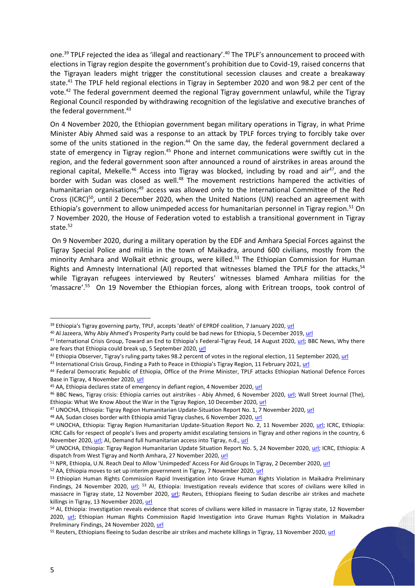one.<sup>39</sup> TPLF rejected the idea as 'illegal and reactionary'.<sup>40</sup> The TPLF's announcement to proceed with elections in Tigray region despite the government's prohibition due to Covid-19, raised concerns that the Tigrayan leaders might trigger the constitutional secession clauses and create a breakaway state.<sup>41</sup> The TPLF held regional elections in Tigray in September 2020 and won 98.2 per cent of the vote.<sup>42</sup> The federal government deemed the regional Tigray government unlawful, while the Tigray Regional Council responded by withdrawing recognition of the legislative and executive branches of the federal government.<sup>43</sup>

On 4 November 2020, the Ethiopian government began military operations in Tigray, in what Prime Minister Abiy Ahmed said was a response to an attack by TPLF forces trying to forcibly take over some of the units stationed in the region.<sup>44</sup> On the same day, the federal government declared a state of emergency in Tigray region.<sup>45</sup> Phone and internet communications were swiftly cut in the region, and the federal government soon after announced a round of airstrikes in areas around the regional capital, Mekelle.<sup>46</sup> Access into Tigray was blocked, including by road and air<sup>47</sup>, and the border with Sudan was closed as well.<sup>48</sup> The movement restrictions hampered the activities of humanitarian organisations; <sup>49</sup> access was allowed only to the International Committee of the Red Cross (ICRC)<sup>50</sup>, until 2 December 2020, when the United Nations (UN) reached an agreement with Ethiopia's government to allow unimpeded access for humanitarian personnel in Tigray region.<sup>51</sup> On 7 November 2020, the House of Federation voted to establish a transitional government in Tigray state.<sup>52</sup>

On 9 November 2020, during a military operation by the EDF and Amhara Special Forces against the Tigray Special Police and militia in the town of Maikadra, around 600 civilians, mostly from the minority Amhara and Wolkait ethnic groups, were killed. <sup>53</sup> The Ethiopian Commission for Human Rights and Amnesty International (AI) reported that witnesses blamed the TPLF for the attacks,<sup>54</sup> while Tigrayan refugees interviewed by Reuters' witnesses blamed Amhara militias for the 'massacre'.<sup>55</sup> On 19 November the Ethiopian forces, along with Eritrean troops, took control of

<sup>39</sup> Ethiopia's Tigray governing party, TPLF, accepts 'death' of EPRDF coalition, 7 January 2020[, url](https://www.africanews.com/2020/01/07/ethiopia-s-tigray-governing-party-tplf-quits-ruling-coalition/)

<sup>40</sup> Al Jazeera, Why Abiy Ahmed's Prosperity Party could be bad news for Ethiopia, 5 December 2019, [url](https://www.aljazeera.com/opinions/2019/12/5/why-abiy-ahmeds-prosperity-party-could-be-bad-news-for-ethiopia)

<sup>41</sup> International Crisis Group, Toward an End to Ethiopia's Federal-Tigray Feud, 14 August 2020, [url;](https://www.crisisgroup.org/africa/horn-africa/ethiopia/b160-toward-end-ethiopias-federal-tigray-feud) BBC News, Why there are fears that Ethiopia could break up, 5 September 2020[, url](https://www.bbc.com/news/world-africa-53807187)

<sup>&</sup>lt;sup>42</sup> Ethiopia Observer, Tigray's ruling party takes 98.2 percent of votes in the regional election, 11 September 2020[, url](https://www.ethiopiaobserver.com/2020/09/11/tigrays-ruling-party-wins-by-landslide-in-election/)

<sup>43</sup> International Crisis Group, Finding a Path to Peace in Ethiopia's Tigray Region, 11 February 2021, [url](https://www.crisisgroup.org/africa/horn-africa/ethiopia/167-finding-path-peace-ethiopias-tigray-region)

<sup>44</sup> Federal Democratic Republic of Ethiopia, Office of the Prime Minister, TPLF attacks Ethiopian National Defence Forces Base in Tigray, 4 November 2020[, url](https://www.pmo.gov.et/media/documents/November_4_Press_Release_.pdf)

<sup>45</sup> AA, Ethiopia declares state of emergency in defiant region, 4 November 2020[, url](https://www.aa.com.tr/en/africa/ethiopia-declares-state-of-emergency-in-defiant-region/2031771)

<sup>46</sup> BBC News, Tigray crisis: Ethiopia carries out airstrikes - Abiy Ahmed, 6 November 2020, [url;](https://www.bbc.com/news/world-africa-54838282) Wall Street Journal (The), Ethiopia: What We Know About the War in the Tigray Region, 10 December 2020[, url](https://www.wsj.com/articles/ethiopia-what-we-know-about-the-war-in-the-tigray-region-11605530560)

<sup>47</sup> UNOCHA, Ethiopia: Tigray Region Humanitarian Update-Situation Report No. 1, 7 November 2020, [url](https://reliefweb.int/sites/reliefweb.int/files/resources/ethiopia_situation_report_no.1_tigray_humanitarian_update_7_november_2020.pdf)

<sup>48</sup> AA, Sudan closes border with Ethiopia amid Tigray clashes, 6 November 2020, [url](https://www.aa.com.tr/en/africa/sudan-closes-border-with-ethiopia-amid-tigray-clashes/2034995)

<sup>49</sup> UNOCHA, Ethiopia: Tigray Region Humanitarian Update-Situation Report No. 2, 11 November 2020, [url;](https://reliefweb.int/sites/reliefweb.int/files/resources/Ethiopia%20-%20Tigray%20Region%20Humanitarian%20Update%20-%20Situation%20Report%20No.%202%20%2811%20November%202020%29.pdf) ICRC, Ethiopia: ICRC Calls for respect of people's lives and property amidst escalating tensions in Tigray and other regions in the country, 6 November 2020[, url;](https://www.icrc.org/en/document/ethiopia-icrc-calls-respect-peoples-lives-and-property-amidst-escalating-tensions-tigray) AI, Demand full humanitarian access into Tigray, n.d.[, url](https://www.amnesty.org/en/get-involved/take-action/demand-full-humanitarian-access-into-tigray/)

<sup>50</sup> UNOCHA, Ethiopia: Tigray Region Humanitarian Update Situation Report No. 5, 24 November 2020[, url;](https://www.humanitarianresponse.info/sites/www.humanitarianresponse.info/files/documents/files/situation_report_no._5_tigray_humanitarian_update_20201124_final.pdf) ICRC, Ethiopia: A dispatch from West Tigray and North Amhara, 27 November 2020, [url](https://www.icrc.org/en/document/ethiopia-displaced-people-fear-for-their-lives)

<sup>51</sup> NPR, Ethiopia, U.N. Reach Deal to Allow 'Unimpeded' Access For Aid Groups In Tigray, 2 December 2020[, url](https://www.npr.org/2020/12/02/941066955/ethiopia-u-n-reach-deal-to-allow-unimpeded-access-for-aid-groups-in-tigray)

<sup>52</sup> AA, Ethiopia moves to set up interim government in Tigray, 7 November 2020, [url](https://www.aa.com.tr/en/africa/ethiopia-moves-to-set-up-interim-govt-in-tigray/2035381)

<sup>53</sup> Ethiopian Human Rights Commission Rapid Investigation into Grave Human Rights Violation in Maikadra Preliminary Findings, 24 November 2020, [url;](https://docs.google.com/document/d/1vS-0N8xCDZDRAM5lzBAELTVjqfKLrzJha8xpKdqh1OE/mobilebasic) <sup>53</sup> AI, Ethiopia: Investigation reveals evidence that scores of civilians were killed in massacre in Tigray state, 12 November 2020, [url;](https://www.amnesty.org/en/latest/news/2020/11/ethiopia-investigation-reveals-evidence-that-scores-of-civilians-were-killed-in-massacre-in-tigray-state/) Reuters, Ethiopians fleeing to Sudan describe air strikes and machete killings in Tigray, 13 November 2020[, url](https://www.reuters.com/article/us-ethiopia-conflict-sudan-bombings-idUSKBN27T1OP)

<sup>&</sup>lt;sup>54</sup> AI, Ethiopia: Investigation reveals evidence that scores of civilians were killed in massacre in Tigray state, 12 November 2020, [url;](https://www.amnesty.org/en/latest/news/2020/11/ethiopia-investigation-reveals-evidence-that-scores-of-civilians-were-killed-in-massacre-in-tigray-state/) Ethiopian Human Rights Commission Rapid Investigation into Grave Human Rights Violation in Maikadra Preliminary Findings, 24 November 2020, [url](https://docs.google.com/document/d/1vS-0N8xCDZDRAM5lzBAELTVjqfKLrzJha8xpKdqh1OE/mobilebasic)

<sup>&</sup>lt;sup>55</sup> Reuters, Ethiopians fleeing to Sudan describe air strikes and machete killings in Tigray, 13 November 2020, [url](https://www.reuters.com/article/us-ethiopia-conflict-sudan-bombings-idUSKBN27T1OP)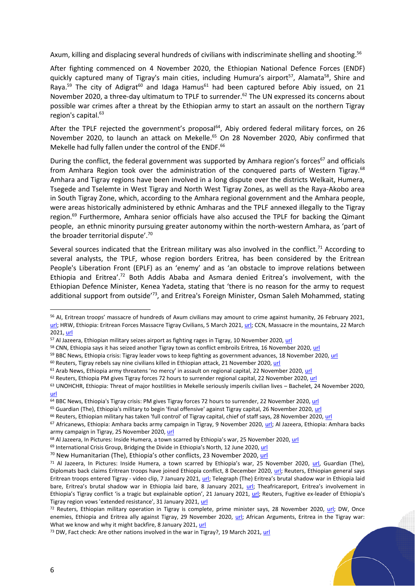Axum, killing and displacing several hundreds of civilians with indiscriminate shelling and shooting.<sup>56</sup>

After fighting commenced on 4 November 2020, the Ethiopian National Defence Forces (ENDF) quickly captured many of Tigray's main cities, including Humura's airport<sup>57</sup>, Alamata<sup>58</sup>, Shire and Raya.<sup>59</sup> The city of Adigrat<sup>60</sup> and Idaga Hamus<sup>61</sup> had been captured before Abiy issued, on 21 November 2020, a three-day ultimatum to TPLF to surrender.<sup>62</sup> The UN expressed its concerns about possible war crimes after a threat by the Ethiopian army to start an assault on the northern Tigray region's capital.<sup>63</sup>

After the TPLF rejected the government's proposal<sup>64</sup>, Abiy ordered federal military forces, on 26 November 2020, to launch an attack on Mekelle. <sup>65</sup> On 28 November 2020, Abiy confirmed that Mekelle had fully fallen under the control of the ENDF.<sup>66</sup>

During the conflict, the federal government was supported by Amhara region's forces<sup>67</sup> and officials from Amhara Region took over the administration of the conquered parts of Western Tigray.<sup>68</sup> Amhara and Tigray regions have been involved in a long dispute over the districts Welkait, Humera, Tsegede and Tselemte in West Tigray and North West Tigray Zones, as well as the Raya-Akobo area in South Tigray Zone, which, according to the Amhara regional government and the Amhara people, were areas historically administered by ethnic Amharas and the TPLF annexed illegally to the Tigray region.<sup>69</sup> Furthermore, Amhara senior officials have also accused the TPLF for backing the Qimant people, an ethnic minority pursuing greater autonomy within the north-western Amhara, as 'part of the broader territorial dispute'.<sup>70</sup>

Several sources indicated that the Eritrean military was also involved in the conflict.<sup>71</sup> According to several analysts, the TPLF, whose region borders Eritrea, has been considered by the Eritrean People's Liberation Front (EPLF) as an 'enemy' and as 'an obstacle to improve relations between Ethiopia and Eritrea'.<sup>72</sup> Both Addis Ababa and Asmara denied Eritrea's involvement, with the Ethiopian Defence Minister, Kenea Yadeta, stating that 'there is no reason for the army to request additional support from outside<sup>73</sup>, and Eritrea's Foreign Minister, Osman Saleh Mohammed, stating

<sup>59</sup> BBC News, Ethiopia crisis: Tigray leader vows to keep fighting as government advances, 18 November 2020, [url](https://www.bbc.com/news/world-africa-54984056)

<sup>66</sup> Reuters, Ethiopian military has taken 'full control' of Tigray capital, chief of staff says, 28 November 2020[, url](https://www.reuters.com/article/us-ethiopia-conflict-control-idUSKBN2880MG)

<sup>56</sup> AI, Eritrean troops' massacre of hundreds of Axum civilians may amount to crime against humanity, 26 February 2021, [url;](https://www.amnesty.org/en/latest/news/2021/02/ethiopia-eritrean-troops-massacre-of-hundreds-of-axum-civilians-may-amount-to-crime-against-humanity/) HRW, Ethiopia: Eritrean Forces Massacre Tigray Civilians, 5 March 2021, [url;](https://www.hrw.org/news/2021/03/05/ethiopia-eritrean-forces-massacre-tigray-civilians) CCN, Massacre in the mountains, 22 March 2021[, url](https://edition.cnn.com/2021/02/26/africa/ethiopia-tigray-dengelat-massacre-intl/index.html)

<sup>57</sup> Al Jazeera, Ethiopian military seizes airport as fighting rages in Tigray, 10 November 2020[, url](https://www.aljazeera.com/news/2020/11/10/ethiopias-pm-not-rebuffing-calls-for-calm-as-clashes-continue)

<sup>&</sup>lt;sup>58</sup> CNN, Ethiopia says it has seized another Tigray town as conflict embroils Eritrea, 16 November 2020[, url](https://edition.cnn.com/2020/11/16/africa/ethiopia-seized-town-tigray-embroils-eritrea-intl/index.html)

 $60$  Reuters, Tigray rebels say nine civilians killed in Ethiopian attack, 21 November 2020[, url](https://www.reuters.com/article/uk-ethiopia-conflict-casualties-idUKKBN2810FH?edition-redirect=uk)

<sup>&</sup>lt;sup>61</sup> Arab News, Ethiopia army threatens 'no mercy' in assault on regional capital, 22 November 2020, [url](https://www.arabnews.com/node/1766706/world)

<sup>62</sup> Reuters, Ethiopia PM gives Tigray forces 72 hours to surrender regional capital, 22 November 2020, [url](https://www.reuters.com/article/us-ethiopia-conflict-idUSKBN28206X)

<sup>63</sup> UNOHCHR, Ethiopia: Threat of major hostilities in Mekelle seriously imperils civilian lives – Bachelet, 24 November 2020, [url](https://www.ohchr.org/EN/NewsEvents/Pages/DisplayNews.aspx?NewsID=26534&LangID=E)

 $\frac{64}{64}$  BBC News, Ethiopia's Tigray crisis: PM gives Tigray forces 72 hours to surrender, 22 November 2020[, url](https://www.bbc.com/news/world-africa-55023029)

<sup>65</sup> Guardian (The), Ethiopia's military to begin 'final offensive' against Tigray capital, 26 November 2020[, url](https://www.theguardian.com/world/2020/nov/26/ethiopias-military-to-begin-final-offensive-against-tigray-capital)

<sup>67</sup> Africanews, Ethiopia: Amhara backs army campaign in Tigray, 9 November 2020, [url;](https://www.africanews.com/2020/11/09/ethiopia-amhara-backs-army-campaign-in-tigray/) Al Jazeera, Ethiopia: Amhara backs army campaign in Tigray, 25 November 2020, [url](https://www.aljazeera.com/opinions/2020/11/25/how-abiy-ahmeds-ethiopia-first-nationalism-led-to-civil-war)

<sup>&</sup>lt;sup>68</sup> Al Jazeera, In Pictures: Inside Humera, a town scarred by Ethiopia's war, 25 November 2020, [url](https://www.aljazeera.com/gallery/2020/11/23/in-pictures-inside-a-tigray-town-scarred-by-ethiopian-conflict/)

<sup>69</sup> International Crisis Group, Bridging the Divide in Ethiopia's North, 12 June 2020[, url](https://www.crisisgroup.org/africa/horn-africa/ethiopia/b156-bridging-divide-ethiopias-north)

<sup>&</sup>lt;sup>70</sup> New Humanitarian (The), Ethiopia's other conflicts, 23 November 2020[, url](https://www.thenewhumanitarian.org/news-feature/2020/11/23/ethiopia-tigray-fuel-conflict-hotspots-ethnic-politics)

 $71$  Al Jazeera, In Pictures: Inside Humera, a town scarred by Ethiopia's war, 25 November 2020, [url,](https://www.aljazeera.com/gallery/2020/11/23/in-pictures-inside-a-tigray-town-scarred-by-ethiopian-conflict/) Guardian (The), Diplomats back claims Eritrean troops have joined Ethiopia conflict, 8 December 2020, [url;](https://www.theguardian.com/world/2020/dec/08/diplomats-back-claims-eritrean-troops-have-joined-ethiopia-conflict) Reuters, Ethiopian general says Eritrean troops entered Tigray - video clip, 7 January 2021, [url](https://www.reuters.com/article/uk-ethiopia-conflict-idUKKBN29C2L4); Telegraph (The) Eritrea's brutal shadow war in Ethiopia laid bare, Eritrea's brutal shadow war in Ethiopia laid bare, 8 January 2021, [url](https://www.telegraph.co.uk/global-health/climate-and-people/eritreas-shadow-war-ethiopia-laid-bare-amid-accusations-eritrean/); Theafricareport, Eritrea's involvement in Ethiopia's Tigray conflict 'is a tragic but explainable option', 21 January 2021, [url;](https://www.theafricareport.com/60435/eritreas-involvement-in-ethiopias-tigray-conflict-is-a-tragic-but-explainable-option/) Reuters, Fugitive ex-leader of Ethiopia's Tigray region vows 'extended resistance', 31 January 2021[, url](https://www.reuters.com/article/uk-ethiopia-conflict-idUSKBN2A00BM)

<sup>72</sup> Reuters, Ethiopian military operation in Tigray is complete, prime minister says, 28 November 2020, [url;](https://www.reuters.com/article/us-ethiopia-conflict-idUSKBN28809E) DW, Once enemies, Ethiopia and Eritrea ally against Tigray, 29 November 2020, [url;](https://www.dw.com/en/once-enemies-ethiopia-and-eritrea-ally-against-tigray/a-55763490) African Arguments, Eritrea in the Tigray war: What we know and why it might backfire, 8 January 2021[, url](https://africanarguments.org/2021/01/eritrea-in-the-tigray-war-what-we-know-and-why-it-might-backfire/)

<sup>&</sup>lt;sup>73</sup> DW, Fact check: Are other nations involved in the war in Tigray?, 19 March 2021[, url](https://www.dw.com/en/fact-check-are-other-nations-involved-in-the-war-in-tigray/a-56891431)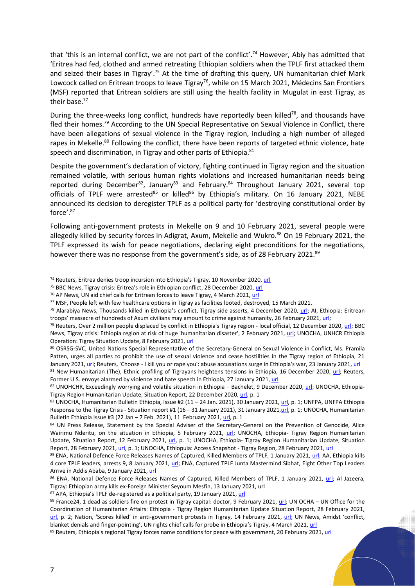that 'this is an internal conflict, we are not part of the conflict'.<sup>74</sup> However, Abiy has admitted that 'Eritrea had fed, clothed and armed retreating Ethiopian soldiers when the TPLF first attacked them and seized their bases in Tigray'.<sup>75</sup> At the time of drafting this query, UN humanitarian chief Mark Lowcock called on Eritrean troops to leave Tigray<sup>76</sup>, while on 15 March 2021, Médecins San Frontiers (MSF) reported that Eritrean soldiers are still using the health facility in Mugulat in east Tigray, as their base.<sup>77</sup>

During the three-weeks long conflict, hundreds have reportedly been killed<sup>78</sup>, and thousands have fled their homes.<sup>79</sup> According to the UN Special Representative on Sexual Violence in Conflict, there have been allegations of sexual violence in the Tigray region, including a high number of alleged rapes in Mekelle.<sup>80</sup> Following the conflict, there have been reports of targeted ethnic violence, hate speech and discrimination, in Tigray and other parts of Ethiopia.<sup>81</sup>

Despite the government's declaration of victory, fighting continued in Tigray region and the situation remained volatile, with serious human rights violations and increased humanitarian needs being reported during December<sup>82</sup>, January<sup>83</sup> and February.<sup>84</sup> Throughout January 2021, several top officials of TPLF were arrested<sup>85</sup> or killed<sup>86</sup> by Ethiopia's military. On 16 January 2021, NEBE announced its decision to deregister TPLF as a political party for 'destroying constitutional order by force'. 87

Following anti-government protests in Mekelle on 9 and 10 February 2021, several people were allegedly killed by security forces in Adigrat, Axum, Mekelle and Wukro.<sup>88</sup> On 19 February 2021, the TPLF expressed its wish for peace negotiations, declaring eight preconditions for the negotiations, however there was no response from the government's side, as of 28 February 2021. 89

<sup>74</sup> Reuters, Eritrea denies troop incursion into Ethiopia's Tigray, 10 November 2020[, url](https://www.reuters.com/article/us-ethiopia-conflict-minister-idUSKBN27Q1KU)

<sup>75</sup> BBC News, Tigray crisis: Eritrea's role in Ethiopian conflict, 28 December 2020, [url](https://www.bbc.com/news/world-africa-55295650)

<sup>&</sup>lt;sup>76</sup> AP News, UN aid chief calls for Eritrean forces to leave Tigray, 4 March 2021, [url](https://apnews.com/article/world-news-coronavirus-pandemic-antonio-guterres-ethiopia-united-nations-3333eb9ad117eee9b4c4804a195fed84)

<sup>77</sup> MSF, People left with few healthcare options in Tigray as facilities looted, destroyed, 15 March 2021,

<sup>78</sup> Alarabiya News, Thousands killed in Ethiopia's conflict, Tigray side asserts, 4 December 2020, [url;](https://english.alarabiya.net/News/africa/2020/12/04/Thousands-killed-in-Ethiopia-s-conflict-Tigray-side-asserts) AI, Ethiopia: Eritrean troops' massacre of hundreds of Axum civilians may amount to crime against humanity, 26 February 2021, [url;](https://www.wsj.com/articles/ethiopia-what-we-know-about-the-war-in-the-tigray-region-11605530560)

<sup>&</sup>lt;sup>79</sup> Reuters, Over 2 million people displaced by conflict in Ethiopia's Tigray region - local official, 12 December 2020[, url;](https://www.reuters.com/article/uk-ethiopia-conflict-idUKKBN28M0DT) BBC News, Tigray crisis: Ethiopia region at risk of huge 'humanitarian disaster', 2 February 2021[, url;](https://www.bbc.com/news/world-africa-55905108) UNOCHA, UNHCR Ethiopia Operation: Tigray Situation Update, 8 February 2021, [url](https://reliefweb.int/report/ethiopia/unhcr-ethiopia-operation-tigray-situation-update-8-february-2021)

<sup>80</sup> OSRSG-SVC, United Nations Special Representative of the Secretary-General on Sexual Violence in Conflict, Ms. Pramila Patten, urges all parties to prohibit the use of sexual violence and cease hostilities in the Tigray region of Ethiopia, 21 January 2021[, url;](https://www.un.org/sexualviolenceinconflict/press-release/united-nations-special-representative-of-the-secretary-general-on-sexual-violence-in-conflict-ms-pramila-patten-urges-all-parties-to-prohibit-the-use-of-sexual-violence-and-cease-hostilities-in-the/) Reuters, 'Choose - I kill you or rape you': abuse accusations surge in Ethiopia's war, 23 January 2021[, url](https://www.reuters.com/article/uk-ethiopia-conflict-rape-idUSKBN29S0BG)

<sup>81</sup> New Humanitarian (The), Ethnic profiling of Tigrayans heightens tensions in Ethiopia, 16 December 2020, [url;](https://www.thenewhumanitarian.org/news-feature/2020/12/16/Ethnic-profiling-Tigray-tensions-Ethiopia) Reuters, Former U.S. envoys alarmed by violence and hate speech in Ethiopia, 27 January 2021[, url](https://www.reuters.com/article/us-ethiopia-conflict-idUSKBN29W1V4)

<sup>82</sup> UNOHCHR, Exceedingly worrying and volatile situation in Ethiopia – Bachelet, 9 December 2020, [url;](https://www.ohchr.org/EN/NewsEvents/Pages/DisplayNews.aspx?NewsID=26583&LangID=E) UNOCHA, Ethiopia-Tigray Region Humanitarian Update, Situation Report, 22 December 2020[, url,](https://reliefweb.int/report/ethiopia/ethiopia-tigray-region-humanitarian-update-situation-report-22-december-2020) p. 1

<sup>83</sup> UNOCHA, Humanitarian Bulletin Ethiopia, Issue #2 (11 – 24 Jan. 2021), 30 January 2021[, url,](https://reliefweb.int/report/ethiopia/ethiopia-humanitarian-bulletin-issue-2-11-24-jan-2021) p. 1; UNFPA, UNFPA Ethiopia Response to the Tigray Crisis - Situation report #1 (16-31 January 2021), 31 January 202[1,url,](https://reliefweb.int/sites/reliefweb.int/files/resources/ethp_-_situation_report_1.pdf) p. 1; UNOCHA, Humanitarian Bulletin Ethiopia Issue #3 (22 Jan - 7 Feb. 2021), 11 February 2021[, url,](https://reliefweb.int/report/ethiopia/ethiopia-humanitarian-bulletin-issue-3-22-jan-7-feb-2021) p. 1

<sup>84</sup> UN Press Release, Statement by the Special Adviser of the Secretary-General on the Prevention of Genocide, Alice Wairimu Nderitu, on the situation in Ethiopia, 5 February 2021, [url;](https://www.un.org/en/genocideprevention/documents/Statement%20on%20Ethiopia%205%20Feb%2021.pdf) UNOCHA, Ethiopia- Tigray Region Humanitarian Update, Situation Report, 12 February 2021, [url,](https://reliefweb.int/sites/reliefweb.int/files/resources/Situation%20Report%20-%20Ethiopia%20-%20Tigray%20Region%20Humanitarian%20Update%20-%2012%20Feb%202021.pdf) p. 1; UNOCHA, Ethiopia- Tigray Region Humanitarian Update, Situation Report, 28 February 2021[, url,](https://reliefweb.int/sites/reliefweb.int/files/resources/Situation%20Report%20-%20Ethiopia%20-%20Tigray%20Region%20Humanitarian%20Update%20-%2028%20Feb%202021.pdf) p. 1; UNOCHA, Ethiopuia: Access Snapshot - Tigray Region, 28 February 2021[, url](https://reliefweb.int/sites/reliefweb.int/files/resources/ocha_access_210302_snapshot_tigray_february_2021.pdf)

<sup>85</sup> ENA, National Defence Force Releases Names of Captured, Killed Members of TPLF, 1 January 2021, [url;](https://www.ena.et/en/?p=20217) AA, Ethiopia kills 4 core TPLF leaders, arrests 9, 8 January 2021, [url;](https://www.aa.com.tr/en/africa/ethiopia-kills-4-core-tplf-leaders-arrests-9/2102625) ENA, Captured TPLF Junta Mastermind Sibhat, Eight Other Top Leaders Arrive in Addis Ababa, 9 January 2021[, url](https://www.ena.et/en/?p=20366)

<sup>86</sup> ENA, National Defence Force Releases Names of Captured, Killed Members of TPLF, 1 January 2021, [url;](https://www.ena.et/en/?p=20217) Al Jazeera, Tigray: Ethiopian army kills ex-Foreign Minister Seyoum Mesfin, 13 January 2021, url

<sup>87</sup> APA, Ethiopia's TPLF de-registered as a political party, 19 January 2021[, url](http://apanews.net/en/news/ethiopias-tplf-de-registered-as-a-political-party)

<sup>88</sup> France24, 1 dead as soldiers fire on protest in Tigray capital: doctor, 9 February 2021, [url;](https://www.france24.com/en/live-news/20210209-1-dead-as-soldiers-fire-on-protest-in-tigray-capital-doctor) UN OCHA – UN Office for the Coordination of Humanitarian Affairs: Ethiopia - Tigray Region Humanitarian Update Situation Report, 28 February 2021, [url](https://reliefweb.int/sites/reliefweb.int/files/resources/Situation%20Report%20-%20Ethiopia%20-%20Tigray%20Region%20Humanitarian%20Update%20-%2028%20Feb%202021.pdf), p. 2; Nation, 'Scores killed' in anti-government protests in Tigray, 14 February 2021, [url](https://nation.africa/kenya/news/africa/scores-killed-in-ongoing-tigray-protests-3290768); UN News, Amidst 'conflict, blanket denials and finger-pointing', UN rights chief calls for probe in Ethiopia's Tigray, 4 March 2021, [url](https://news.un.org/en/story/2021/03/1086472)

<sup>89</sup> Reuters, Ethiopia's regional Tigray forces name conditions for peace with government, 20 February 2021, [url](https://www.reuters.com/article/uk-ethiopia-conflict/ethiopias-regional-tigray-forces-name-conditions-for-peace-with-government-idINKBN2AJ29R)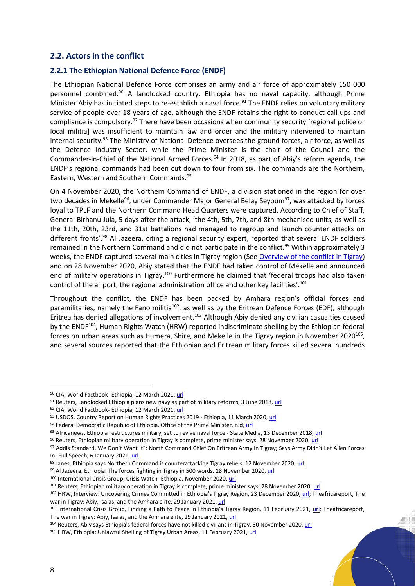### <span id="page-7-0"></span>**2.2. Actors in the conflict**

#### **2.2.1 The Ethiopian National Defence Force (ENDF)**

The Ethiopian National Defence Force comprises an army and air force of approximately 150 000 personnel combined. <sup>90</sup> A landlocked country, Ethiopia has no naval capacity, although Prime Minister Abiy has initiated steps to re-establish a naval force.<sup>91</sup> The ENDF relies on voluntary military service of people over 18 years of age, although the ENDF retains the right to conduct call-ups and compliance is compulsory.<sup>92</sup> There have been occasions when community security [regional police or local militia] was insufficient to maintain law and order and the military intervened to maintain internal security.<sup>93</sup> The Ministry of National Defence oversees the ground forces, air force, as well as the Defence Industry Sector, while the Prime Minister is the chair of the Council and the Commander-in-Chief of the National Armed Forces.<sup>94</sup> In 2018, as part of Abiy's reform agenda, the ENDF's regional commands had been cut down to four from six. The commands are the Northern, Eastern, Western and Southern Commands.<sup>95</sup>

On 4 November 2020, the Northern Command of ENDF, a division stationed in the region for over two decades in Mekelle<sup>96</sup>, under Commander Major General Belay Seyoum<sup>97</sup>, was attacked by forces loyal to TPLF and the Northern Command Head Quarters were captured. According to Chief of Staff, General Birhanu Jula, 5 days after the attack, 'the 4th, 5th, 7th, and 8th mechanised units, as well as the 11th, 20th, 23rd, and 31st battalions had managed to regroup and launch counter attacks on different fronts'.<sup>98</sup> Al Jazeera, citing a regional security expert, reported that several ENDF soldiers remained in the Northern Command and did not participate in the conflict.<sup>99</sup> Within approximately 3 weeks, the ENDF captured several main cities in Tigray region (See [Overview of the conflict in Tigray\)](#page-3-1) and on 28 November 2020, Abiy stated that the ENDF had taken control of Mekelle and announced end of military operations in Tigray.<sup>100</sup> Furthermore he claimed that 'federal troops had also taken control of the airport, the regional administration office and other key facilities'.<sup>101</sup>

Throughout the conflict, the ENDF has been backed by Amhara region's official forces and paramilitaries, namely the Fano militia<sup>102</sup>, as well as by the Eritrean Defence Forces (EDF), although Eritrea has denied allegations of involvement.<sup>103</sup> Although Abiy denied any civilian casualties caused by the ENDF<sup>104</sup>, Human Rights Watch (HRW) reported indiscriminate shelling by the Ethiopian federal forces on urban areas such as Humera, Shire, and Mekelle in the Tigray region in November 2020 $^{105}$ , and several sources reported that the Ethiopian and Eritrean military forces killed several hundreds

<sup>90</sup> CIA, World Factbook- Ethiopia, 12 March 2021[, url](https://www.cia.gov/the-world-factbook/countries/ethiopia/)

<sup>91</sup> Reuters, Landlocked Ethiopia plans new navy as part of military reforms, 3 June 2018, [url](https://www.reuters.com/article/us-ethiopia-military-idUSKCN1IZ0ML)

<sup>92</sup> CIA, World Factbook- Ethiopia, 12 March 2021[, url](https://www.cia.gov/the-world-factbook/countries/ethiopia/)

<sup>93</sup> USDOS, Country Report on Human Rights Practices 2019 - Ethiopia, 11 March 2020[, url](https://www.state.gov/reports/2019-country-reports-on-human-rights-practices/ethiopia/)

<sup>94</sup> Federal Democratic Republic of Ethiopia, Office of the Prime Minister, n.d, [url](https://www.pmo.gov.et/structure/)

<sup>95</sup> Africanews, Ethiopia restructures military, set to revive naval force - State Media, 13 December 2018[, url](https://www.africanews.com/2018/12/13/ethiopia-restructures-military-set-to-revive-naval-force-state-media/)

<sup>96</sup> Reuters, Ethiopian military operation in Tigray is complete, prime minister says, 28 November 2020, [url](https://www.reuters.com/article/us-ethiopia-conflict-idUSKBN28809E)

<sup>97</sup> Addis Standard, We Don't Want It": North Command Chief On Eritrean Army In Tigray; Says Army Didn't Let Alien Forces In- Full Speech, 6 January 2021, [url](https://addisstandard.com/news-analysis-we-dont-want-it-north-command-chief-on-eritrean-army-in-tigray-says-army-didnt-let-alien-forces-in-full-speech/)

<sup>98</sup> Janes, Ethiopia says Northern Command is counterattacking Tigray rebels, 12 November 2020[, url](https://www.janes.com/defence-news/news-detail/ethiopia-says-northern-command-is-counterattacking-tigray-rebels)

<sup>99</sup> Al Jazeera, Ethiopia: The forces fighting in Tigray in 500 words, 18 November 2020, [url](https://www.aljazeera.com/news/2020/11/18/ethiopia-who-are-forces-fighting-in-tigray)

<sup>100</sup> International Crisis Group, Crisis Watch- Ethiopia, November 2020[, url](https://www.crisisgroup.org/crisiswatch/database?location%5B%5D=121&date_range=last_12_months&from_month=01&from_year=2021&to_month=01&to_year=2021)

<sup>&</sup>lt;sup>101</sup> Reuters, Ethiopian military operation in Tigray is complete, prime minister says, 28 November 2020, [url](https://www.reuters.com/article/us-ethiopia-conflict-idUSKBN28809E)

<sup>102</sup> HRW, Interview: Uncovering Crimes Committed in Ethiopia's Tigray Region, 23 December 2020, [url;](https://www.hrw.org/news/2020/12/23/interview-uncovering-crimes-committed-ethiopias-tigray-region) Theafricareport, The war in Tigray: Abiy, Isaias, and the Amhara elite, 29 January 2021[, url](https://www.theafricareport.com/62232/the-war-in-tigray-abiy-isaias-and-the-amhara-elite/)

<sup>103</sup> International Crisis Group, Finding a Path to Peace in Ethiopia's Tigray Region, 11 February 2021, [url;](https://www.crisisgroup.org/africa/horn-africa/ethiopia/167-finding-path-peace-ethiopias-tigray-region) Theafricareport, The war in Tigray: Abiy, Isaias, and the Amhara elite, 29 January 2021, [url](https://www.theafricareport.com/62232/the-war-in-tigray-abiy-isaias-and-the-amhara-elite/)

<sup>104</sup> Reuters, Abiy says Ethiopia's federal forces have not killed civilians in Tigray, 30 November 2020, [url](https://www.reuters.com/article/us-ethiopia-conflict-abiy-idUSKBN28A0ZG)

<sup>105</sup> HRW, Ethiopia: Unlawful Shelling of Tigray Urban Areas, 11 February 2021[, url](https://www.hrw.org/news/2021/02/11/ethiopia-unlawful-shelling-tigray-urban-areas)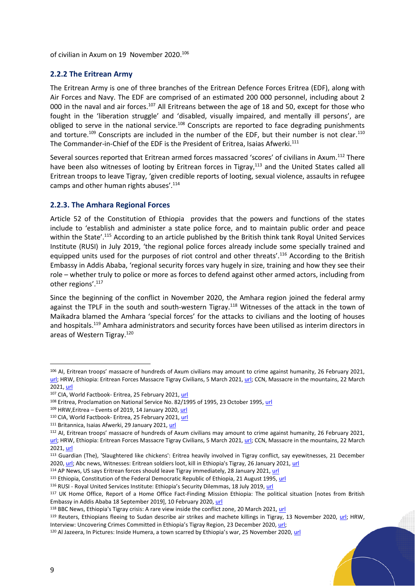of civilian in Axum on 19 November 2020. 106

#### **2.2.2 The Eritrean Army**

The Eritrean Army is one of three branches of the Eritrean Defence Forces Eritrea (EDF), along with Air Forces and Navy. The EDF are comprised of an estimated 200 000 personnel, including about 2 000 in the naval and air forces.<sup>107</sup> All Eritreans between the age of 18 and 50, except for those who fought in the 'liberation struggle' and 'disabled, visually impaired, and mentally ill persons', are obliged to serve in the national service.<sup>108</sup> Conscripts are reported to face degrading punishments and torture.<sup>109</sup> Conscripts are included in the number of the EDF, but their number is not clear.<sup>110</sup> The Commander-in-Chief of the EDF is the President of Eritrea, Isaias Afwerki.<sup>111</sup>

Several sources reported that Eritrean armed forces massacred 'scores' of civilians in Axum.<sup>112</sup> There have been also witnesses of looting by Eritrean forces in Tigray,<sup>113</sup> and the United States called all Eritrean troops to leave Tigray, 'given credible reports of looting, sexual violence, assaults in refugee camps and other human rights abuses'.<sup>114</sup>

#### **2.2.3. The Amhara Regional Forces**

Article 52 of the Constitution of Ethiopia provides that the powers and functions of the states include to 'establish and administer a state police force, and to maintain public order and peace within the State'.<sup>115</sup> According to an article published by the British think tank Royal United Services Institute (RUSI) in July 2019, 'the regional police forces already include some specially trained and equipped units used for the purposes of riot control and other threats'.<sup>116</sup> According to the British Embassy in Addis Ababa, 'regional security forces vary hugely in size, training and how they see their role – whether truly to police or more as forces to defend against other armed actors, including from other regions'.<sup>117</sup>

Since the beginning of the conflict in November 2020, the Amhara region joined the federal army against the TPLF in the south and south-western Tigray.<sup>118</sup> Witnesses of the attack in the town of Maikadra blamed the Amhara 'special forces' for the attacks to civilians and the looting of houses and hospitals.<sup>119</sup> Amhara administrators and security forces have been utilised as interim directors in areas of Western Tigray.<sup>120</sup>

<sup>106</sup> AI, Eritrean troops' massacre of hundreds of Axum civilians may amount to crime against humanity, 26 February 2021, [url;](https://www.amnesty.org/en/latest/news/2021/02/ethiopia-eritrean-troops-massacre-of-hundreds-of-axum-civilians-may-amount-to-crime-against-humanity/) HRW, Ethiopia: Eritrean Forces Massacre Tigray Civilians, 5 March 2021[, url;](https://www.hrw.org/news/2021/03/05/ethiopia-eritrean-forces-massacre-tigray-civilians) CCN, Massacre in the mountains, 22 March 2021[, url](https://edition.cnn.com/2021/02/26/africa/ethiopia-tigray-dengelat-massacre-intl/index.html)

<sup>107</sup> CIA, World Factbook- Eritrea, 25 February 2021, [url](https://www.cia.gov/the-world-factbook/countries/eritrea/)

<sup>108</sup> Eritrea, Proclamation on National Service No. 82/1995 of 1995, 23 October 1995, [url](https://www.ilo.org/dyn/natlex/docs/ELECTRONIC/79562/100252/F442834614/ERI79562.pdf)

 $109$  HRW, Eritrea – Events of 2019, 14 January 2020, [url](https://www.hrw.org/world-report/2020/country-chapters/eritrea)

<sup>110</sup> CIA, World Factbook- Eritrea, 25 February 2021, [url](https://www.cia.gov/the-world-factbook/countries/eritrea/)

<sup>111</sup> Britannica, Isaias Afwerki, 29 January 2021, [url](https://www.britannica.com/biography/Isaias-Afwerki)

<sup>112</sup> AI, Eritrean troops' massacre of hundreds of Axum civilians may amount to crime against humanity, 26 February 2021, [url;](https://www.amnesty.org/en/latest/news/2021/02/ethiopia-eritrean-troops-massacre-of-hundreds-of-axum-civilians-may-amount-to-crime-against-humanity/) HRW, Ethiopia: Eritrean Forces Massacre Tigray Civilians, 5 March 2021, [url;](https://www.hrw.org/news/2021/03/05/ethiopia-eritrean-forces-massacre-tigray-civilians) CCN, Massacre in the mountains, 22 March 2021[, url](https://edition.cnn.com/2021/02/26/africa/ethiopia-tigray-dengelat-massacre-intl/index.html)

<sup>113</sup> Guardian (The), 'Slaughtered like chickens': Eritrea heavily involved in Tigray conflict, say eyewitnesses, 21 December 2020[, url;](https://www.theguardian.com/global-development/2020/dec/21/slaughtered-like-chickens-eritrea-heavily-involved-in-tigray-conflict-say-eyewitnesses) Abc news, Witnesses: Eritrean soldiers loot, kill in Ethiopia's Tigray, 26 January 2021[, url](https://abcnews.go.com/International/wireStory/witnesses-eritrean-soldiers-loot-kill-ethiopias-tigray-75464873)

<sup>114</sup> AP News, US says Eritrean forces should leave Tigray immediately, 28 January 2021, [url](https://apnews.com/article/eritrea-coronavirus-pandemic-africa-ethiopia-kenya-83b90a145d271eb39d664726bd5acbe5)

<sup>115</sup> Ethiopia, Constitution of the Federal Democratic Republic of Ethiopia, 21 August 1995[, url](https://www.ilo.org/dyn/natlex/docs/ELECTRONIC/47312/90336/F874480754/ETH47312.pdf)

<sup>116</sup> RUSI - Royal United Services Institute: Ethiopia's Security Dilemmas, 18 July 2019, [url](https://rusi.org/commentary/ethiopias-security-dilemmas)

<sup>117</sup> UK Home Office, Report of a Home Office Fact-Finding Mission Ethiopia: The political situation [notes from British Embassy in Addis Ababa 18 September 2019], 10 February 2020[, url](https://assets.publishing.service.gov.uk/government/uploads/system/uploads/attachment_data/file/864729/ETH_-_FFM_report_-_V1.0_.pdf)

<sup>&</sup>lt;sup>118</sup> BBC News, Ethiopia's Tigray crisis: A rare view inside the conflict zone, 20 March 2021, [url](https://www.bbc.com/news/world-africa-56456793)

<sup>&</sup>lt;sup>119</sup> Reuters, Ethiopians fleeing to Sudan describe air strikes and machete killings in Tigray, 13 November 2020, [url;](https://www.reuters.com/article/us-ethiopia-conflict-sudan-bombings-idUSKBN27T1OP) HRW, Interview: Uncovering Crimes Committed in Ethiopia's Tigray Region, 23 December 2020, [url;](https://www.hrw.org/news/2020/12/23/interview-uncovering-crimes-committed-ethiopias-tigray-region)

<sup>120</sup> Al Jazeera, In Pictures: Inside Humera, a town scarred by Ethiopia's war, 25 November 2020, [url](https://www.aljazeera.com/gallery/2020/11/23/in-pictures-inside-a-tigray-town-scarred-by-ethiopian-conflict/)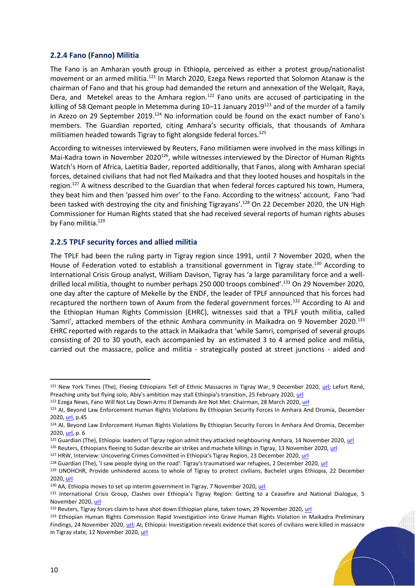#### **2.2.4 Fano (Fanno) Militia**

The Fano is an Amharan youth group in Ethiopia, perceived as either a protest group/nationalist movement or an armed militia.<sup>121</sup> In March 2020, Ezega News reported that Solomon Atanaw is the chairman of Fano and that his group had demanded the return and annexation of the Welqait, Raya, Dera, and Metekel areas to the Amhara region.<sup>122</sup> Fano units are accused of participating in the killing of 58 Qemant people in Metemma during 10–11 January 2019<sup>123</sup> and of the murder of a family in Azezo on 29 September 2019.<sup>124</sup> No information could be found on the exact number of Fano's members. The Guardian reported, citing Amhara's security officials, that thousands of Amhara militiamen headed towards Tigray to fight alongside federal forces.<sup>125</sup>

According to witnesses interviewed by Reuters, Fano militiamen were involved in the mass killings in Mai-Kadra town in November 2020<sup>126</sup>, while witnesses interviewed by the Director of Human Rights Watch's Horn of Africa, Laetitia Bader, reported additionally, that Fanos, along with Amharan special forces, detained civilians that had not fled Maikadra and that they looted houses and hospitals in the region.<sup>127</sup> A witness described to the Guardian that when federal forces captured his town, Humera, they beat him and then 'passed him over' to the Fano. According to the witness' account, Fano 'had been tasked with destroying the city and finishing Tigrayans'.<sup>128</sup> On 22 December 2020, the UN High Commissioner for Human Rights stated that she had received several reports of human rights abuses by Fano militia.<sup>129</sup>

#### **2.2.5 TPLF security forces and allied militia**

The TPLF had been the ruling party in Tigray region since 1991, until 7 November 2020, when the House of Federation voted to establish a transitional government in Tigray state.<sup>130</sup> According to International Crisis Group analyst, William Davison, Tigray has 'a large paramilitary force and a welldrilled local militia, thought to number perhaps 250 000 troops combined'.<sup>131</sup> On 29 November 2020, one day after the capture of Mekelle by the ENDF, the leader of TPLF announced that his forces had recaptured the northern town of Axum from the federal government forces.<sup>132</sup> According to AI and the Ethiopian Human Rights Commission (EHRC), witnesses said that a TPLF youth militia, called 'Samri', attacked members of the ethnic Amhara community in Maikadra on 9 November 2020.<sup>133</sup> EHRC reported with regards to the attack in Maikadra that 'while Samri, comprised of several groups consisting of 20 to 30 youth, each accompanied by an estimated 3 to 4 armed police and militia, carried out the massacre, police and militia - strategically posted at street junctions - aided and

<sup>&</sup>lt;sup>121</sup> New York Times (The), Fleeing Ethiopians Tell of Ethnic Massacres in Tigray War, 9 December 2020, [url;](https://www.nytimes.com/2020/12/09/world/africa/ethiopia-tigray-sudan.html) Lefort René, Preaching unity but flying solo, Abiy's ambition may stall Ethiopia's transition, 25 February 2020[, url](https://www.ethiopia-insight.com/2020/02/25/preaching-unity-but-flying-solo-abiys-ambition-may-stall-ethiopias-transition/)

<sup>122</sup> Ezega News, Fano Will Not Lay Down Arms If Demands Are Not Met: Chairman, 28 March 2020, [url](https://www.ezega.com/News/NewsDetails/7856/Fano-Will-Not-Lay-Down-Arms-If-Demands-Are-Not-Met-Chairman)

<sup>&</sup>lt;sup>123</sup> AI, Beyond Law Enforcement Human Rights Violations By Ethiopian Security Forces In Amhara And Oromia, December 2020[, url,](https://www.amnesty.org/download/Documents/AFR2523582020ENGLISH.PDF) p.45

<sup>124</sup> AI, Beyond Law Enforcement Human Rights Violations By Ethiopian Security Forces In Amhara And Oromia, December 2020[, url,](https://www.amnesty.org/download/Documents/AFR2523582020ENGLISH.PDF) p. 6

<sup>125</sup> Guardian (The), Ethiopia: leaders of Tigray region admit they attacked neighbouring Amhara, 14 November 2020, [url](https://www.theguardian.com/world/2020/nov/14/ethiopia-says-tigray-region-forces-fired-into-neighbouring-amhara)

<sup>126</sup> Reuters, Ethiopians fleeing to Sudan describe air strikes and machete killings in Tigray, 13 November 2020, [url](https://www.reuters.com/article/us-ethiopia-conflict-sudan-bombings-idUSKBN27T1OP)

<sup>127</sup> HRW, Interview: Uncovering Crimes Committed in Ethiopia's Tigray Region, 23 December 2020, [url](https://www.hrw.org/news/2020/12/23/interview-uncovering-crimes-committed-ethiopias-tigray-region)

<sup>128</sup> Guardian (The), 'I saw people dying on the road': Tigray's traumatised war refugees, 2 December 2020[, url](https://www.theguardian.com/global-development/2020/dec/02/tigray-war-refugees-ethiopia-sudan)

<sup>129</sup> UNOHCHR, Provide unhindered access to whole of Tigray to protect civilians, Bachelet urges Ethiopia, 22 December 2020[, url](https://www.ohchr.org/FR/NewsEvents/Pages/DisplayNews.aspx?NewsID=26623&LangID=E)

<sup>130</sup> AA, Ethiopia moves to set up interim government in Tigray, 7 November 2020, [url](https://www.aa.com.tr/en/africa/ethiopia-moves-to-set-up-interim-govt-in-tigray/2035381)

<sup>131</sup> International Crisis Group, Clashes over Ethiopia's Tigray Region: Getting to a Ceasefire and National Dialogue, 5 November 2020[, url](https://www.crisisgroup.org/africa/horn-africa/ethiopia/ethiopias-clash-tigray-getting-ceasefire-and-national-dialogue)

<sup>&</sup>lt;sup>132</sup> Reuters, Tigray forces claim to have shot down Ethiopian plane, taken town, 29 November 2020[, url](https://www.reuters.com/article/us-ethiopia-conflict/tigray-forces-claim-to-have-shot-down-ethiopian-plane-taken-town-idUSKBN28905M)

<sup>133</sup> Ethiopian Human Rights Commission Rapid Investigation into Grave Human Rights Violation in Maikadra Preliminary Findings, 24 November 2020, [url;](https://docs.google.com/document/d/1vS-0N8xCDZDRAM5lzBAELTVjqfKLrzJha8xpKdqh1OE/mobilebasic) AI, Ethiopia: Investigation reveals evidence that scores of civilians were killed in massacre in Tigray state, 12 November 2020, [url](https://www.amnesty.org/en/latest/news/2020/11/ethiopia-investigation-reveals-evidence-that-scores-of-civilians-were-killed-in-massacre-in-tigray-state/)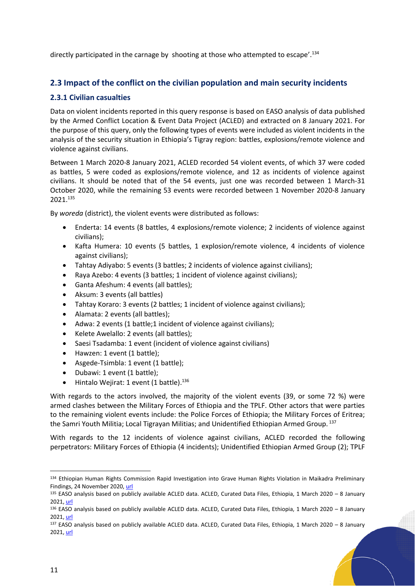directly participated in the carnage by shooting at those who attempted to escape'. 134

## <span id="page-10-0"></span>**2.3 Impact of the conflict on the civilian population and main security incidents**

#### <span id="page-10-1"></span>**2.3.1 Civilian casualties**

Data on violent incidents reported in this query response is based on EASO analysis of data published by the Armed Conflict Location & Event Data Project (ACLED) and extracted on 8 January 2021. For the purpose of this query, only the following types of events were included as violent incidents in the analysis of the security situation in Ethiopia's Tigray region: battles, explosions/remote violence and violence against civilians.

Between 1 March 2020-8 January 2021, ACLED recorded 54 violent events, of which 37 were coded as battles, 5 were coded as explosions/remote violence, and 12 as incidents of violence against civilians. It should be noted that of the 54 events, just one was recorded between 1 March-31 October 2020, while the remaining 53 events were recorded between 1 November 2020-8 January 2021.<sup>135</sup>

By *woreda* (district), the violent events were distributed as follows:

- Enderta: 14 events (8 battles, 4 explosions/remote violence; 2 incidents of violence against civilians);
- Kafta Humera: 10 events (5 battles, 1 explosion/remote violence, 4 incidents of violence against civilians);
- Tahtay Adiyabo: 5 events (3 battles; 2 incidents of violence against civilians);
- Raya Azebo: 4 events (3 battles; 1 incident of violence against civilians);
- Ganta Afeshum: 4 events (all battles);
- Aksum: 3 events (all battles)
- Tahtay Koraro: 3 events (2 battles; 1 incident of violence against civilians);
- Alamata: 2 events (all battles);
- Adwa: 2 events (1 battle;1 incident of violence against civilians);
- Kelete Awelallo: 2 events (all battles);
- Saesi Tsadamba: 1 event (incident of violence against civilians)
- Hawzen: 1 event (1 battle);
- Asgede-Tsimbla: 1 event (1 battle);
- Dubawi: 1 event (1 battle);
- $\bullet$  Hintalo Wejirat: 1 event (1 battle).<sup>136</sup>

With regards to the actors involved, the majority of the violent events (39, or some 72 %) were armed clashes between the Military Forces of Ethiopia and the TPLF. Other actors that were parties to the remaining violent events include: the Police Forces of Ethiopia; the Military Forces of Eritrea; the Samri Youth Militia; Local Tigrayan Militias; and Unidentified Ethiopian Armed Group. 137

With regards to the 12 incidents of violence against civilians, ACLED recorded the following perpetrators: Military Forces of Ethiopia (4 incidents); Unidentified Ethiopian Armed Group (2); TPLF

<sup>134</sup> Ethiopian Human Rights Commission Rapid Investigation into Grave Human Rights Violation in Maikadra Preliminary Findings, 24 November 2020, [url](https://docs.google.com/document/d/1vS-0N8xCDZDRAM5lzBAELTVjqfKLrzJha8xpKdqh1OE/mobilebasic)

<sup>135</sup> EASO analysis based on publicly available ACLED data. ACLED, Curated Data Files, Ethiopia, 1 March 2020 - 8 January 2021[, url](https://acleddata.com/data-export-tool/)

<sup>136</sup> EASO analysis based on publicly available ACLED data. ACLED, Curated Data Files, Ethiopia, 1 March 2020 – 8 January 2021[, url](https://acleddata.com/data-export-tool/)

<sup>137</sup> EASO analysis based on publicly available ACLED data. ACLED, Curated Data Files, Ethiopia, 1 March 2020 – 8 January 2021[, url](https://acleddata.com/data-export-tool/)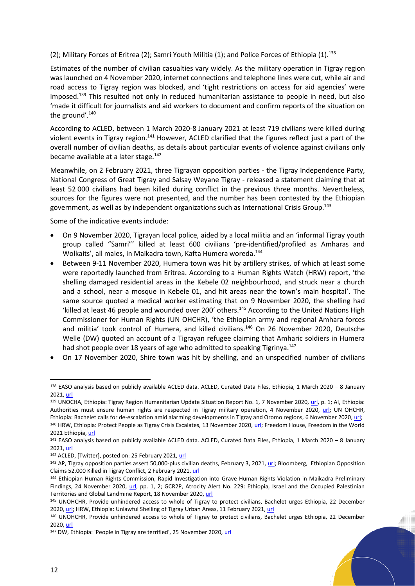(2); Military Forces of Eritrea (2); Samri Youth Militia (1); and Police Forces of Ethiopia (1). 138

Estimates of the number of civilian casualties vary widely. As the military operation in Tigray region was launched on 4 November 2020, internet connections and telephone lines were cut, while air and road access to Tigray region was blocked, and 'tight restrictions on access for aid agencies' were imposed. <sup>139</sup> This resulted not only in reduced humanitarian assistance to people in need, but also 'made it difficult for journalists and aid workers to document and confirm reports of the situation on the ground'. 140

According to ACLED, between 1 March 2020-8 January 2021 at least 719 civilians were killed during violent events in Tigray region.<sup>141</sup> However, ACLED clarified that the figures reflect just a part of the overall number of civilian deaths, as details about particular events of violence against civilians only became available at a later stage. $142$ 

Meanwhile, on 2 February 2021, three Tigrayan opposition parties - the Tigray Independence Party, National Congress of Great Tigray and Salsay Weyane Tigray - released a statement claiming that at least 52 000 civilians had been killed during conflict in the previous three months. Nevertheless, sources for the figures were not presented, and the number has been contested by the Ethiopian government, as well as by independent organizations such as International Crisis Group.<sup>143</sup>

Some of the indicative events include:

- On 9 November 2020, Tigrayan local police, aided by a local militia and an 'informal Tigray youth group called "Samri"' killed at least 600 civilians 'pre-identified/profiled as Amharas and Wolkaits', all males, in Maikadra town, Kafta Humera woreda. 144
- Between 9-11 November 2020, Humera town was hit by artillery strikes, of which at least some were reportedly launched from Eritrea. According to a Human Rights Watch (HRW) report, 'the shelling damaged residential areas in the Kebele 02 neighbourhood, and struck near a church and a school, near a mosque in Kebele 01, and hit areas near the town's main hospital'. The same source quoted a medical worker estimating that on 9 November 2020, the shelling had 'killed at least 46 people and wounded over 200' others.<sup>145</sup> According to the United Nations High Commissioner for Human Rights (UN OHCHR), 'the Ethiopian army and regional Amhara forces and militia' took control of Humera, and killed civilians.<sup>146</sup> On 26 November 2020, Deutsche Welle (DW) quoted an account of a Tigrayan refugee claiming that Amharic soldiers in Humera had shot people over 18 years of age who admitted to speaking Tigrinya.<sup>147</sup>
- On 17 November 2020, Shire town was hit by shelling, and an unspecified number of civilians

<sup>138</sup> EASO analysis based on publicly available ACLED data. ACLED, Curated Data Files, Ethiopia, 1 March 2020 – 8 January 2021[, url](https://acleddata.com/data-export-tool/)

<sup>139</sup> UNOCHA, Ethiopia: Tigray Region Humanitarian Update Situation Report No. 1, 7 November 2020, [url,](https://reliefweb.int/sites/reliefweb.int/files/resources/ethiopia_situation_report_no.1_tigray_humanitarian_update_7_november_2020.pdf) p. 1; AI, Ethiopia: Authorities must ensure human rights are respected in Tigray military operation, 4 November 2020, [url;](https://www.amnesty.org/en/latest/news/2020/11/ethiopia-authorities-must-ensure-human-rights-are-respected-in-tigray-military-operation/) UN OHCHR, Ethiopia: Bachelet calls for de-escalation amid alarming developments in Tigray and Oromo regions, 6 November 2020[, url;](https://reliefweb.int/report/ethiopia/ethiopia-bachelet-calls-de-escalation-amid-alarming-developments-tigray-and-oromo) 140 HRW, Ethiopia: Protect People as Tigray Crisis Escalates, 13 November 2020, [url;](https://www.hrw.org/news/2020/11/13/ethiopia-protect-people-tigray-crisis-escalates) Freedom House, Freedom in the World 2021 Ethiopia[, url](https://freedomhouse.org/country/ethiopia/freedom-world/2021)

<sup>141</sup> EASO analysis based on publicly available ACLED data. ACLED, Curated Data Files, Ethiopia, 1 March 2020 – 8 January 2021[, url](https://acleddata.com/data-export-tool/)

<sup>142</sup> ACLED, [Twitter], posted on: 25 February 2021, [url](https://twitter.com/acledinfo/status/1364961646993674240)

<sup>&</sup>lt;sup>143</sup> AP, Tigray opposition parties assert 50,000-plus civilian deaths, February 3, 2021, [url;](https://apnews.com/article/world-news-abiy-ahmed-ethiopia-united-nations-kenya-36b23637c04d177470443e23b4413f80) Bloomberg, Ethiopian Opposition Claims 52,000 Killed in Tigray Conflict, 2 February 2021[, url](https://www.bloomberg.com/news/articles/2021-02-02/ethiopian-opposition-claims-52-000-dead-in-northern-conflict)

<sup>144</sup> Ethiopian Human Rights Commission, Rapid Investigation into Grave Human Rights Violation in Maikadra Preliminary Findings, 24 November 2020, [url,](https://docs.google.com/document/d/1vS-0N8xCDZDRAM5lzBAELTVjqfKLrzJha8xpKdqh1OE/preview?pru=AAABdiSwl8k*zIxc9kq-spIcjeP4klHsTQ) pp. 1, 2; GCR2P, Atrocity Alert No. 229: Ethiopia, Israel and the Occupied Palestinian Territories and Global Landmine Report, 18 November 2020[, url](https://www.globalr2p.org/publications/atrocity-alert-no-229/)

<sup>145</sup> UNOHCHR, Provide unhindered access to whole of Tigray to protect civilians, Bachelet urges Ethiopia, 22 December 2020[, url;](https://reliefweb.int/report/ethiopia/provide-unhindered-access-whole-tigray-protect-civilians-bachelet-urges-ethiopia) HRW, Ethiopia: Unlawful Shelling of Tigray Urban Areas, 11 February 2021[, url](https://www.hrw.org/news/2021/02/11/ethiopia-unlawful-shelling-tigray-urban-areas)

<sup>146</sup> UNOHCHR, Provide unhindered access to whole of Tigray to protect civilians, Bachelet urges Ethiopia, 22 December 2020[, url](https://reliefweb.int/report/ethiopia/provide-unhindered-access-whole-tigray-protect-civilians-bachelet-urges-ethiopia)

<sup>&</sup>lt;sup>147</sup> DW, Ethiopia: 'People in Tigray are terrified', 25 November 2020, [url](https://www.dw.com/en/ethiopia-people-in-tigray-are-terrified/a-55720957)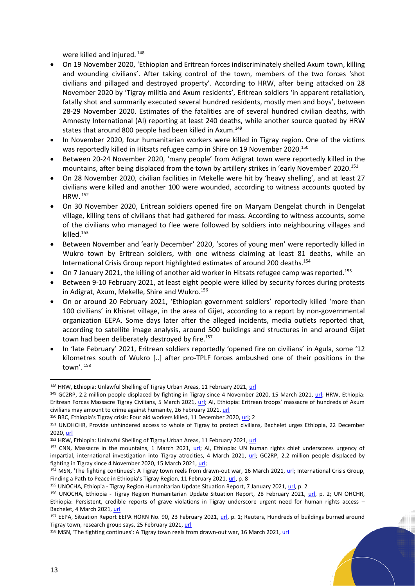were killed and injured.<sup>148</sup>

- On 19 November 2020, 'Ethiopian and Eritrean forces indiscriminately shelled Axum town, killing and wounding civilians'. After taking control of the town, members of the two forces 'shot civilians and pillaged and destroyed property'. According to HRW, after being attacked on 28 November 2020 by 'Tigray militia and Axum residents', Eritrean soldiers 'in apparent retaliation, fatally shot and summarily executed several hundred residents, mostly men and boys', between 28-29 November 2020. Estimates of the fatalities are of several hundred civilian deaths, with Amnesty International (AI) reporting at least 240 deaths, while another source quoted by HRW states that around 800 people had been killed in Axum.<sup>149</sup>
- In November 2020, four humanitarian workers were killed in Tigray region. One of the victims was reportedly killed in Hitsats refugee camp in Shire on 19 November 2020. 150
- Between 20-24 November 2020, 'many people' from Adigrat town were reportedly killed in the mountains, after being displaced from the town by artillery strikes in 'early November' 2020.<sup>151</sup>
- On 28 November 2020, civilian facilities in Mekelle were hit by 'heavy shelling', and at least 27 civilians were killed and another 100 were wounded, according to witness accounts quoted by HRW. <sup>152</sup>
- On 30 November 2020, Eritrean soldiers opened fire on Maryam Dengelat church in Dengelat village, killing tens of civilians that had gathered for mass. According to witness accounts, some of the civilians who managed to flee were followed by soldiers into neighbouring villages and killed.<sup>153</sup>
- Between November and 'early December' 2020, 'scores of young men' were reportedly killed in Wukro town by Eritrean soldiers, with one witness claiming at least 81 deaths, while an International Crisis Group report highlighted estimates of around 200 deaths.<sup>154</sup>
- On 7 January 2021, the killing of another aid worker in Hitsats refugee camp was reported.<sup>155</sup>
- Between 9-10 February 2021, at least eight people were killed by security forces during protests in Adigrat, Axum, Mekelle, Shire and Wukro.<sup>156</sup>
- On or around 20 February 2021, 'Ethiopian government soldiers' reportedly killed 'more than 100 civilians' in Khisret village, in the area of Gijet, according to a report by non-governmental organization EEPA. Some days later after the alleged incidents, media outlets reported that, according to satellite image analysis, around 500 buildings and structures in and around Gijet town had been deliberately destroyed by fire.<sup>157</sup>
- In 'late February' 2021, Eritrean soldiers reportedly 'opened fire on civilians' in Agula, some '12 kilometres south of Wukro [..] after pro-TPLF forces ambushed one of their positions in the town'. 158

<sup>148</sup> HRW, Ethiopia: Unlawful Shelling of Tigray Urban Areas, 11 February 2021[, url](https://www.hrw.org/news/2021/02/11/ethiopia-unlawful-shelling-tigray-urban-areas)

<sup>&</sup>lt;sup>149</sup> GC2RP, 2.2 million people displaced by fighting in Tigray since 4 November 2020, 15 March 2021, [url;](https://www.globalr2p.org/countries/ethiopia/) HRW, Ethiopia: Eritrean Forces Massacre Tigray Civilians, 5 March 2021, [url](https://www.hrw.org/news/2021/03/05/ethiopia-eritrean-forces-massacre-tigray-civilians); AI, Ethiopia: Eritrean troops' massacre of hundreds of Axum civilians may amount to crime against humanity, 26 February 2021[, url](https://www.amnesty.org/en/latest/news/2021/02/ethiopia-eritrean-troops-massacre-of-hundreds-of-axum-civilians-may-amount-to-crime-against-humanity/)

<sup>&</sup>lt;sup>150</sup> BBC, Ethiopia's Tigray crisis: Four aid workers killed, 11 December 2020, [url;](https://www.bbc.com/news/world-africa-55274583#:~:text=Four%20aid%20workers%20were%20killed,staff%20members%20had%20been%20killed.) 2

<sup>151</sup> UNOHCHR, Provide unhindered access to whole of Tigray to protect civilians, Bachelet urges Ethiopia, 22 December 2020[, url](https://reliefweb.int/report/ethiopia/provide-unhindered-access-whole-tigray-protect-civilians-bachelet-urges-ethiopia)

<sup>152</sup> HRW, Ethiopia: Unlawful Shelling of Tigray Urban Areas, 11 February 2021[, url](https://www.hrw.org/news/2021/02/11/ethiopia-unlawful-shelling-tigray-urban-areas)

<sup>153</sup> CNN, Massacre in the mountains, 1 March 2021, [url;](https://edition.cnn.com/2021/02/26/africa/ethiopia-tigray-dengelat-massacre-intl/index.html) AI, Ethiopia: UN human rights chief underscores urgency of impartial, international investigation into Tigray atrocities, 4 March 2021, [url;](https://www.amnesty.org/en/latest/news/2021/03/ethiopia-un-human-rights-chief-underscores-urgency-of-impartial-international-investigation-into-tigray-atrocities/) GC2RP, 2.2 million people displaced by fighting in Tigray since 4 November 2020, 15 March 2021[, url;](https://www.globalr2p.org/countries/ethiopia/)

<sup>&</sup>lt;sup>154</sup> MSN, 'The fighting continues': A Tigray town reels from drawn-out war, 16 March 2021[, url;](https://www.msn.com/en-us/news/world/the-fighting-continues-a-tigray-town-reels-from-drawn-out-war/ar-BB1eCAyx?li=BBnbcA1) International Crisis Group, Finding a Path to Peace in Ethiopia's Tigray Region, 11 February 2021, [url,](https://d2071andvip0wj.cloudfront.net/b167-ethiopia-tigray-region.pdf) p. 8

<sup>155</sup> UNOCHA, Ethiopia - Tigray Region Humanitarian Update Situation Report, 7 January 2021[, url,](https://reliefweb.int/sites/reliefweb.int/files/resources/Situation%20Report%20-%20Ethiopia%20-%20Tigray%20Region%20Humanitarian%20Update%20-%206%20Jan%202021.pdf) p. 2

<sup>156</sup> UNOCHA, Ethiopia - Tigray Region Humanitarian Update Situation Report, 28 February 2021, [url,](https://reliefweb.int/sites/reliefweb.int/files/resources/Situation%20Report%20-%20Ethiopia%20-%20Tigray%20Region%20Humanitarian%20Update%20-%2028%20Feb%202021.pdf) p. 2; UN OHCHR, Ethiopia: Persistent, credible reports of grave violations in Tigray underscore urgent need for human rights access – Bachelet, 4 March 2021, [url](https://www.ohchr.org/EN/NewsEvents/Pages/DisplayNews.aspx?NewsID=26838&LangID=E)

<sup>157</sup> EEPA, Situation Report EEPA HORN No. 90, 23 February 2021, [url,](https://www.eepa.be/wp-content/uploads/2020/11/Situation-Report-EEPA-Horn-No.-90-23-February-2021-002.pdf) p. 1; Reuters, Hundreds of buildings burned around Tigray town, research group says, 25 February 2021, [url](https://www.reuters.com/article/us-ethiopia-conflict-fires-idUSKBN2AP196)

<sup>158</sup> MSN, 'The fighting continues': A Tigray town reels from drawn-out war, 16 March 2021, [url](https://www.msn.com/en-us/news/world/the-fighting-continues-a-tigray-town-reels-from-drawn-out-war/ar-BB1eCAyx?li=BBnbcA1)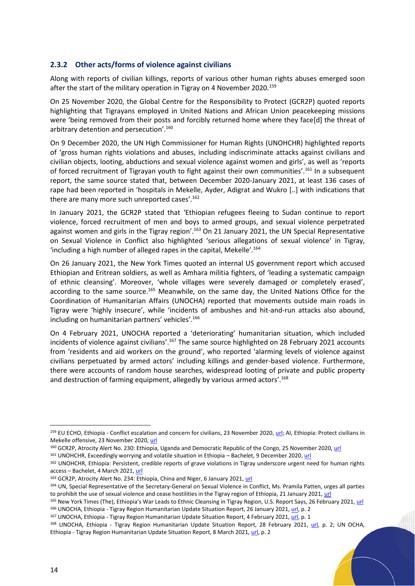#### <span id="page-13-0"></span>**2.3.2 Other acts/forms of violence against civilians**

Along with reports of civilian killings, reports of various other human rights abuses emerged soon after the start of the military operation in Tigray on 4 November 2020.<sup>159</sup>

On 25 November 2020, the Global Centre for the Responsibility to Protect (GCR2P) quoted reports highlighting that Tigrayans employed in United Nations and African Union peacekeeping missions were 'being removed from their posts and forcibly returned home where they face[d] the threat of arbitrary detention and persecution'. 160

On 9 December 2020, the UN High Commissioner for Human Rights (UNOHCHR) highlighted reports of 'gross human rights violations and abuses, including indiscriminate attacks against civilians and civilian objects, looting, abductions and sexual violence against women and girls', as well as 'reports of forced recruitment of Tigrayan youth to fight against their own communities'.<sup>161</sup> In a subsequent report, the same source stated that, between December 2020-January 2021, at least 136 cases of rape had been reported in 'hospitals in Mekelle, Ayder, Adigrat and Wukro [..] with indications that there are many more such unreported cases'. 162

In January 2021, the GCR2P stated that 'Ethiopian refugees fleeing to Sudan continue to report violence, forced recruitment of men and boys to armed groups, and sexual violence perpetrated against women and girls in the Tigray region'.<sup>163</sup> On 21 January 2021, the UN Special Representative on Sexual Violence in Conflict also highlighted 'serious allegations of sexual violence' in Tigray, 'including a high number of alleged rapes in the capital, Mekelle'. 164

On 26 January 2021, the New York Times quoted an internal US government report which accused Ethiopian and Eritrean soldiers, as well as Amhara militia fighters, of 'leading a systematic campaign of ethnic cleansing'. Moreover, 'whole villages were severely damaged or completely erased', according to the same source.<sup>165</sup> Meanwhile, on the same day, the United Nations Office for the Coordination of Humanitarian Affairs (UNOCHA) reported that movements outside main roads in Tigray were 'highly insecure', while 'incidents of ambushes and hit-and-run attacks also abound, including on humanitarian partners' vehicles'.<sup>166</sup>

On 4 February 2021, UNOCHA reported a 'deteriorating' humanitarian situation, which included incidents of violence against civilians'.<sup>167</sup> The same source highlighted on 28 February 2021 accounts from 'residents and aid workers on the ground', who reported 'alarming levels of violence against civilians perpetuated by armed actors' including killings and gender-based violence. Furthermore, there were accounts of random house searches, widespread looting of private and public property and destruction of farming equipment, allegedly by various armed actors'.<sup>168</sup>

167 UNOCHA, Ethiopia - Tigray Region Humanitarian Update Situation Report, 4 February 2021, [url,](https://reliefweb.int/sites/reliefweb.int/files/resources/Situation%20Report%20-%20Ethiopia%20-%20Tigray%20Region%20Humanitarian%20Update%20-%204%20Feb%202021.pdf) p. 1

<sup>&</sup>lt;sup>159</sup> EU ECHO, Ethiopia - Conflict escalation and concern for civilians, 23 November 2020[, url;](https://reliefweb.int/report/ethiopia/ethiopia-conflict-escalation-and-concern-civilians-dg-echo-un-media-echo-daily-flash) AI, Ethiopia: Protect civilians in Mekelle offensive, 23 November 2020[, url](https://reliefweb.int/report/ethiopia/ethiopia-protect-civilians-mekelle-offensive)

<sup>160</sup> GCR2P, Atrocity Alert No. 230: Ethiopia, Uganda and Democratic Republic of the Congo, 25 November 2020[, url](https://www.globalr2p.org/publications/atrocity-alert-no-230-ethiopia-uganda-and-democratic-republic-of-the-congo/)

<sup>161</sup> UNOHCHR, Exceedingly worrying and volatile situation in Ethiopia – Bachelet, 9 December 2020, [url](https://www.ohchr.org/EN/NewsEvents/Pages/DisplayNews.aspx?NewsID=26583&LangID=E)

<sup>162</sup> UNOHCHR, Ethiopia: Persistent, credible reports of grave violations in Tigray underscore urgent need for human rights access – Bachelet, 4 March 2021, [url](https://www.ohchr.org/EN/NewsEvents/Pages/DisplayNews.aspx?NewsID=26838&LangID=E)

<sup>163</sup> GCR2P, Atrocity Alert No. 234: Ethiopia, China and Niger, 6 January 2021, [url](https://www.globalr2p.org/publications/atrocity-alert-no-234-ethiopia-china-and-niger/)

<sup>164</sup> UN, Special Representative of the Secretary-General on Sexual Violence in Conflict, Ms. Pramila Patten, urges all parties to prohibit the use of sexual violence and cease hostilities in the Tigray region of Ethiopia, 21 January 2021[, url](https://www.un.org/sexualviolenceinconflict/press-release/united-nations-special-representative-of-the-secretary-general-on-sexual-violence-in-conflict-ms-pramila-patten-urges-all-parties-to-prohibit-the-use-of-sexual-violence-and-cease-hostilities-in-the/)

<sup>165</sup> New York Times (The), Ethiopia's War Leads to Ethnic Cleansing in Tigray Region, U.S. Report Says, 26 February 2021, [url](https://www.nytimes.com/2021/02/26/world/middleeast/ethiopia-tigray-ethnic-cleansing.html) <sup>166</sup> UNOCHA, Ethiopia - Tigray Region Humanitarian Update Situation Report, 26 January 2021, [url,](https://reliefweb.int/sites/reliefweb.int/files/resources/Situation%20Report%20-%20Ethiopia%20-%20Tigray%20Region%20Humanitarian%20Update%20-%2025%20Jan%202021.pdf) p. 2

<sup>168</sup> UNOCHA, Ethiopia - Tigray Region Humanitarian Update Situation Report, 28 February 2021, [url,](https://reliefweb.int/sites/reliefweb.int/files/resources/Situation%20Report%20-%20Ethiopia%20-%20Tigray%20Region%20Humanitarian%20Update%20-%2028%20Feb%202021.pdf) p. 2; UN OCHA, Ethiopia - Tigray Region Humanitarian Update Situation Report, 8 March 2021[, url,](https://reliefweb.int/sites/reliefweb.int/files/resources/Situation%20Report%20-%20Ethiopia%20-%20Tigray%20Region%20Humanitarian%20Update%20-%208%20Mar%202021.pdf) p. 2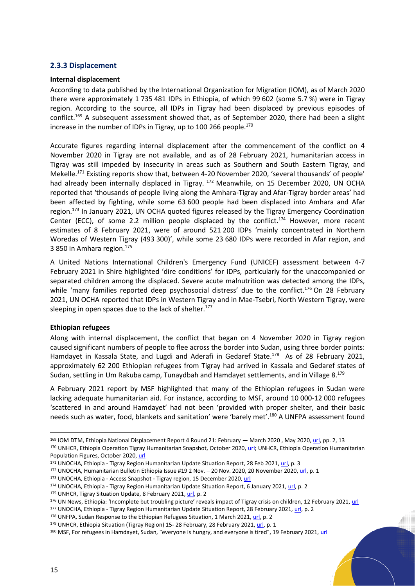#### <span id="page-14-0"></span>**2.3.3 Displacement**

#### **Internal displacement**

According to data published by the International Organization for Migration (IOM), as of March 2020 there were approximately 1 735 481 IDPs in Ethiopia, of which 99 602 (some 5.7 %) were in Tigray region. According to the source, all IDPs in Tigray had been displaced by previous episodes of conflict.<sup>169</sup> A subsequent assessment showed that, as of September 2020, there had been a slight increase in the number of IDPs in Tigray, up to 100 266 people.<sup>170</sup>

Accurate figures regarding internal displacement after the commencement of the conflict on 4 November 2020 in Tigray are not available, and as of 28 February 2021, humanitarian access in Tigray was still impeded by insecurity in areas such as Southern and South Eastern Tigray, and Mekelle.<sup>171</sup> Existing reports show that, between 4-20 November 2020, 'several thousands' of people' had already been internally displaced in Tigray. <sup>172</sup> Meanwhile, on 15 December 2020, UN OCHA reported that 'thousands of people living along the Amhara-Tigray and Afar-Tigray border areas' had been affected by fighting, while some 63 600 people had been displaced into Amhara and Afar region. <sup>173</sup> In January 2021, UN OCHA quoted figures released by the Tigray Emergency Coordination Center (ECC), of some 2.2 million people displaced by the conflict.<sup>174</sup> However, more recent estimates of 8 February 2021, were of around 521 200 IDPs 'mainly concentrated in Northern Woredas of Western Tigray (493 300)', while some 23 680 IDPs were recorded in Afar region, and 3 850 in Amhara region. 175

A United Nations International Children's Emergency Fund (UNICEF) assessment between 4-7 February 2021 in Shire highlighted 'dire conditions' for IDPs, particularly for the unaccompanied or separated children among the displaced. Severe acute malnutrition was detected among the IDPs, while 'many families reported deep psychosocial distress' due to the conflict.<sup>176</sup> On 28 February 2021, UN OCHA reported that IDPs in Western Tigray and in Mae-Tsebri, North Western Tigray, were sleeping in open spaces due to the lack of shelter.<sup>177</sup>

#### **Ethiopian refugees**

Along with internal displacement, the conflict that began on 4 November 2020 in Tigray region caused significant numbers of people to flee across the border into Sudan, using three border points: Hamdayet in Kassala State, and Lugdi and Aderafi in Gedaref State.<sup>178</sup> As of 28 February 2021, approximately 62 200 Ethiopian refugees from Tigray had arrived in Kassala and Gedaref states of Sudan, settling in Um Rakuba camp, Tunaydbah and Hamdayet settlements, and in Village 8.<sup>179</sup>

A February 2021 report by MSF highlighted that many of the Ethiopian refugees in Sudan were lacking adequate humanitarian aid. For instance, according to MSF, around 10 000-12 000 refugees 'scattered in and around Hamdayet' had not been 'provided with proper shelter, and their basic needs such as water, food, blankets and sanitation' were 'barely met'.<sup>180</sup> A UNFPA assessment found

<sup>&</sup>lt;sup>169</sup> IOM DTM, Ethiopia National Displacement Report 4 Round 21: February — March 2020, May 2020[, url,](https://reliefweb.int/sites/reliefweb.int/files/resources/DTM%20Ethiopia%20R21%20National%20Displacement%20Report%20v3.pdf) pp. 2, 13 170 UNHCR, Ethiopia Operation Tigray Humanitarian Snapshot, October 2020, [url;](https://reliefweb.int/sites/reliefweb.int/files/resources/ETHIOPIA%20-TIGRAY%20HUMANITARIAN%20SNAPSHOT%20OCT%202020.pdf) UNHCR, Ethiopia Operation Humanitarian

Population Figures, October 2020, [url](https://reliefweb.int/sites/reliefweb.int/files/resources/ETHIOPIA%20-%20HUMANITARIAN%20PROFILE%20IDPs%20AND%20RETURNEES%20OCT%202020.pdf)

<sup>171</sup> UNOCHA, Ethiopia - Tigray Region Humanitarian Update Situation Report, 28 Feb 2021, [url,](https://reliefweb.int/sites/reliefweb.int/files/resources/Situation%20Report%20-%20Ethiopia%20-%20Tigray%20Region%20Humanitarian%20Update%20-%2028%20Feb%202021.pdf) p. 3

<sup>172</sup> UNOCHA, Humanitarian Bulletin Ethiopia Issue #19 2 Nov. - 20 Nov. 2020, 20 November 2020[, url,](https://reliefweb.int/sites/reliefweb.int/files/resources/humanitarian_bulletin_2_-_20_november_2020_-_final_002.pdf) p. 1

<sup>173</sup> UNOCHA, Ethiopia - Access Snapshot - Tigray region, 15 December 2020, [url](https://reliefweb.int/report/ethiopia/ethiopia-access-snapshot-tigray-region-15-december-2020)

<sup>174</sup> UNOCHA, Ethiopia - Tigray Region Humanitarian Update Situation Report, 6 January 2021[, url,](https://reliefweb.int/sites/reliefweb.int/files/resources/Situation%20Report%20-%20Ethiopia%20-%20Tigray%20Region%20Humanitarian%20Update%20-%206%20Jan%202021.pdf) p. 2

<sup>175</sup> UNHCR, Tigray Situation Update, 8 February 2021[, url,](https://data2.unhcr.org/en/documents/download/84900) p. 2

<sup>176</sup> UN News, Ethiopia: 'Incomplete but troubling picture' reveals impact of Tigray crisis on children, 12 February 2021, [url](https://news.un.org/en/story/2021/02/1084542)

<sup>&</sup>lt;sup>177</sup> UNOCHA, Ethiopia - Tigray Region Humanitarian Update Situation Report, 28 February 2021, [url,](https://reliefweb.int/sites/reliefweb.int/files/resources/Situation%20Report%20-%20Ethiopia%20-%20Tigray%20Region%20Humanitarian%20Update%20-%2028%20Feb%202021.pdf) p. 2

<sup>178</sup> UNFPA, Sudan Response to the Ethiopian Refugees Situation, 1 March 2021, [url,](https://reliefweb.int/sites/reliefweb.int/files/resources/20210301_0.pdf) p. 2

<sup>179</sup> UNHCR, Ethiopia Situation (Tigray Region) 15- 28 February, 28 February 2021[, url,](https://reporting.unhcr.org/sites/default/files/Ethiopia%20situation%20regional%20update%2015-28%20February%202021.pdf) p. 1

<sup>&</sup>lt;sup>180</sup> MSF, For refugees in Hamdayet, Sudan, "everyone is hungry, and everyone is tired", 19 February 2021, [url](https://www.msf.org/lack-food-shelter-sudan-add-worries-refugees-fleeing-ethiopia)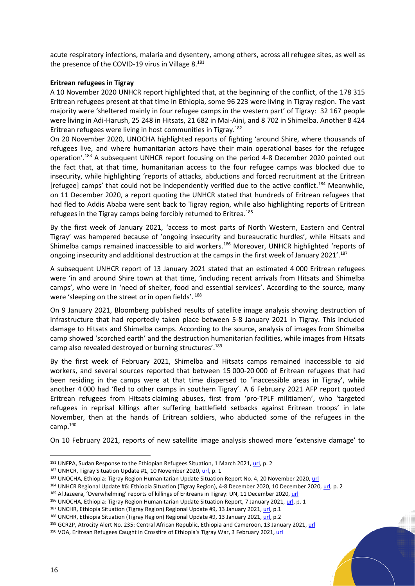acute respiratory infections, malaria and dysentery, among others, across all refugee sites, as well as the presence of the COVID-19 virus in Village 8.<sup>181</sup>

#### **Eritrean refugees in Tigray**

A 10 November 2020 UNHCR report highlighted that, at the beginning of the conflict, of the 178 315 Eritrean refugees present at that time in Ethiopia, some 96 223 were living in Tigray region. The vast majority were 'sheltered mainly in four refugee camps in the western part' of Tigray: 32 167 people were living in Adi-Harush, 25 248 in Hitsats, 21 682 in Mai-Aini, and 8 702 in Shimelba. Another 8 424 Eritrean refugees were living in host communities in Tigray.<sup>182</sup>

On 20 November 2020, UNOCHA highlighted reports of fighting 'around Shire, where thousands of refugees live, and where humanitarian actors have their main operational bases for the refugee operation'. <sup>183</sup> A subsequent UNHCR report focusing on the period 4-8 December 2020 pointed out the fact that, at that time, humanitarian access to the four refugee camps was blocked due to insecurity, while highlighting 'reports of attacks, abductions and forced recruitment at the Eritrean [refugee] camps' that could not be independently verified due to the active conflict.<sup>184</sup> Meanwhile, on 11 December 2020, a report quoting the UNHCR stated that hundreds of Eritrean refugees that had fled to Addis Ababa were sent back to Tigray region, while also highlighting reports of Eritrean refugees in the Tigray camps being forcibly returned to Eritrea.<sup>185</sup>

By the first week of January 2021, 'access to most parts of North Western, Eastern and Central Tigray' was hampered because of 'ongoing insecurity and bureaucratic hurdles', while Hitsats and Shimelba camps remained inaccessible to aid workers.<sup>186</sup> Moreover, UNHCR highlighted 'reports of ongoing insecurity and additional destruction at the camps in the first week of January 2021'.<sup>187</sup>

A subsequent UNHCR report of 13 January 2021 stated that an estimated 4 000 Eritrean refugees were 'in and around Shire town at that time, 'including recent arrivals from Hitsats and Shimelba camps', who were in 'need of shelter, food and essential services'. According to the source, many were 'sleeping on the street or in open fields'. 188

On 9 January 2021, Bloomberg published results of satellite image analysis showing destruction of infrastructure that had reportedly taken place between 5-8 January 2021 in Tigray. This included damage to Hitsats and Shimelba camps. According to the source, analysis of images from Shimelba camp showed 'scorched earth' and the destruction humanitarian facilities, while images from Hitsats camp also revealed destroyed or burning structures'.<sup>189</sup>

By the first week of February 2021, Shimelba and Hitsats camps remained inaccessible to aid workers, and several sources reported that between 15 000-20 000 of Eritrean refugees that had been residing in the camps were at that time dispersed to 'inaccessible areas in Tigray', while another 4 000 had 'fled to other camps in southern Tigray'. A 6 February 2021 AFP report quoted Eritrean refugees from Hitsats claiming abuses, first from 'pro-TPLF militiamen', who 'targeted refugees in reprisal killings after suffering battlefield setbacks against Eritrean troops' in late November, then at the hands of Eritrean soldiers, who abducted some of the refugees in the camp.<sup>190</sup>

On 10 February 2021, reports of new satellite image analysis showed more 'extensive damage' to

<sup>181</sup> UNFPA, Sudan Response to the Ethiopian Refugees Situation, 1 March 2021, [url,](https://reliefweb.int/sites/reliefweb.int/files/resources/20210301_0.pdf) p. 2

<sup>182</sup> UNHCR, Tigray Situation Update #1, 10 November 2020, [url,](https://reliefweb.int/sites/reliefweb.int/files/resources/UNHCR%20Ethiopia%20Tigray%20Update%2010%20NovemberFINAL.pdf) p. 1

<sup>183</sup> UNOCHA, Ethiopia: Tigray Region Humanitarian Update Situation Report No. 4, 20 November 2020[, url](https://reliefweb.int/sites/reliefweb.int/files/resources/situation_report_no.4_tigray_humanitarian_update_20_november_2020.pdf)

<sup>184</sup> UNHCR Regional Update #6: Ethiopia Situation (Tigray Region), 4-8 December 2020, 10 December 2020[, url,](https://reliefweb.int/sites/reliefweb.int/files/resources/Ethiopia%20%28Tigray%29%20situation%20EXTERNAL%20regional%20update%20%236.pdf) p. 2

<sup>185</sup> Al Jazeera, 'Overwhelming' reports of killings of Eritreans in Tigray: UN, 11 December 2020[, url](https://www.aljazeera.com/news/2020/12/11/disturbing-un-says-safety-of-eritrean-refugees-greatly-at-risk)

<sup>186</sup> UNOCHA, Ethiopia: Tigray Region Humanitarian Update Situation Report, 7 January 2021, [url,](https://reliefweb.int/sites/reliefweb.int/files/resources/Situation%20Report%20-%20Ethiopia%20-%20Tigray%20Region%20Humanitarian%20Update%20-%206%20Jan%202021.pdf) p. 1

<sup>&</sup>lt;sup>187</sup> UNCHR, Ethiopia Situation (Tigray Region) Regional Update #9, 13 January 2021, [url,](https://reliefweb.int/sites/reliefweb.int/files/resources/Ethiopia%20%28Tigray%29%20situation%20EXTERNAL%20regional%20update%20%239%2012%20January%20.pdf) p.1

<sup>188</sup> UNCHR, Ethiopia Situation (Tigray Region) Regional Update #9, 13 January 2021, [url,](https://reliefweb.int/sites/reliefweb.int/files/resources/Ethiopia%20%28Tigray%29%20situation%20EXTERNAL%20regional%20update%20%239%2012%20January%20.pdf) p.2

<sup>189</sup> GCR2P, Atrocity Alert No. 235: Central African Republic, Ethiopia and Cameroon, 13 January 2021[, url](https://www.globalr2p.org/publications/atrocity-alert-no-235/)

<sup>190</sup> VOA, Eritrean Refugees Caught in Crossfire of Ethiopia's Tigray War, 3 February 2021[, url](https://www.voanews.com/ethiopia-tigray/eritrean-refugees-caught-crossfire-ethiopias-tigray-war#:~:text=Two%20of%20those%20camps%2C%20Hitsats,and%20Returnee%20Affairs%20(ARRA).)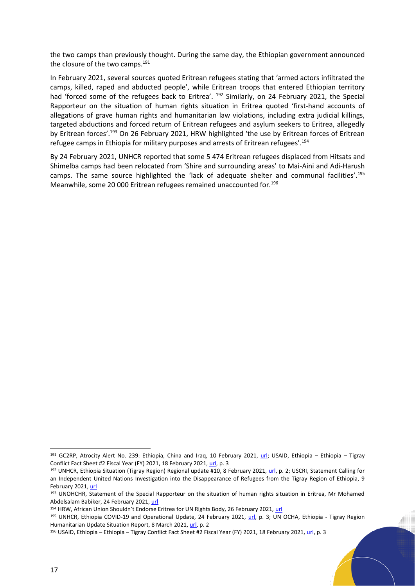the two camps than previously thought. During the same day, the Ethiopian government announced the closure of the two camps.<sup>191</sup>

In February 2021, several sources quoted Eritrean refugees stating that 'armed actors infiltrated the camps, killed, raped and abducted people', while Eritrean troops that entered Ethiopian territory had 'forced some of the refugees back to Eritrea'. <sup>192</sup> Similarly, on 24 February 2021, the Special Rapporteur on the situation of human rights situation in Eritrea quoted 'first-hand accounts of allegations of grave human rights and humanitarian law violations, including extra judicial killings, targeted abductions and forced return of Eritrean refugees and asylum seekers to Eritrea, allegedly by Eritrean forces'.<sup>193</sup> On 26 February 2021, HRW highlighted 'the use by Eritrean forces of Eritrean refugee camps in Ethiopia for military purposes and arrests of Eritrean refugees'.<sup>194</sup>

By 24 February 2021, UNHCR reported that some 5 474 Eritrean refugees displaced from Hitsats and Shimelba camps had been relocated from 'Shire and surrounding areas' to Mai-Aini and Adi-Harush camps. The same source highlighted the 'lack of adequate shelter and communal facilities'.<sup>195</sup> Meanwhile, some 20 000 Eritrean refugees remained unaccounted for.<sup>196</sup>

<sup>191</sup> GC2RP, Atrocity Alert No. 239: Ethiopia, China and Iraq, 10 February 2021, [url;](https://www.globalr2p.org/publications/atrocity-alert-no-239-ethiopia-china-and-iraq/) USAID, Ethiopia – Ethiopia – Tigray Conflict Fact Sheet #2 Fiscal Year (FY) 2021, 18 February 2021[, url,](https://reliefweb.int/sites/reliefweb.int/files/resources/02.18.2021_-_USG_Tigray_Fact_Sheet_2.pdf) p. 3

<sup>192</sup> UNHCR, Ethiopia Situation (Tigray Region) Regional update #10, 8 February 2021, [url,](https://reliefweb.int/sites/reliefweb.int/files/resources/Ethiopia%20%28Tigray%29%20situation%20EXTERNAL%20regional%20update%20%2310%201%20Febuary.pdf) p. 2; USCRI, Statement Calling for an Independent United Nations Investigation into the Disappearance of Refugees from the Tigray Region of Ethiopia, 9 February 2021[, url](https://refugees.org/uscri-statement-calling-for-an-independent-united-nations-investigation-into-the-refugees-from-the-tigray-region-of-ethiopia-who-are-missing/)

<sup>193</sup> UNOHCHR, Statement of the Special Rapporteur on the situation of human rights situation in Eritrea, Mr Mohamed Abdelsalam Babiker, 24 February 2021[, url](https://www.ohchr.org/EN/NewsEvents/Pages/DisplayNews.aspx?NewsID=26795&LangID=E)

<sup>194</sup> HRW, African Union Shouldn't Endorse Eritrea for UN Rights Body, 26 February 2021, [url](https://www.hrw.org/news/2021/02/26/african-union-shouldnt-endorse-eritrea-un-rights-body)

<sup>195</sup> UNHCR, Ethiopia COVID-19 and Operational Update, 24 February 2021, [url,](https://reliefweb.int/sites/reliefweb.int/files/resources/UNHCR%20ETHIOPIA%20COVID%20and%20Operational%20Update%2024%20February.pdf) p. 3; UN OCHA, Ethiopia - Tigray Region Humanitarian Update Situation Report, 8 March 2021[, url,](https://reliefweb.int/sites/reliefweb.int/files/resources/Situation%20Report%20-%20Ethiopia%20-%20Tigray%20Region%20Humanitarian%20Update%20-%208%20Mar%202021.pdf) p. 2

<sup>&</sup>lt;sup>196</sup> USAID, Ethiopia – Ethiopia – Tigray Conflict Fact Sheet #2 Fiscal Year (FY) 2021, 18 February 2021[, url,](https://reliefweb.int/sites/reliefweb.int/files/resources/02.18.2021_-_USG_Tigray_Fact_Sheet_2.pdf) p. 3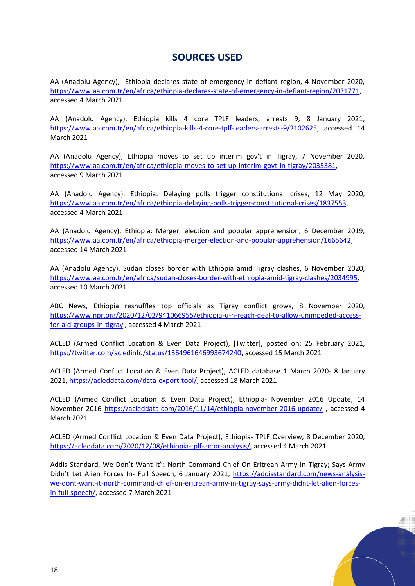## **SOURCES USED**

AA (Anadolu Agency), Ethiopia declares state of emergency in defiant region, 4 November 2020, [https://www.aa.com.tr/en/africa/ethiopia-declares-state-of-emergency-in-defiant-region/2031771,](https://www.aa.com.tr/en/africa/ethiopia-declares-state-of-emergency-in-defiant-region/2031771) accessed 4 March 2021

AA (Anadolu Agency), Ethiopia kills 4 core TPLF leaders, arrests 9, 8 January 2021, [https://www.aa.com.tr/en/africa/ethiopia-kills-4-core-tplf-leaders-arrests-9/2102625,](https://www.aa.com.tr/en/africa/ethiopia-kills-4-core-tplf-leaders-arrests-9/2102625) accessed 14 March 2021

AA (Anadolu Agency), Ethiopia moves to set up interim gov't in Tigray, 7 November 2020, [https://www.aa.com.tr/en/africa/ethiopia-moves-to-set-up-interim-govt-in-tigray/2035381,](https://www.aa.com.tr/en/africa/ethiopia-moves-to-set-up-interim-govt-in-tigray/2035381) accessed 9 March 2021

AA (Anadolu Agency), Ethiopia: Delaying polls trigger constitutional crises, 12 May 2020, [https://www.aa.com.tr/en/africa/ethiopia-delaying-polls-trigger-constitutional-crises/1837553,](https://www.aa.com.tr/en/africa/ethiopia-delaying-polls-trigger-constitutional-crises/1837553) accessed 4 March 2021

AA (Anadolu Agency), Ethiopia: Merger, election and popular apprehension, 6 December 2019, [https://www.aa.com.tr/en/africa/ethiopia-merger-election-and-popular-apprehension/1665642,](https://www.aa.com.tr/en/africa/ethiopia-merger-election-and-popular-apprehension/1665642) accessed 14 March 2021

AA (Anadolu Agency), Sudan closes border with Ethiopia amid Tigray clashes, 6 November 2020, [https://www.aa.com.tr/en/africa/sudan-closes-border-with-ethiopia-amid-tigray-clashes/2034995,](https://www.aa.com.tr/en/africa/sudan-closes-border-with-ethiopia-amid-tigray-clashes/2034995) accessed 10 March 2021

ABC News, Ethiopia reshuffles top officials as Tigray conflict grows, 8 November 2020, [https://www.npr.org/2020/12/02/941066955/ethiopia-u-n-reach-deal-to-allow-unimpeded-access](https://www.npr.org/2020/12/02/941066955/ethiopia-u-n-reach-deal-to-allow-unimpeded-access-for-aid-groups-in-tigray)[for-aid-groups-in-tigray](https://www.npr.org/2020/12/02/941066955/ethiopia-u-n-reach-deal-to-allow-unimpeded-access-for-aid-groups-in-tigray) , accessed 4 March 2021

ACLED (Armed Conflict Location & Even Data Project), [Twitter], posted on: 25 February 2021, [https://twitter.com/acledinfo/status/1364961646993674240,](https://twitter.com/acledinfo/status/1364961646993674240) accessed 15 March 2021

ACLED (Armed Conflict Location & Even Data Project), ACLED database 1 March 2020- 8 January 2021[, https://acleddata.com/data-export-tool/,](https://acleddata.com/data-export-tool/) accessed 18 March 2021

ACLED (Armed Conflict Location & Even Data Project), Ethiopia- November 2016 Update, 14 November 2016<https://acleddata.com/2016/11/14/ethiopia-november-2016-update/> , accessed 4 March 2021

ACLED (Armed Conflict Location & Even Data Project), Ethiopia- TPLF Overview, 8 December 2020, [https://acleddata.com/2020/12/08/ethiopia-tplf-actor-analysis/,](https://acleddata.com/2020/12/08/ethiopia-tplf-actor-analysis/) accessed 4 March 2021

Addis Standard, We Don't Want It": North Command Chief On Eritrean Army In Tigray; Says Army Didn't Let Alien Forces In- Full Speech, 6 January 2021, [https://addisstandard.com/news-analysis](https://addisstandard.com/news-analysis-we-dont-want-it-north-command-chief-on-eritrean-army-in-tigray-says-army-didnt-let-alien-forces-in-full-speech/)[we-dont-want-it-north-command-chief-on-eritrean-army-in-tigray-says-army-didnt-let-alien-forces](https://addisstandard.com/news-analysis-we-dont-want-it-north-command-chief-on-eritrean-army-in-tigray-says-army-didnt-let-alien-forces-in-full-speech/)[in-full-speech/,](https://addisstandard.com/news-analysis-we-dont-want-it-north-command-chief-on-eritrean-army-in-tigray-says-army-didnt-let-alien-forces-in-full-speech/) accessed 7 March 2021

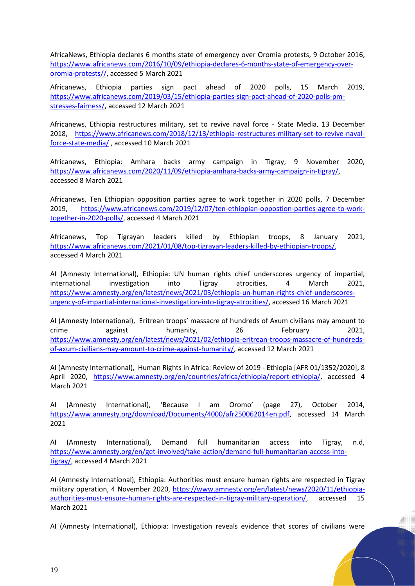AfricaNews, Ethiopia declares 6 months state of emergency over Oromia protests, 9 October 2016, [https://www.africanews.com/2016/10/09/ethiopia-declares-6-months-state-of-emergency-over](https://www.africanews.com/2016/10/09/ethiopia-declares-6-months-state-of-emergency-over-oromia-protests/)[oromia-protests//,](https://www.africanews.com/2016/10/09/ethiopia-declares-6-months-state-of-emergency-over-oromia-protests/) accessed 5 March 2021

Africanews, Ethiopia parties sign pact ahead of 2020 polls, 15 March 2019, [https://www.africanews.com/2019/03/15/ethiopia-parties-sign-pact-ahead-of-2020-polls-pm](https://www.africanews.com/2019/03/15/ethiopia-parties-sign-pact-ahead-of-2020-polls-pm-stresses-fairness/)[stresses-fairness/,](https://www.africanews.com/2019/03/15/ethiopia-parties-sign-pact-ahead-of-2020-polls-pm-stresses-fairness/) accessed 12 March 2021

Africanews, Ethiopia restructures military, set to revive naval force - State Media, 13 December 2018, [https://www.africanews.com/2018/12/13/ethiopia-restructures-military-set-to-revive-naval](https://www.africanews.com/2018/12/13/ethiopia-restructures-military-set-to-revive-naval-force-state-media/)[force-state-media/](https://www.africanews.com/2018/12/13/ethiopia-restructures-military-set-to-revive-naval-force-state-media/) , accessed 10 March 2021

Africanews, Ethiopia: Amhara backs army campaign in Tigray, 9 November 2020, [https://www.africanews.com/2020/11/09/ethiopia-amhara-backs-army-campaign-in-tigray/,](https://www.africanews.com/2020/11/09/ethiopia-amhara-backs-army-campaign-in-tigray/) accessed 8 March 2021

Africanews, Ten Ethiopian opposition parties agree to work together in 2020 polls, 7 December 2019, [https://www.africanews.com/2019/12/07/ten-ethiopian-oppostion-parties-agree-to-work](https://www.africanews.com/2019/12/07/ten-ethiopian-oppostion-parties-agree-to-work-together-in-2020-polls/)[together-in-2020-polls/,](https://www.africanews.com/2019/12/07/ten-ethiopian-oppostion-parties-agree-to-work-together-in-2020-polls/) accessed 4 March 2021

Africanews, Top Tigrayan leaders killed by Ethiopian troops, 8 January 2021, [https://www.africanews.com/2021/01/08/top-tigrayan-leaders-killed-by-ethiopian-troops/,](https://www.africanews.com/2021/01/08/top-tigrayan-leaders-killed-by-ethiopian-troops/) accessed 4 March 2021

AI (Amnesty International), Ethiopia: UN human rights chief underscores urgency of impartial, international investigation into Tigray atrocities, 4 March 2021, [https://www.amnesty.org/en/latest/news/2021/03/ethiopia-un-human-rights-chief-underscores](https://www.amnesty.org/en/latest/news/2021/03/ethiopia-un-human-rights-chief-underscores-urgency-of-impartial-international-investigation-into-tigray-atrocities/)[urgency-of-impartial-international-investigation-into-tigray-atrocities/,](https://www.amnesty.org/en/latest/news/2021/03/ethiopia-un-human-rights-chief-underscores-urgency-of-impartial-international-investigation-into-tigray-atrocities/) accessed 16 March 2021

AI (Amnesty International), Eritrean troops' massacre of hundreds of Axum civilians may amount to crime against humanity, 26 February 2021, [https://www.amnesty.org/en/latest/news/2021/02/ethiopia-eritrean-troops-massacre-of-hundreds](https://www.amnesty.org/en/latest/news/2021/02/ethiopia-eritrean-troops-massacre-of-hundreds-of-axum-civilians-may-amount-to-crime-against-humanity/)[of-axum-civilians-may-amount-to-crime-against-humanity/,](https://www.amnesty.org/en/latest/news/2021/02/ethiopia-eritrean-troops-massacre-of-hundreds-of-axum-civilians-may-amount-to-crime-against-humanity/) accessed 12 March 2021

AI (Amnesty International), Human Rights in Africa: Review of 2019 - Ethiopia [AFR 01/1352/2020], 8 April 2020, [https://www.amnesty.org/en/countries/africa/ethiopia/report-ethiopia/,](https://www.amnesty.org/en/countries/africa/ethiopia/report-ethiopia/) accessed 4 March 2021

AI (Amnesty International), 'Because I am Oromo' (page 27), October 2014, [https://www.amnesty.org/download/Documents/4000/afr250062014en.pdf,](https://www.amnesty.org/download/Documents/4000/afr250062014en.pdf) accessed 14 March 2021

AI (Amnesty International), Demand full humanitarian access into Tigray, n.d, [https://www.amnesty.org/en/get-involved/take-action/demand-full-humanitarian-access-into](https://www.amnesty.org/en/get-involved/take-action/demand-full-humanitarian-access-into-tigray/)[tigray/,](https://www.amnesty.org/en/get-involved/take-action/demand-full-humanitarian-access-into-tigray/) accessed 4 March 2021

AI (Amnesty International), Ethiopia: Authorities must ensure human rights are respected in Tigray military operation, 4 November 2020, [https://www.amnesty.org/en/latest/news/2020/11/ethiopia](https://www.amnesty.org/en/latest/news/2020/11/ethiopia-authorities-must-ensure-human-rights-are-respected-in-tigray-military-operation/)[authorities-must-ensure-human-rights-are-respected-in-tigray-military-operation/,](https://www.amnesty.org/en/latest/news/2020/11/ethiopia-authorities-must-ensure-human-rights-are-respected-in-tigray-military-operation/) accessed 15 March 2021

AI (Amnesty International), Ethiopia: Investigation reveals evidence that scores of civilians were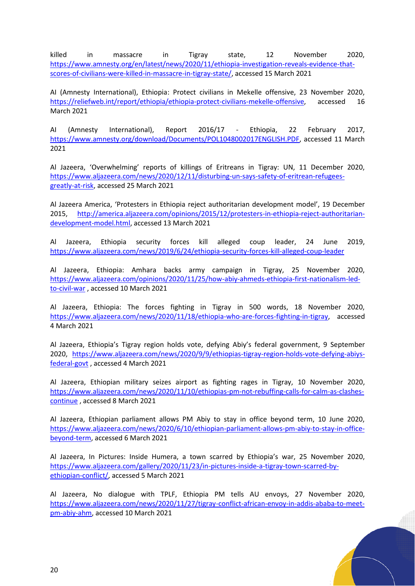killed in massacre in Tigray state, 12 November 2020, [https://www.amnesty.org/en/latest/news/2020/11/ethiopia-investigation-reveals-evidence-that](https://www.amnesty.org/en/latest/news/2020/11/ethiopia-investigation-reveals-evidence-that-scores-of-civilians-were-killed-in-massacre-in-tigray-state/)[scores-of-civilians-were-killed-in-massacre-in-tigray-state/,](https://www.amnesty.org/en/latest/news/2020/11/ethiopia-investigation-reveals-evidence-that-scores-of-civilians-were-killed-in-massacre-in-tigray-state/) accessed 15 March 2021

AI (Amnesty International), Ethiopia: Protect civilians in Mekelle offensive, 23 November 2020, [https://reliefweb.int/report/ethiopia/ethiopia-protect-civilians-mekelle-offensive,](https://reliefweb.int/report/ethiopia/ethiopia-protect-civilians-mekelle-offensive) accessed 16 March 2021

AI (Amnesty International), Report 2016/17 - Ethiopia, 22 February 2017, [https://www.amnesty.org/download/Documents/POL1048002017ENGLISH.PDF,](https://www.amnesty.org/download/Documents/POL1048002017ENGLISH.PDF) accessed 11 March 2021

Al Jazeera, 'Overwhelming' reports of killings of Eritreans in Tigray: UN, 11 December 2020, [https://www.aljazeera.com/news/2020/12/11/disturbing-un-says-safety-of-eritrean-refugees](https://www.aljazeera.com/news/2020/12/11/disturbing-un-says-safety-of-eritrean-refugees-greatly-at-risk)[greatly-at-risk,](https://www.aljazeera.com/news/2020/12/11/disturbing-un-says-safety-of-eritrean-refugees-greatly-at-risk) accessed 25 March 2021

Al Jazeera America, 'Protesters in Ethiopia reject authoritarian development model', 19 December 2015, [http://america.aljazeera.com/opinions/2015/12/protesters-in-ethiopia-reject-authoritarian](http://america.aljazeera.com/opinions/2015/12/protesters-in-ethiopia-reject-authoritarian-development-model.html)[development-model.html,](http://america.aljazeera.com/opinions/2015/12/protesters-in-ethiopia-reject-authoritarian-development-model.html) accessed 13 March 2021

Al Jazeera, Ethiopia security forces kill alleged coup leader, 24 June 2019, <https://www.aljazeera.com/news/2019/6/24/ethiopia-security-forces-kill-alleged-coup-leader>

Al Jazeera, Ethiopia: Amhara backs army campaign in Tigray, 25 November 2020, [https://www.aljazeera.com/opinions/2020/11/25/how-abiy-ahmeds-ethiopia-first-nationalism-led](https://www.aljazeera.com/opinions/2020/11/25/how-abiy-ahmeds-ethiopia-first-nationalism-led-to-civil-war)[to-civil-war](https://www.aljazeera.com/opinions/2020/11/25/how-abiy-ahmeds-ethiopia-first-nationalism-led-to-civil-war) , accessed 10 March 2021

Al Jazeera, Ethiopia: The forces fighting in Tigray in 500 words, 18 November 2020, [https://www.aljazeera.com/news/2020/11/18/ethiopia-who-are-forces-fighting-in-tigray,](https://www.aljazeera.com/news/2020/11/18/ethiopia-who-are-forces-fighting-in-tigray) accessed 4 March 2021

Al Jazeera, Ethiopia's Tigray region holds vote, defying Abiy's federal government, 9 September 2020, [https://www.aljazeera.com/news/2020/9/9/ethiopias-tigray-region-holds-vote-defying-abiys](https://www.aljazeera.com/news/2020/9/9/ethiopias-tigray-region-holds-vote-defying-abiys-federal-govt)[federal-govt](https://www.aljazeera.com/news/2020/9/9/ethiopias-tigray-region-holds-vote-defying-abiys-federal-govt) , accessed 4 March 2021

Al Jazeera, Ethiopian military seizes airport as fighting rages in Tigray, 10 November 2020, [https://www.aljazeera.com/news/2020/11/10/ethiopias-pm-not-rebuffing-calls-for-calm-as-clashes](https://www.aljazeera.com/news/2020/11/10/ethiopias-pm-not-rebuffing-calls-for-calm-as-clashes-continue)[continue](https://www.aljazeera.com/news/2020/11/10/ethiopias-pm-not-rebuffing-calls-for-calm-as-clashes-continue) , accessed 8 March 2021

Al Jazeera, Ethiopian parliament allows PM Abiy to stay in office beyond term, 10 June 2020, [https://www.aljazeera.com/news/2020/6/10/ethiopian-parliament-allows-pm-abiy-to-stay-in-office](https://www.aljazeera.com/news/2020/6/10/ethiopian-parliament-allows-pm-abiy-to-stay-in-office-beyond-term)[beyond-term,](https://www.aljazeera.com/news/2020/6/10/ethiopian-parliament-allows-pm-abiy-to-stay-in-office-beyond-term) accessed 6 March 2021

Al Jazeera, In Pictures: Inside Humera, a town scarred by Ethiopia's war, 25 November 2020, [https://www.aljazeera.com/gallery/2020/11/23/in-pictures-inside-a-tigray-town-scarred-by](https://www.aljazeera.com/gallery/2020/11/23/in-pictures-inside-a-tigray-town-scarred-by-ethiopian-conflict/)[ethiopian-conflict/,](https://www.aljazeera.com/gallery/2020/11/23/in-pictures-inside-a-tigray-town-scarred-by-ethiopian-conflict/) accessed 5 March 2021

Al Jazeera, No dialogue with TPLF, Ethiopia PM tells AU envoys, 27 November 2020, [https://www.aljazeera.com/news/2020/11/27/tigray-conflict-african-envoy-in-addis-ababa-to-meet](https://www.aljazeera.com/news/2020/11/27/tigray-conflict-african-envoy-in-addis-ababa-to-meet-pm-abiy-ahm)[pm-abiy-ahm,](https://www.aljazeera.com/news/2020/11/27/tigray-conflict-african-envoy-in-addis-ababa-to-meet-pm-abiy-ahm) accessed 10 March 2021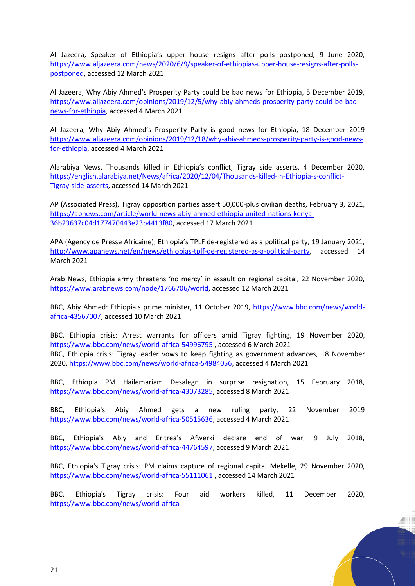Al Jazeera, Speaker of Ethiopia's upper house resigns after polls postponed, 9 June 2020, [https://www.aljazeera.com/news/2020/6/9/speaker-of-ethiopias-upper-house-resigns-after-polls](https://www.aljazeera.com/news/2020/6/9/speaker-of-ethiopias-upper-house-resigns-after-polls-postponed)[postponed,](https://www.aljazeera.com/news/2020/6/9/speaker-of-ethiopias-upper-house-resigns-after-polls-postponed) accessed 12 March 2021

Al Jazeera, Why Abiy Ahmed's Prosperity Party could be bad news for Ethiopia, 5 December 2019, [https://www.aljazeera.com/opinions/2019/12/5/why-abiy-ahmeds-prosperity-party-could-be-bad](https://www.aljazeera.com/opinions/2019/12/5/why-abiy-ahmeds-prosperity-party-could-be-bad-news-for-ethiopia)[news-for-ethiopia,](https://www.aljazeera.com/opinions/2019/12/5/why-abiy-ahmeds-prosperity-party-could-be-bad-news-for-ethiopia) accessed 4 March 2021

Al Jazeera, Why Abiy Ahmed's Prosperity Party is good news for Ethiopia, 18 December 2019 [https://www.aljazeera.com/opinions/2019/12/18/why-abiy-ahmeds-prosperity-party-is-good-news](https://www.aljazeera.com/opinions/2019/12/18/why-abiy-ahmeds-prosperity-party-is-good-news-for-ethiopia)[for-ethiopia,](https://www.aljazeera.com/opinions/2019/12/18/why-abiy-ahmeds-prosperity-party-is-good-news-for-ethiopia) accessed 4 March 2021

Alarabiya News, Thousands killed in Ethiopia's conflict, Tigray side asserts, 4 December 2020, [https://english.alarabiya.net/News/africa/2020/12/04/Thousands-killed-in-Ethiopia-s-conflict-](https://english.alarabiya.net/News/africa/2020/12/04/Thousands-killed-in-Ethiopia-s-conflict-Tigray-side-asserts)[Tigray-side-asserts,](https://english.alarabiya.net/News/africa/2020/12/04/Thousands-killed-in-Ethiopia-s-conflict-Tigray-side-asserts) accessed 14 March 2021

AP (Associated Press), Tigray opposition parties assert 50,000-plus civilian deaths, February 3, 2021, [https://apnews.com/article/world-news-abiy-ahmed-ethiopia-united-nations-kenya-](https://apnews.com/article/world-news-abiy-ahmed-ethiopia-united-nations-kenya-36b23637c04d177470443e23b4413f80)[36b23637c04d177470443e23b4413f80,](https://apnews.com/article/world-news-abiy-ahmed-ethiopia-united-nations-kenya-36b23637c04d177470443e23b4413f80) accessed 17 March 2021

APA (Agency de Presse Africaine), Ethiopia's TPLF de-registered as a political party, 19 January 2021, [http://www.apanews.net/en/news/ethiopias-tplf-de-registered-as-a-political-party,](http://www.apanews.net/en/news/ethiopias-tplf-de-registered-as-a-political-party) accessed 14 March 2021

Arab News, Ethiopia army threatens 'no mercy' in assault on regional capital, 22 November 2020, [https://www.arabnews.com/node/1766706/world,](https://www.arabnews.com/node/1766706/world) accessed 12 March 2021

BBC, Abiy Ahmed: Ethiopia's prime minister, 11 October 2019, [https://www.bbc.com/news/world](https://www.bbc.com/news/world-africa-43567007)[africa-43567007,](https://www.bbc.com/news/world-africa-43567007) accessed 10 March 2021

BBC, Ethiopia crisis: Arrest warrants for officers amid Tigray fighting, 19 November 2020, <https://www.bbc.com/news/world-africa-54996795> , accessed 6 March 2021 BBC, Ethiopia crisis: Tigray leader vows to keep fighting as government advances, 18 November 2020[, https://www.bbc.com/news/world-africa-54984056,](https://www.bbc.com/news/world-africa-54984056) accessed 4 March 2021

BBC, Ethiopia PM Hailemariam Desalegn in surprise resignation, 15 February 2018, [https://www.bbc.com/news/world-africa-43073285,](https://www.bbc.com/news/world-africa-43073285) accessed 8 March 2021

BBC, Ethiopia's Abiy Ahmed gets a new ruling party, 22 November 2019 [https://www.bbc.com/news/world-africa-50515636,](https://www.bbc.com/news/world-africa-50515636) accessed 4 March 2021

BBC, Ethiopia's Abiy and Eritrea's Afwerki declare end of war, 9 July 2018, [https://www.bbc.com/news/world-africa-44764597,](https://www.bbc.com/news/world-africa-44764597) accessed 9 March 2021

BBC, Ethiopia's Tigray crisis: PM claims capture of regional capital Mekelle, 29 November 2020, <https://www.bbc.com/news/world-africa-55111061> , accessed 14 March 2021

BBC, Ethiopia's Tigray crisis: Four aid workers killed, 11 December 2020, [https://www.bbc.com/news/world-africa-](https://www.bbc.com/news/world-africa-55274583#:~:text=Four%20aid%20workers%20were%20killed,staff%20members%20had%20been%20killed)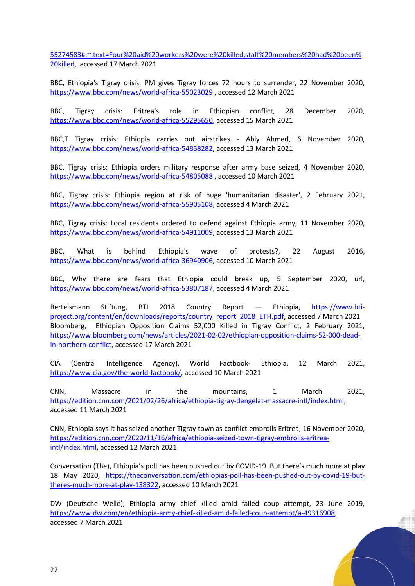[55274583#:~:text=Four%20aid%20workers%20were%20killed,staff%20members%20had%20been%](https://www.bbc.com/news/world-africa-55274583#:~:text=Four%20aid%20workers%20were%20killed,staff%20members%20had%20been%20killed) [20killed,](https://www.bbc.com/news/world-africa-55274583#:~:text=Four%20aid%20workers%20were%20killed,staff%20members%20had%20been%20killed) accessed 17 March 2021

BBC, Ethiopia's Tigray crisis: PM gives Tigray forces 72 hours to surrender, 22 November 2020, <https://www.bbc.com/news/world-africa-55023029> , accessed 12 March 2021

BBC, Tigray crisis: Eritrea's role in Ethiopian conflict, 28 December 2020, [https://www.bbc.com/news/world-africa-55295650,](https://www.bbc.com/news/world-africa-55295650) accessed 15 March 2021

BBC,T Tigray crisis: Ethiopia carries out airstrikes - Abiy Ahmed, 6 November 2020, [https://www.bbc.com/news/world-africa-54838282,](https://www.bbc.com/news/world-africa-54838282) accessed 13 March 2021

BBC, Tigray crisis: Ethiopia orders military response after army base seized, 4 November 2020, <https://www.bbc.com/news/world-africa-54805088> , accessed 10 March 2021

BBC, Tigray crisis: Ethiopia region at risk of huge 'humanitarian disaster', 2 February 2021, [https://www.bbc.com/news/world-africa-55905108,](https://www.bbc.com/news/world-africa-55905108) accessed 4 March 2021

BBC, Tigray crisis: Local residents ordered to defend against Ethiopia army, 11 November 2020, [https://www.bbc.com/news/world-africa-54911009,](https://www.bbc.com/news/world-africa-54911009) accessed 13 March 2021

BBC, What is behind Ethiopia's wave of protests?, 22 August 2016, [https://www.bbc.com/news/world-africa-36940906,](https://www.bbc.com/news/world-africa-36940906) accessed 10 March 2021

BBC, Why there are fears that Ethiopia could break up, 5 September 2020, url, [https://www.bbc.com/news/world-africa-53807187,](https://www.bbc.com/news/world-africa-53807187) accessed 4 March 2021

Bertelsmann Stiftung, BTI 2018 Country Report - Ethiopia, [https://www.bti](https://www.bti-project.org/content/en/downloads/reports/country_report_2018_ETH.pdf)[project.org/content/en/downloads/reports/country\\_report\\_2018\\_ETH.pdf,](https://www.bti-project.org/content/en/downloads/reports/country_report_2018_ETH.pdf) accessed 7 March 2021 Bloomberg, Ethiopian Opposition Claims 52,000 Killed in Tigray Conflict, 2 February 2021, [https://www.bloomberg.com/news/articles/2021-02-02/ethiopian-opposition-claims-52-000-dead](https://www.bloomberg.com/news/articles/2021-02-02/ethiopian-opposition-claims-52-000-dead-in-northern-conflict)[in-northern-conflict,](https://www.bloomberg.com/news/articles/2021-02-02/ethiopian-opposition-claims-52-000-dead-in-northern-conflict) accessed 17 March 2021

CIA (Central Intelligence Agency), World Factbook- Ethiopia, 12 March 2021, [https://www.cia.gov/the-world-factbook/,](https://www.cia.gov/the-world-factbook/) accessed 10 March 2021

CNN, Massacre in the mountains, 1 March 2021, [https://edition.cnn.com/2021/02/26/africa/ethiopia-tigray-dengelat-massacre-intl/index.html,](https://edition.cnn.com/2021/02/26/africa/ethiopia-tigray-dengelat-massacre-intl/index.html) accessed 11 March 2021

CNN, Ethiopia says it has seized another Tigray town as conflict embroils Eritrea, 16 November 2020, [https://edition.cnn.com/2020/11/16/africa/ethiopia-seized-town-tigray-embroils-eritrea](https://edition.cnn.com/2020/11/16/africa/ethiopia-seized-town-tigray-embroils-eritrea-intl/index.html)[intl/index.html,](https://edition.cnn.com/2020/11/16/africa/ethiopia-seized-town-tigray-embroils-eritrea-intl/index.html) accessed 12 March 2021

Conversation (The), Ethiopia's poll has been pushed out by COVID-19. But there's much more at play 18 May 2020, [https://theconversation.com/ethiopias-poll-has-been-pushed-out-by-covid-19-but](https://theconversation.com/ethiopias-poll-has-been-pushed-out-by-covid-19-but-theres-much-more-at-play-138322)[theres-much-more-at-play-138322,](https://theconversation.com/ethiopias-poll-has-been-pushed-out-by-covid-19-but-theres-much-more-at-play-138322) accessed 10 March 2021

DW (Deutsche Welle), Ethiopia army chief killed amid failed coup attempt, 23 June 2019, [https://www.dw.com/en/ethiopia-army-chief-killed-amid-failed-coup-attempt/a-49316908,](https://www.dw.com/en/ethiopia-army-chief-killed-amid-failed-coup-attempt/a-49316908) accessed 7 March 2021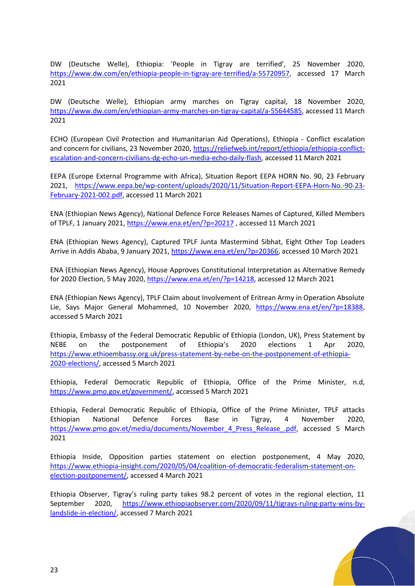DW (Deutsche Welle), Ethiopia: 'People in Tigray are terrified', 25 November 2020, [https://www.dw.com/en/ethiopia-people-in-tigray-are-terrified/a-55720957,](https://www.dw.com/en/ethiopia-people-in-tigray-are-terrified/a-55720957) accessed 17 March 2021

DW (Deutsche Welle), Ethiopian army marches on Tigray capital, 18 November 2020, [https://www.dw.com/en/ethiopian-army-marches-on-tigray-capital/a-55644585,](https://www.dw.com/en/ethiopian-army-marches-on-tigray-capital/a-55644585) accessed 11 March 2021

ECHO (European Civil Protection and Humanitarian Aid Operations), Ethiopia - Conflict escalation and concern for civilians, 23 November 2020, [https://reliefweb.int/report/ethiopia/ethiopia-conflict](https://reliefweb.int/report/ethiopia/ethiopia-conflict-escalation-and-concern-civilians-dg-echo-un-media-echo-daily-flash)[escalation-and-concern-civilians-dg-echo-un-media-echo-daily-flash,](https://reliefweb.int/report/ethiopia/ethiopia-conflict-escalation-and-concern-civilians-dg-echo-un-media-echo-daily-flash) accessed 11 March 2021

EEPA (Europe External Programme with Africa), Situation Report EEPA HORN No. 90, 23 February 2021, [https://www.eepa.be/wp-content/uploads/2020/11/Situation-Report-EEPA-Horn-No.-90-23-](https://www.eepa.be/wp-content/uploads/2020/11/Situation-Report-EEPA-Horn-No.-90-23-February-2021-002.pdf) [February-2021-002.pdf,](https://www.eepa.be/wp-content/uploads/2020/11/Situation-Report-EEPA-Horn-No.-90-23-February-2021-002.pdf) accessed 11 March 2021

ENA (Ethiopian News Agency), National Defence Force Releases Names of Captured, Killed Members of TPLF, 1 January 2021,<https://www.ena.et/en/?p=20217> , accessed 11 March 2021

ENA (Ethiopian News Agency), Captured TPLF Junta Mastermind Sibhat, Eight Other Top Leaders Arrive in Addis Ababa, 9 January 2021[, https://www.ena.et/en/?p=20366,](https://www.ena.et/en/?p=20366) accessed 10 March 2021

ENA (Ethiopian News Agency), House Approves Constitutional Interpretation as Alternative Remedy for 2020 Election, 5 May 2020, [https://www.ena.et/en/?p=14218,](https://www.ena.et/en/?p=14218) accessed 12 March 2021

ENA (Ethiopian News Agency), TPLF Claim about Involvement of Eritrean Army in Operation Absolute Lie, Says Major General Mohammed, 10 November 2020, [https://www.ena.et/en/?p=18388,](https://www.ena.et/en/?p=18388) accessed 5 March 2021

Ethiopia, Embassy of the Federal Democratic Republic of Ethiopia (London, UK), Press Statement by NEBE on the postponement of Ethiopia's 2020 elections 1 Apr 2020, [https://www.ethioembassy.org.uk/press-statement-by-nebe-on-the-postponement-of-ethiopia-](https://www.ethioembassy.org.uk/press-statement-by-nebe-on-the-postponement-of-ethiopia-2020-elections/)[2020-elections/,](https://www.ethioembassy.org.uk/press-statement-by-nebe-on-the-postponement-of-ethiopia-2020-elections/) accessed 5 March 2021

Ethiopia, Federal Democratic Republic of Ethiopia, Office of the Prime Minister, n.d, [https://www.pmo.gov.et/government/,](https://www.pmo.gov.et/government/) accessed 5 March 2021

Ethiopia, Federal Democratic Republic of Ethiopia, Office of the Prime Minister, TPLF attacks Ethiopian National Defence Forces Base in Tigray, 4 November 2020, [https://www.pmo.gov.et/media/documents/November\\_4\\_Press\\_Release\\_.pdf,](https://www.pmo.gov.et/media/documents/November_4_Press_Release_.pdf) accessed 5\_March 2021

Ethiopia Inside, Opposition parties statement on election postponement, 4 May 2020, [https://www.ethiopia-insight.com/2020/05/04/coalition-of-democratic-federalism-statement-on](https://www.ethiopia-insight.com/2020/05/04/coalition-of-democratic-federalism-statement-on-election-postponement/)[election-postponement/,](https://www.ethiopia-insight.com/2020/05/04/coalition-of-democratic-federalism-statement-on-election-postponement/) accessed 4 March 2021

Ethiopia Observer, Tigray's ruling party takes 98.2 percent of votes in the regional election, 11 September 2020, [https://www.ethiopiaobserver.com/2020/09/11/tigrays-ruling-party-wins-by](https://www.ethiopiaobserver.com/2020/09/11/tigrays-ruling-party-wins-by-landslide-in-election/)[landslide-in-election/,](https://www.ethiopiaobserver.com/2020/09/11/tigrays-ruling-party-wins-by-landslide-in-election/) accessed 7 March 2021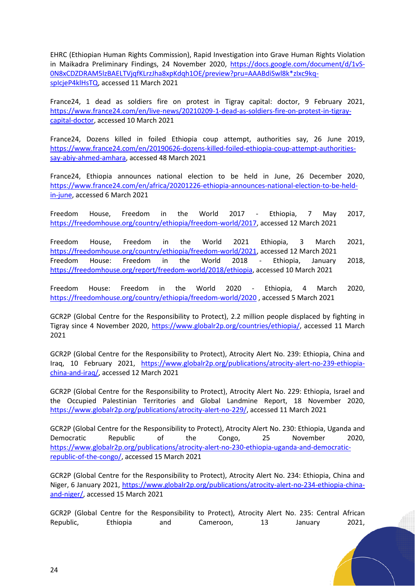EHRC (Ethiopian Human Rights Commission), Rapid Investigation into Grave Human Rights Violation in Maikadra Preliminary Findings, 24 November 2020, [https://docs.google.com/document/d/1vS-](https://docs.google.com/document/d/1vS-0N8xCDZDRAM5lzBAELTVjqfKLrzJha8xpKdqh1OE/preview?pru=AAABdiSwl8k*zIxc9kq-spIcjeP4klHsTQ)[0N8xCDZDRAM5lzBAELTVjqfKLrzJha8xpKdqh1OE/preview?pru=AAABdiSwl8k\\*zIxc9kq](https://docs.google.com/document/d/1vS-0N8xCDZDRAM5lzBAELTVjqfKLrzJha8xpKdqh1OE/preview?pru=AAABdiSwl8k*zIxc9kq-spIcjeP4klHsTQ)[spIcjeP4klHsTQ,](https://docs.google.com/document/d/1vS-0N8xCDZDRAM5lzBAELTVjqfKLrzJha8xpKdqh1OE/preview?pru=AAABdiSwl8k*zIxc9kq-spIcjeP4klHsTQ) accessed 11 March 2021

France24, 1 dead as soldiers fire on protest in Tigray capital: doctor, 9 February 2021, [https://www.france24.com/en/live-news/20210209-1-dead-as-soldiers-fire-on-protest-in-tigray](https://www.france24.com/en/live-news/20210209-1-dead-as-soldiers-fire-on-protest-in-tigray-capital-doctor)[capital-doctor,](https://www.france24.com/en/live-news/20210209-1-dead-as-soldiers-fire-on-protest-in-tigray-capital-doctor) accessed 10 March 2021

France24, Dozens killed in foiled Ethiopia coup attempt, authorities say, 26 June 2019, [https://www.france24.com/en/20190626-dozens-killed-foiled-ethiopia-coup-attempt-authorities](https://www.france24.com/en/20190626-dozens-killed-foiled-ethiopia-coup-attempt-authorities-say-abiy-ahmed-amhara)[say-abiy-ahmed-amhara,](https://www.france24.com/en/20190626-dozens-killed-foiled-ethiopia-coup-attempt-authorities-say-abiy-ahmed-amhara) accessed 48 March 2021

France24, Ethiopia announces national election to be held in June, 26 December 2020, [https://www.france24.com/en/africa/20201226-ethiopia-announces-national-election-to-be-held](https://www.france24.com/en/africa/20201226-ethiopia-announces-national-election-to-be-held-in-june)[in-june,](https://www.france24.com/en/africa/20201226-ethiopia-announces-national-election-to-be-held-in-june) accessed 6 March 2021

Freedom House, Freedom in the World 2017 - Ethiopia, 7 May 2017, [https://freedomhouse.org/country/ethiopia/freedom-world/2017,](https://freedomhouse.org/country/ethiopia/freedom-world/2017) accessed 12 March 2021

Freedom House, Freedom in the World 2021 Ethiopia, 3 March 2021, [https://freedomhouse.org/country/ethiopia/freedom-world/2021,](https://freedomhouse.org/country/ethiopia/freedom-world/2021) accessed 12 March 2021 Freedom House: Freedom in the World 2018 - Ethiopia, January 2018, [https://freedomhouse.org/report/freedom-world/2018/ethiopia,](https://freedomhouse.org/report/freedom-world/2018/ethiopia) accessed 10 March 2021

Freedom House: Freedom in the World 2020 - Ethiopia, 4 March 2020, <https://freedomhouse.org/country/ethiopia/freedom-world/2020> , accessed 5 March 2021

GCR2P (Global Centre for the Responsibility to Protect), 2.2 million people displaced by fighting in Tigray since 4 November 2020, [https://www.globalr2p.org/countries/ethiopia/,](https://www.globalr2p.org/countries/ethiopia/) accessed 11 March 2021

GCR2P (Global Centre for the Responsibility to Protect), Atrocity Alert No. 239: Ethiopia, China and Iraq, 10 February 2021, [https://www.globalr2p.org/publications/atrocity-alert-no-239-ethiopia](https://www.globalr2p.org/publications/atrocity-alert-no-239-ethiopia-china-and-iraq/)[china-and-iraq/,](https://www.globalr2p.org/publications/atrocity-alert-no-239-ethiopia-china-and-iraq/) accessed 12 March 2021

GCR2P (Global Centre for the Responsibility to Protect), Atrocity Alert No. 229: Ethiopia, Israel and the Occupied Palestinian Territories and Global Landmine Report, 18 November 2020, [https://www.globalr2p.org/publications/atrocity-alert-no-229/,](https://www.globalr2p.org/publications/atrocity-alert-no-229/) accessed 11 March 2021

GCR2P (Global Centre for the Responsibility to Protect), Atrocity Alert No. 230: Ethiopia, Uganda and Democratic Republic of the Congo, 25 November 2020, [https://www.globalr2p.org/publications/atrocity-alert-no-230-ethiopia-uganda-and-democratic](https://www.globalr2p.org/publications/atrocity-alert-no-230-ethiopia-uganda-and-democratic-republic-of-the-congo/)[republic-of-the-congo/,](https://www.globalr2p.org/publications/atrocity-alert-no-230-ethiopia-uganda-and-democratic-republic-of-the-congo/) accessed 15 March 2021

GCR2P (Global Centre for the Responsibility to Protect), Atrocity Alert No. 234: Ethiopia, China and Niger, 6 January 2021, [https://www.globalr2p.org/publications/atrocity-alert-no-234-ethiopia-china](https://www.globalr2p.org/publications/atrocity-alert-no-234-ethiopia-china-and-niger/)[and-niger/,](https://www.globalr2p.org/publications/atrocity-alert-no-234-ethiopia-china-and-niger/) accessed 15 March 2021

GCR2P (Global Centre for the Responsibility to Protect), Atrocity Alert No. 235: Central African Republic, Ethiopia and Cameroon, 13 January 2021,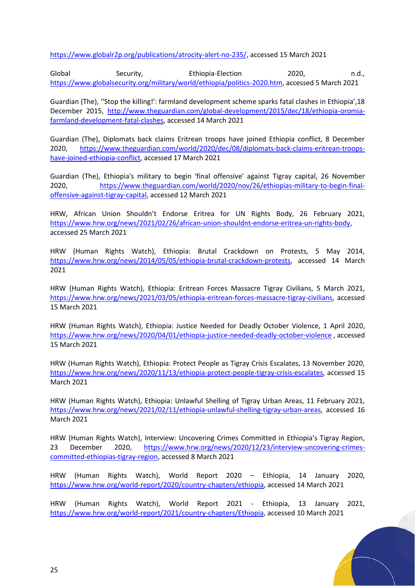[https://www.globalr2p.org/publications/atrocity-alert-no-235/,](https://www.globalr2p.org/publications/atrocity-alert-no-235/) accessed 15 March 2021

Global Security, Ethiopia-Election 2020, n.d., [https://www.globalsecurity.org/military/world/ethiopia/politics-2020.htm,](https://www.globalsecurity.org/military/world/ethiopia/politics-2020.htm) accessed 5 March 2021

Guardian (The), ''Stop the killing!': farmland development scheme sparks fatal clashes in Ethiopia',18 December 2015, [http://www.theguardian.com/global-development/2015/dec/18/ethiopia-oromia](http://www.theguardian.com/global-development/2015/dec/18/ethiopia-oromia-farmland-development-fatal-clashes)[farmland-development-fatal-clashes,](http://www.theguardian.com/global-development/2015/dec/18/ethiopia-oromia-farmland-development-fatal-clashes) accessed 14 March 2021

Guardian (The), Diplomats back claims Eritrean troops have joined Ethiopia conflict, 8 December 2020, [https://www.theguardian.com/world/2020/dec/08/diplomats-back-claims-eritrean-troops](https://www.theguardian.com/world/2020/dec/08/diplomats-back-claims-eritrean-troops-have-joined-ethiopia-conflict)[have-joined-ethiopia-conflict,](https://www.theguardian.com/world/2020/dec/08/diplomats-back-claims-eritrean-troops-have-joined-ethiopia-conflict) accessed 17 March 2021

Guardian (The), Ethiopia's military to begin 'final offensive' against Tigray capital, 26 November 2020, [https://www.theguardian.com/world/2020/nov/26/ethiopias-military-to-begin-final](https://www.theguardian.com/world/2020/nov/26/ethiopias-military-to-begin-final-offensive-against-tigray-capital)[offensive-against-tigray-capital,](https://www.theguardian.com/world/2020/nov/26/ethiopias-military-to-begin-final-offensive-against-tigray-capital) accessed 12 March 2021

HRW, African Union Shouldn't Endorse Eritrea for UN Rights Body, 26 February 2021, [https://www.hrw.org/news/2021/02/26/african-union-shouldnt-endorse-eritrea-un-rights-body,](https://www.hrw.org/news/2021/02/26/african-union-shouldnt-endorse-eritrea-un-rights-body) accessed 25 March 2021

HRW (Human Rights Watch), Ethiopia: Brutal Crackdown on Protests, 5 May 2014, [https://www.hrw.org/news/2014/05/05/ethiopia-brutal-crackdown-protests,](https://www.hrw.org/news/2014/05/05/ethiopia-brutal-crackdown-protests) accessed 14 March 2021

HRW (Human Rights Watch), Ethiopia: Eritrean Forces Massacre Tigray Civilians, 5 March 2021, [https://www.hrw.org/news/2021/03/05/ethiopia-eritrean-forces-massacre-tigray-civilians,](https://www.hrw.org/news/2021/03/05/ethiopia-eritrean-forces-massacre-tigray-civilians) accessed 15 March 2021

HRW (Human Rights Watch), Ethiopia: Justice Needed for Deadly October Violence, 1 April 2020, <https://www.hrw.org/news/2020/04/01/ethiopia-justice-needed-deadly-october-violence> , accessed 15 March 2021

HRW (Human Rights Watch), Ethiopia: Protect People as Tigray Crisis Escalates, 13 November 2020, [https://www.hrw.org/news/2020/11/13/ethiopia-protect-people-tigray-crisis-escalates,](https://www.hrw.org/news/2020/11/13/ethiopia-protect-people-tigray-crisis-escalates) accessed 15 March 2021

HRW (Human Rights Watch), Ethiopia: Unlawful Shelling of Tigray Urban Areas, 11 February 2021, [https://www.hrw.org/news/2021/02/11/ethiopia-unlawful-shelling-tigray-urban-areas,](https://www.hrw.org/news/2021/02/11/ethiopia-unlawful-shelling-tigray-urban-areas) accessed 16 March 2021

HRW (Human Rights Watch), Interview: Uncovering Crimes Committed in Ethiopia's Tigray Region, 23 December 2020, [https://www.hrw.org/news/2020/12/23/interview-uncovering-crimes](https://www.hrw.org/news/2020/12/23/interview-uncovering-crimes-committed-ethiopias-tigray-region)[committed-ethiopias-tigray-region,](https://www.hrw.org/news/2020/12/23/interview-uncovering-crimes-committed-ethiopias-tigray-region) accessed 8 March 2021

HRW (Human Rights Watch), World Report 2020 – Ethiopia, 14 January 2020, [https://www.hrw.org/world-report/2020/country-chapters/ethiopia,](https://www.hrw.org/world-report/2020/country-chapters/ethiopia) accessed 14 March 2021

HRW (Human Rights Watch), World Report 2021 - Ethiopia, 13 January 2021, [https://www.hrw.org/world-report/2021/country-chapters/Ethiopia,](https://www.hrw.org/world-report/2021/country-chapters/Ethiopia) accessed 10 March 2021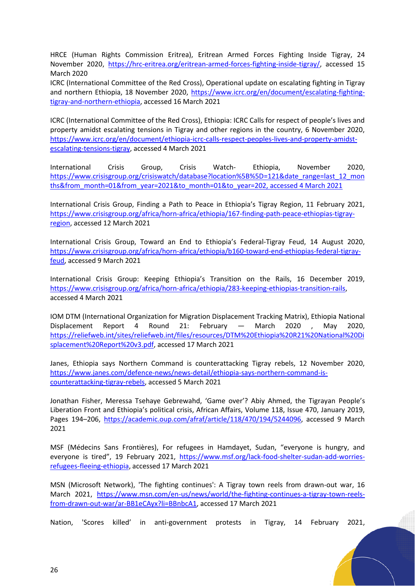HRCE (Human Rights Commission Eritrea), Eritrean Armed Forces Fighting Inside Tigray, 24 November 2020, [https://hrc-eritrea.org/eritrean-armed-forces-fighting-inside-tigray/,](https://hrc-eritrea.org/eritrean-armed-forces-fighting-inside-tigray/) accessed 15 March 2020

ICRC (International Committee of the Red Cross), Operational update on escalating fighting in Tigray and northern Ethiopia, 18 November 2020, [https://www.icrc.org/en/document/escalating-fighting](https://www.icrc.org/en/document/escalating-fighting-tigray-and-northern-ethiopia)[tigray-and-northern-ethiopia,](https://www.icrc.org/en/document/escalating-fighting-tigray-and-northern-ethiopia) accessed 16 March 2021

ICRC (International Committee of the Red Cross), Ethiopia: ICRC Calls for respect of people's lives and property amidst escalating tensions in Tigray and other regions in the country, 6 November 2020, [https://www.icrc.org/en/document/ethiopia-icrc-calls-respect-peoples-lives-and-property-amidst](https://www.icrc.org/en/document/ethiopia-icrc-calls-respect-peoples-lives-and-property-amidst-escalating-tensions-tigray)[escalating-tensions-tigray,](https://www.icrc.org/en/document/ethiopia-icrc-calls-respect-peoples-lives-and-property-amidst-escalating-tensions-tigray) accessed 4 March 2021

International Crisis Group, Crisis Watch- Ethiopia, November 2020, [https://www.crisisgroup.org/crisiswatch/database?location%5B%5D=121&date\\_range=last\\_12\\_mon](https://www.crisisgroup.org/crisiswatch/database?location%5B%5D=121&date_range=last_12_months&from_month=01&from_year=2021&to_month=01&to_year=2021) [ths&from\\_month=01&from\\_year=2021&to\\_month=01&to\\_year=202, accessed 4 March 2021](https://www.crisisgroup.org/crisiswatch/database?location%5B%5D=121&date_range=last_12_months&from_month=01&from_year=2021&to_month=01&to_year=2021)

International Crisis Group, Finding a Path to Peace in Ethiopia's Tigray Region, 11 February 2021, [https://www.crisisgroup.org/africa/horn-africa/ethiopia/167-finding-path-peace-ethiopias-tigray](https://www.crisisgroup.org/africa/horn-africa/ethiopia/167-finding-path-peace-ethiopias-tigray-region)[region,](https://www.crisisgroup.org/africa/horn-africa/ethiopia/167-finding-path-peace-ethiopias-tigray-region) accessed 12 March 2021

International Crisis Group, Toward an End to Ethiopia's Federal-Tigray Feud, 14 August 2020, [https://www.crisisgroup.org/africa/horn-africa/ethiopia/b160-toward-end-ethiopias-federal-tigray](https://www.crisisgroup.org/africa/horn-africa/ethiopia/b160-toward-end-ethiopias-federal-tigray-feud)[feud,](https://www.crisisgroup.org/africa/horn-africa/ethiopia/b160-toward-end-ethiopias-federal-tigray-feud) accessed 9 March 2021

International Crisis Group: Keeping Ethiopia's Transition on the Rails, 16 December 2019, [https://www.crisisgroup.org/africa/horn-africa/ethiopia/283-keeping-ethiopias-transition-rails,](https://www.crisisgroup.org/africa/horn-africa/ethiopia/283-keeping-ethiopias-transition-rails) accessed 4 March 2021

IOM DTM (International Organization for Migration Displacement Tracking Matrix), Ethiopia National Displacement Report 4 Round 21: February — March 2020 , May 2020, [https://reliefweb.int/sites/reliefweb.int/files/resources/DTM%20Ethiopia%20R21%20National%20Di](https://reliefweb.int/sites/reliefweb.int/files/resources/DTM%20Ethiopia%20R21%20National%20Displacement%20Report%20v3.pdf) [splacement%20Report%20v3.pdf,](https://reliefweb.int/sites/reliefweb.int/files/resources/DTM%20Ethiopia%20R21%20National%20Displacement%20Report%20v3.pdf) accessed 17 March 2021

Janes, Ethiopia says Northern Command is counterattacking Tigray rebels, 12 November 2020, [https://www.janes.com/defence-news/news-detail/ethiopia-says-northern-command-is](https://www.janes.com/defence-news/news-detail/ethiopia-says-northern-command-is-counterattacking-tigray-rebels)[counterattacking-tigray-rebels,](https://www.janes.com/defence-news/news-detail/ethiopia-says-northern-command-is-counterattacking-tigray-rebels) accessed 5 March 2021

Jonathan Fisher, Meressa Tsehaye Gebrewahd, 'Game over'? Abiy Ahmed, the Tigrayan People's Liberation Front and Ethiopia's political crisis, African Affairs, Volume 118, Issue 470, January 2019, Pages 194–206, [https://academic.oup.com/afraf/article/118/470/194/5244096,](https://academic.oup.com/afraf/article/118/470/194/5244096) accessed 9 March 2021

MSF (Médecins Sans Frontières), For refugees in Hamdayet, Sudan, "everyone is hungry, and everyone is tired", 19 February 2021, [https://www.msf.org/lack-food-shelter-sudan-add-worries](https://www.msf.org/lack-food-shelter-sudan-add-worries-refugees-fleeing-ethiopia)[refugees-fleeing-ethiopia,](https://www.msf.org/lack-food-shelter-sudan-add-worries-refugees-fleeing-ethiopia) accessed 17 March 2021

MSN (Microsoft Network), 'The fighting continues': A Tigray town reels from drawn-out war, 16 March 2021, [https://www.msn.com/en-us/news/world/the-fighting-continues-a-tigray-town-reels](https://www.msn.com/en-us/news/world/the-fighting-continues-a-tigray-town-reels-from-drawn-out-war/ar-BB1eCAyx?li=BBnbcA1)[from-drawn-out-war/ar-BB1eCAyx?li=BBnbcA1,](https://www.msn.com/en-us/news/world/the-fighting-continues-a-tigray-town-reels-from-drawn-out-war/ar-BB1eCAyx?li=BBnbcA1) accessed 17 March 2021

Nation, 'Scores killed' in anti-government protests in Tigray, 14 February 2021,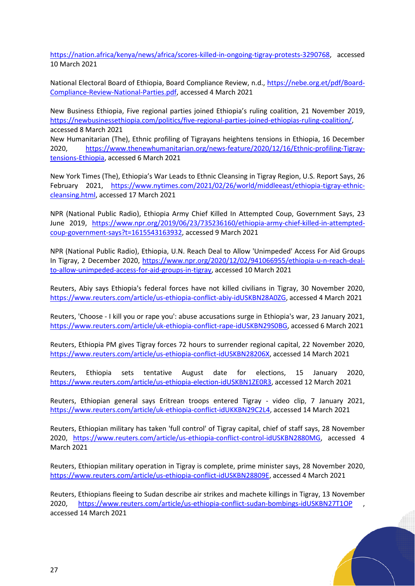[https://nation.africa/kenya/news/africa/scores-killed-in-ongoing-tigray-protests-3290768,](https://nation.africa/kenya/news/africa/scores-killed-in-ongoing-tigray-protests-3290768) accessed 10 March 2021

National Electoral Board of Ethiopia, Board Compliance Review, n.d., [https://nebe.org.et/pdf/Board-](https://nebe.org.et/pdf/Board-Compliance-Review-National-Parties.pdf)[Compliance-Review-National-Parties.pdf,](https://nebe.org.et/pdf/Board-Compliance-Review-National-Parties.pdf) accessed 4 March 2021

New Business Ethiopia, Five regional parties joined Ethiopia's ruling coalition, 21 November 2019, [https://newbusinessethiopia.com/politics/five-regional-parties-joined-ethiopias-ruling-coalition/,](https://newbusinessethiopia.com/politics/five-regional-parties-joined-ethiopias-ruling-coalition/) accessed 8 March 2021

New Humanitarian (The), Ethnic profiling of Tigrayans heightens tensions in Ethiopia, 16 December 2020, [https://www.thenewhumanitarian.org/news-feature/2020/12/16/Ethnic-profiling-Tigray](https://www.thenewhumanitarian.org/news-feature/2020/12/16/Ethnic-profiling-Tigray-tensions-Ethiopia)[tensions-Ethiopia,](https://www.thenewhumanitarian.org/news-feature/2020/12/16/Ethnic-profiling-Tigray-tensions-Ethiopia) accessed 6 March 2021

New York Times (The), Ethiopia's War Leads to Ethnic Cleansing in Tigray Region, U.S. Report Says, 26 February 2021, [https://www.nytimes.com/2021/02/26/world/middleeast/ethiopia-tigray-ethnic](https://www.nytimes.com/2021/02/26/world/middleeast/ethiopia-tigray-ethnic-cleansing.html)[cleansing.html,](https://www.nytimes.com/2021/02/26/world/middleeast/ethiopia-tigray-ethnic-cleansing.html) accessed 17 March 2021

NPR (National Public Radio), Ethiopia Army Chief Killed In Attempted Coup, Government Says, 23 June 2019, [https://www.npr.org/2019/06/23/735236160/ethiopia-army-chief-killed-in-attempted](https://www.npr.org/2019/06/23/735236160/ethiopia-army-chief-killed-in-attempted-coup-government-says?t=1615543163932)[coup-government-says?t=1615543163932,](https://www.npr.org/2019/06/23/735236160/ethiopia-army-chief-killed-in-attempted-coup-government-says?t=1615543163932) accessed 9 March 2021

NPR (National Public Radio), Ethiopia, U.N. Reach Deal to Allow 'Unimpeded' Access For Aid Groups In Tigray, 2 December 2020, [https://www.npr.org/2020/12/02/941066955/ethiopia-u-n-reach-deal](https://www.npr.org/2020/12/02/941066955/ethiopia-u-n-reach-deal-to-allow-unimpeded-access-for-aid-groups-in-tigray)[to-allow-unimpeded-access-for-aid-groups-in-tigray,](https://www.npr.org/2020/12/02/941066955/ethiopia-u-n-reach-deal-to-allow-unimpeded-access-for-aid-groups-in-tigray) accessed 10 March 2021

Reuters, Abiy says Ethiopia's federal forces have not killed civilians in Tigray, 30 November 2020, [https://www.reuters.com/article/us-ethiopia-conflict-abiy-idUSKBN28A0ZG,](https://www.reuters.com/article/us-ethiopia-conflict-abiy-idUSKBN28A0ZG) accessed 4 March 2021

Reuters, 'Choose - I kill you or rape you': abuse accusations surge in Ethiopia's war, 23 January 2021, [https://www.reuters.com/article/uk-ethiopia-conflict-rape-idUSKBN29S0BG,](https://www.reuters.com/article/uk-ethiopia-conflict-rape-idUSKBN29S0BG) accessed 6 March 2021

Reuters, Ethiopia PM gives Tigray forces 72 hours to surrender regional capital, 22 November 2020, [https://www.reuters.com/article/us-ethiopia-conflict-idUSKBN28206X,](https://www.reuters.com/article/us-ethiopia-conflict-idUSKBN28206X) accessed 14 March 2021

Reuters, Ethiopia sets tentative August date for elections, 15 January 2020, [https://www.reuters.com/article/us-ethiopia-election-idUSKBN1ZE0R3,](https://www.reuters.com/article/us-ethiopia-election-idUSKBN1ZE0R3) accessed 12 March 2021

Reuters, Ethiopian general says Eritrean troops entered Tigray - video clip, 7 January 2021, [https://www.reuters.com/article/uk-ethiopia-conflict-idUKKBN29C2L4,](https://www.reuters.com/article/uk-ethiopia-conflict-idUKKBN29C2L4) accessed 14 March 2021

Reuters, Ethiopian military has taken 'full control' of Tigray capital, chief of staff says, 28 November 2020, [https://www.reuters.com/article/us-ethiopia-conflict-control-idUSKBN2880MG,](https://www.reuters.com/article/us-ethiopia-conflict-control-idUSKBN2880MG) accessed 4 March 2021

Reuters, Ethiopian military operation in Tigray is complete, prime minister says, 28 November 2020, [https://www.reuters.com/article/us-ethiopia-conflict-idUSKBN28809E,](https://www.reuters.com/article/us-ethiopia-conflict-idUSKBN28809E) accessed 4 March 2021

Reuters, Ethiopians fleeing to Sudan describe air strikes and machete killings in Tigray, 13 November 2020, <https://www.reuters.com/article/us-ethiopia-conflict-sudan-bombings-idUSKBN27T1OP> accessed 14 March 2021

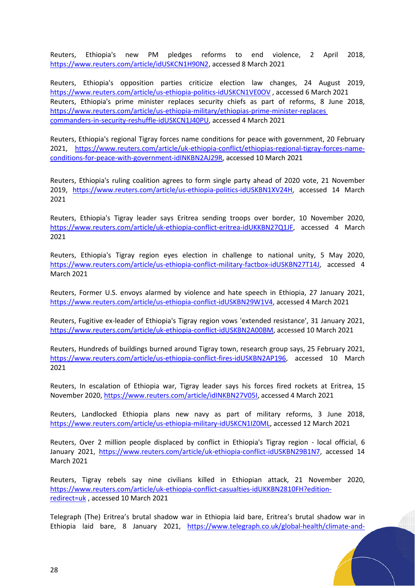Reuters, Ethiopia's new PM pledges reforms to end violence, 2 April 2018, [https://www.reuters.com/article/idUSKCN1H90N2,](https://www.reuters.com/article/idUSKCN1H90N2) accessed 8 March 2021

Reuters, Ethiopia's opposition parties criticize election law changes, 24 August 2019, <https://www.reuters.com/article/us-ethiopia-politics-idUSKCN1VE0OV> , accessed 6 March 2021 Reuters, Ethiopia's prime minister replaces security chiefs as part of reforms, 8 June 2018, [https://www.reuters.com/article/us-ethiopia-military/ethiopias-prime-minister-replaces](https://www.reuters.com/article/us-ethiopia-military/ethiopias-prime-minister-replaces%20commanders-in-security-reshuffle-idUSKCN1J40PU)  [commanders-in-security-reshuffle-idUSKCN1J40PU,](https://www.reuters.com/article/us-ethiopia-military/ethiopias-prime-minister-replaces%20commanders-in-security-reshuffle-idUSKCN1J40PU) accessed 4 March 2021

Reuters, Ethiopia's regional Tigray forces name conditions for peace with government, 20 February 2021, [https://www.reuters.com/article/uk-ethiopia-conflict/ethiopias-regional-tigray-forces-name](https://www.reuters.com/article/uk-ethiopia-conflict/ethiopias-regional-tigray-forces-name-conditions-for-peace-with-government-idINKBN2AJ29R)[conditions-for-peace-with-government-idINKBN2AJ29R,](https://www.reuters.com/article/uk-ethiopia-conflict/ethiopias-regional-tigray-forces-name-conditions-for-peace-with-government-idINKBN2AJ29R) accessed 10 March 2021

Reuters, Ethiopia's ruling coalition agrees to form single party ahead of 2020 vote, 21 November 2019, [https://www.reuters.com/article/us-ethiopia-politics-idUSKBN1XV24H,](https://www.reuters.com/article/us-ethiopia-politics-idUSKBN1XV24H) accessed 14 March 2021

Reuters, Ethiopia's Tigray leader says Eritrea sending troops over border, 10 November 2020, [https://www.reuters.com/article/uk-ethiopia-conflict-eritrea-idUKKBN27Q1JF,](https://www.reuters.com/article/uk-ethiopia-conflict-eritrea-idUKKBN27Q1JF) accessed 4 March 2021

Reuters, Ethiopia's Tigray region eyes election in challenge to national unity, 5 May 2020, [https://www.reuters.com/article/us-ethiopia-conflict-military-factbox-idUSKBN27T14J,](https://www.reuters.com/article/us-ethiopia-conflict-military-factbox-idUSKBN27T14J) accessed 4 March 2021

Reuters, Former U.S. envoys alarmed by violence and hate speech in Ethiopia, 27 January 2021, [https://www.reuters.com/article/us-ethiopia-conflict-idUSKBN29W1V4,](https://www.reuters.com/article/us-ethiopia-conflict-idUSKBN29W1V4) accessed 4 March 2021

Reuters, Fugitive ex-leader of Ethiopia's Tigray region vows 'extended resistance', 31 January 2021, [https://www.reuters.com/article/uk-ethiopia-conflict-idUSKBN2A00BM,](https://www.reuters.com/article/uk-ethiopia-conflict-idUSKBN2A00BM) accessed 10 March 2021

Reuters, Hundreds of buildings burned around Tigray town, research group says, 25 February 2021, [https://www.reuters.com/article/us-ethiopia-conflict-fires-idUSKBN2AP196,](https://www.reuters.com/article/us-ethiopia-conflict-fires-idUSKBN2AP196) accessed 10 March 2021

Reuters, In escalation of Ethiopia war, Tigray leader says his forces fired rockets at Eritrea, 15 November 2020, [https://www.reuters.com/article/idINKBN27V05I,](https://www.reuters.com/article/idINKBN27V05I) accessed 4 March 2021

Reuters, Landlocked Ethiopia plans new navy as part of military reforms, 3 June 2018, [https://www.reuters.com/article/us-ethiopia-military-idUSKCN1IZ0ML,](https://www.reuters.com/article/us-ethiopia-military-idUSKCN1IZ0ML) accessed 12 March 2021

Reuters, Over 2 million people displaced by conflict in Ethiopia's Tigray region - local official, 6 January 2021, [https://www.reuters.com/article/uk-ethiopia-conflict-idUSKBN29B1N7,](https://www.reuters.com/article/uk-ethiopia-conflict-idUSKBN29B1N7) accessed 14 March 2021

Reuters, Tigray rebels say nine civilians killed in Ethiopian attack, 21 November 2020, [https://www.reuters.com/article/uk-ethiopia-conflict-casualties-idUKKBN2810FH?edition](https://www.reuters.com/article/uk-ethiopia-conflict-casualties-idUKKBN2810FH?edition-redirect=uk)[redirect=uk](https://www.reuters.com/article/uk-ethiopia-conflict-casualties-idUKKBN2810FH?edition-redirect=uk) , accessed 10 March 2021

Telegraph (The) Eritrea's brutal shadow war in Ethiopia laid bare, Eritrea's brutal shadow war in Ethiopia laid bare, 8 January 2021, [https://www.telegraph.co.uk/global-health/climate-and-](https://www.telegraph.co.uk/global-health/climate-and-people/eritreas-shadow-war-ethiopia-laid-bare-amid-accusations-eritrean/)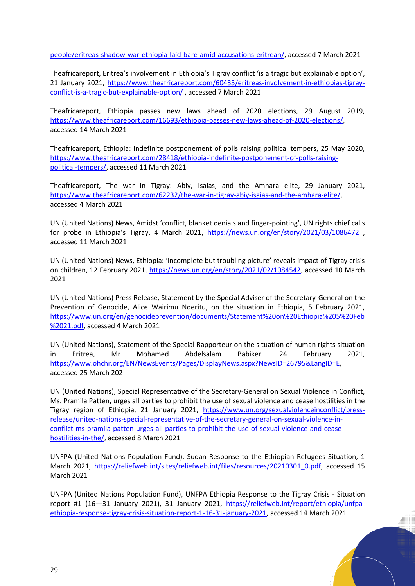[people/eritreas-shadow-war-ethiopia-laid-bare-amid-accusations-eritrean/,](https://www.telegraph.co.uk/global-health/climate-and-people/eritreas-shadow-war-ethiopia-laid-bare-amid-accusations-eritrean/) accessed 7 March 2021

Theafricareport, Eritrea's involvement in Ethiopia's Tigray conflict 'is a tragic but explainable option', 21 January 2021, [https://www.theafricareport.com/60435/eritreas-involvement-in-ethiopias-tigray](https://www.theafricareport.com/60435/eritreas-involvement-in-ethiopias-tigray-conflict-is-a-tragic-but-explainable-option/)[conflict-is-a-tragic-but-explainable-option/](https://www.theafricareport.com/60435/eritreas-involvement-in-ethiopias-tigray-conflict-is-a-tragic-but-explainable-option/), accessed 7 March 2021

Theafricareport, Ethiopia passes new laws ahead of 2020 elections, 29 August 2019, [https://www.theafricareport.com/16693/ethiopia-passes-new-laws-ahead-of-2020-elections/,](https://www.theafricareport.com/16693/ethiopia-passes-new-laws-ahead-of-2020-elections/) accessed 14 March 2021

Theafricareport, Ethiopia: Indefinite postponement of polls raising political tempers, 25 May 2020, [https://www.theafricareport.com/28418/ethiopia-indefinite-postponement-of-polls-raising](https://www.theafricareport.com/28418/ethiopia-indefinite-postponement-of-polls-raising-political-tempers/)[political-tempers/,](https://www.theafricareport.com/28418/ethiopia-indefinite-postponement-of-polls-raising-political-tempers/) accessed 11 March 2021

Theafricareport, The war in Tigray: Abiy, Isaias, and the Amhara elite, 29 January 2021, [https://www.theafricareport.com/62232/the-war-in-tigray-abiy-isaias-and-the-amhara-elite/,](https://www.theafricareport.com/62232/the-war-in-tigray-abiy-isaias-and-the-amhara-elite/) accessed 4 March 2021

UN (United Nations) News, Amidst 'conflict, blanket denials and finger-pointing', UN rights chief calls for probe in Ethiopia's Tigray, 4 March 2021, <https://news.un.org/en/story/2021/03/1086472> , accessed 11 March 2021

UN (United Nations) News, Ethiopia: 'Incomplete but troubling picture' reveals impact of Tigray crisis on children, 12 February 2021, [https://news.un.org/en/story/2021/02/1084542,](https://news.un.org/en/story/2021/02/1084542) accessed 10 March 2021

UN (United Nations) Press Release, Statement by the Special Adviser of the Secretary-General on the Prevention of Genocide, Alice Wairimu Nderitu, on the situation in Ethiopia, 5 February 2021, [https://www.un.org/en/genocideprevention/documents/Statement%20on%20Ethiopia%205%20Feb](https://www.un.org/en/genocideprevention/documents/Statement%20on%20Ethiopia%205%20Feb%2021.pdf) [%2021.pdf,](https://www.un.org/en/genocideprevention/documents/Statement%20on%20Ethiopia%205%20Feb%2021.pdf) accessed 4 March 2021

UN (United Nations), Statement of the Special Rapporteur on the situation of human rights situation in Eritrea, Mr Mohamed Abdelsalam Babiker, 24 February 2021, [https://www.ohchr.org/EN/NewsEvents/Pages/DisplayNews.aspx?NewsID=26795&LangID=E,](https://www.ohchr.org/EN/NewsEvents/Pages/DisplayNews.aspx?NewsID=26795&LangID=E) accessed 25 March 202

UN (United Nations), Special Representative of the Secretary-General on Sexual Violence in Conflict, Ms. Pramila Patten, urges all parties to prohibit the use of sexual violence and cease hostilities in the Tigray region of Ethiopia, 21 January 2021, [https://www.un.org/sexualviolenceinconflict/press](https://www.un.org/sexualviolenceinconflict/press-release/united-nations-special-representative-of-the-secretary-general-on-sexual-violence-in-conflict-ms-pramila-patten-urges-all-parties-to-prohibit-the-use-of-sexual-violence-and-cease-hostilities-in-the/)[release/united-nations-special-representative-of-the-secretary-general-on-sexual-violence-in](https://www.un.org/sexualviolenceinconflict/press-release/united-nations-special-representative-of-the-secretary-general-on-sexual-violence-in-conflict-ms-pramila-patten-urges-all-parties-to-prohibit-the-use-of-sexual-violence-and-cease-hostilities-in-the/)[conflict-ms-pramila-patten-urges-all-parties-to-prohibit-the-use-of-sexual-violence-and-cease](https://www.un.org/sexualviolenceinconflict/press-release/united-nations-special-representative-of-the-secretary-general-on-sexual-violence-in-conflict-ms-pramila-patten-urges-all-parties-to-prohibit-the-use-of-sexual-violence-and-cease-hostilities-in-the/)[hostilities-in-the/,](https://www.un.org/sexualviolenceinconflict/press-release/united-nations-special-representative-of-the-secretary-general-on-sexual-violence-in-conflict-ms-pramila-patten-urges-all-parties-to-prohibit-the-use-of-sexual-violence-and-cease-hostilities-in-the/) accessed 8 March 2021

UNFPA (United Nations Population Fund), Sudan Response to the Ethiopian Refugees Situation, 1 March 2021, [https://reliefweb.int/sites/reliefweb.int/files/resources/20210301\\_0.pdf,](https://reliefweb.int/sites/reliefweb.int/files/resources/20210301_0.pdf) accessed 15 March 2021

UNFPA (United Nations Population Fund), UNFPA Ethiopia Response to the Tigray Crisis - Situation report #1 (16—31 January 2021), 31 January 2021, [https://reliefweb.int/report/ethiopia/unfpa](https://reliefweb.int/report/ethiopia/unfpa-ethiopia-response-tigray-crisis-situation-report-1-16-31-january-2021)[ethiopia-response-tigray-crisis-situation-report-1-16-31-january-2021,](https://reliefweb.int/report/ethiopia/unfpa-ethiopia-response-tigray-crisis-situation-report-1-16-31-january-2021) accessed 14 March 2021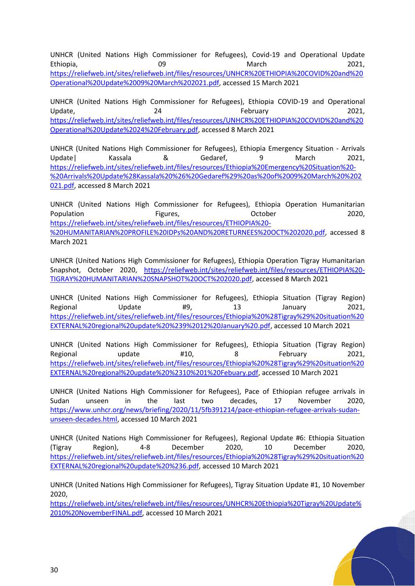UNHCR (United Nations High Commissioner for Refugees), Covid-19 and Operational Update Ethiopia, 09 March 2021, [https://reliefweb.int/sites/reliefweb.int/files/resources/UNHCR%20ETHIOPIA%20COVID%20and%20](https://reliefweb.int/sites/reliefweb.int/files/resources/UNHCR%20ETHIOPIA%20COVID%20and%20Operational%20Update%2009%20March%202021.pdf) [Operational%20Update%2009%20March%202021.pdf,](https://reliefweb.int/sites/reliefweb.int/files/resources/UNHCR%20ETHIOPIA%20COVID%20and%20Operational%20Update%2009%20March%202021.pdf) accessed 15 March 2021

UNHCR (United Nations High Commissioner for Refugees), Ethiopia COVID-19 and Operational Update, 2021, 24 and 24 February 2021, [https://reliefweb.int/sites/reliefweb.int/files/resources/UNHCR%20ETHIOPIA%20COVID%20and%20](https://reliefweb.int/sites/reliefweb.int/files/resources/UNHCR%20ETHIOPIA%20COVID%20and%20Operational%20Update%2024%20February.pdf) [Operational%20Update%2024%20February.pdf,](https://reliefweb.int/sites/reliefweb.int/files/resources/UNHCR%20ETHIOPIA%20COVID%20and%20Operational%20Update%2024%20February.pdf) accessed 8 March 2021

UNHCR (United Nations High Commissioner for Refugees), Ethiopia Emergency Situation - Arrivals Update| Kassala & Gedaref, 9 March 2021, [https://reliefweb.int/sites/reliefweb.int/files/resources/Ethiopia%20Emergency%20Situation%20-](https://reliefweb.int/sites/reliefweb.int/files/resources/Ethiopia%20Emergency%20Situation%20-%20Arrivals%20Update%28Kassala%20%26%20Gedaref%29%20as%20of%2009%20March%20%202021.pdf) [%20Arrivals%20Update%28Kassala%20%26%20Gedaref%29%20as%20of%2009%20March%20%202](https://reliefweb.int/sites/reliefweb.int/files/resources/Ethiopia%20Emergency%20Situation%20-%20Arrivals%20Update%28Kassala%20%26%20Gedaref%29%20as%20of%2009%20March%20%202021.pdf) [021.pdf,](https://reliefweb.int/sites/reliefweb.int/files/resources/Ethiopia%20Emergency%20Situation%20-%20Arrivals%20Update%28Kassala%20%26%20Gedaref%29%20as%20of%2009%20March%20%202021.pdf) accessed 8 March 2021

UNHCR (United Nations High Commissioner for Refugees), Ethiopia Operation Humanitarian Population **Figures**, **Containery Controller** Corporation 2020, [https://reliefweb.int/sites/reliefweb.int/files/resources/ETHIOPIA%20-](https://reliefweb.int/sites/reliefweb.int/files/resources/ETHIOPIA%20-%20HUMANITARIAN%20PROFILE%20IDPs%20AND%20RETURNEES%20OCT%202020.pdf) [%20HUMANITARIAN%20PROFILE%20IDPs%20AND%20RETURNEES%20OCT%202020.pdf,](https://reliefweb.int/sites/reliefweb.int/files/resources/ETHIOPIA%20-%20HUMANITARIAN%20PROFILE%20IDPs%20AND%20RETURNEES%20OCT%202020.pdf) accessed 8 March 2021

UNHCR (United Nations High Commissioner for Refugees), Ethiopia Operation Tigray Humanitarian Snapshot, October 2020, [https://reliefweb.int/sites/reliefweb.int/files/resources/ETHIOPIA%20-](https://reliefweb.int/sites/reliefweb.int/files/resources/ETHIOPIA%20-TIGRAY%20HUMANITARIAN%20SNAPSHOT%20OCT%202020.pdf) [TIGRAY%20HUMANITARIAN%20SNAPSHOT%20OCT%202020.pdf,](https://reliefweb.int/sites/reliefweb.int/files/resources/ETHIOPIA%20-TIGRAY%20HUMANITARIAN%20SNAPSHOT%20OCT%202020.pdf) accessed 8 March 2021

UNHCR (United Nations High Commissioner for Refugees), Ethiopia Situation (Tigray Region) Regional Update #9, 13 January 2021, [https://reliefweb.int/sites/reliefweb.int/files/resources/Ethiopia%20%28Tigray%29%20situation%20](https://reliefweb.int/sites/reliefweb.int/files/resources/Ethiopia%20%28Tigray%29%20situation%20EXTERNAL%20regional%20update%20%239%2012%20January%20.pdf) [EXTERNAL%20regional%20update%20%239%2012%20January%20.pdf,](https://reliefweb.int/sites/reliefweb.int/files/resources/Ethiopia%20%28Tigray%29%20situation%20EXTERNAL%20regional%20update%20%239%2012%20January%20.pdf) accessed 10 March 2021

UNHCR (United Nations High Commissioner for Refugees), Ethiopia Situation (Tigray Region) Regional update #10, 8 February 2021, [https://reliefweb.int/sites/reliefweb.int/files/resources/Ethiopia%20%28Tigray%29%20situation%20](https://reliefweb.int/sites/reliefweb.int/files/resources/Ethiopia%20%28Tigray%29%20situation%20EXTERNAL%20regional%20update%20%2310%201%20Febuary.pdf) [EXTERNAL%20regional%20update%20%2310%201%20Febuary.pdf,](https://reliefweb.int/sites/reliefweb.int/files/resources/Ethiopia%20%28Tigray%29%20situation%20EXTERNAL%20regional%20update%20%2310%201%20Febuary.pdf) accessed 10 March 2021

UNHCR (United Nations High Commissioner for Refugees), Pace of Ethiopian refugee arrivals in Sudan unseen in the last two decades, 17 November 2020, [https://www.unhcr.org/news/briefing/2020/11/5fb391214/pace-ethiopian-refugee-arrivals-sudan](https://www.unhcr.org/news/briefing/2020/11/5fb391214/pace-ethiopian-refugee-arrivals-sudan-unseen-decades.html)[unseen-decades.html,](https://www.unhcr.org/news/briefing/2020/11/5fb391214/pace-ethiopian-refugee-arrivals-sudan-unseen-decades.html) accessed 10 March 2021

UNHCR (United Nations High Commissioner for Refugees), Regional Update #6: Ethiopia Situation (Tigray Region), 4-8 December 2020, 10 December 2020, [https://reliefweb.int/sites/reliefweb.int/files/resources/Ethiopia%20%28Tigray%29%20situation%20](https://reliefweb.int/sites/reliefweb.int/files/resources/Ethiopia%20%28Tigray%29%20situation%20EXTERNAL%20regional%20update%20%236.pdf) [EXTERNAL%20regional%20update%20%236.pdf,](https://reliefweb.int/sites/reliefweb.int/files/resources/Ethiopia%20%28Tigray%29%20situation%20EXTERNAL%20regional%20update%20%236.pdf) accessed 10 March 2021

UNHCR (United Nations High Commissioner for Refugees), Tigray Situation Update #1, 10 November 2020,

[https://reliefweb.int/sites/reliefweb.int/files/resources/UNHCR%20Ethiopia%20Tigray%20Update%](https://reliefweb.int/sites/reliefweb.int/files/resources/UNHCR%20Ethiopia%20Tigray%20Update%2010%20NovemberFINAL.pdf) [2010%20NovemberFINAL.pdf,](https://reliefweb.int/sites/reliefweb.int/files/resources/UNHCR%20Ethiopia%20Tigray%20Update%2010%20NovemberFINAL.pdf) accessed 10 March 2021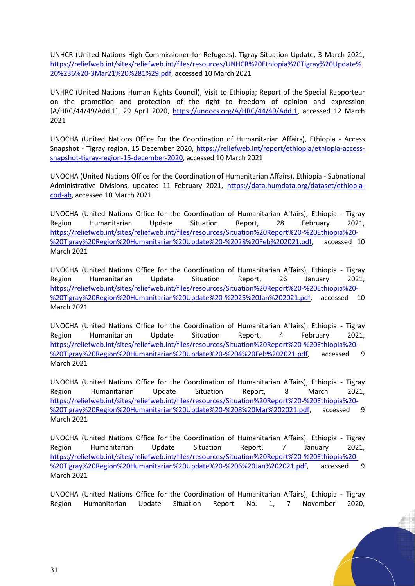UNHCR (United Nations High Commissioner for Refugees), Tigray Situation Update, 3 March 2021, [https://reliefweb.int/sites/reliefweb.int/files/resources/UNHCR%20Ethiopia%20Tigray%20Update%](https://reliefweb.int/sites/reliefweb.int/files/resources/UNHCR%20Ethiopia%20Tigray%20Update%20%236%20-3Mar21%20%281%29.pdf) [20%236%20-3Mar21%20%281%29.pdf,](https://reliefweb.int/sites/reliefweb.int/files/resources/UNHCR%20Ethiopia%20Tigray%20Update%20%236%20-3Mar21%20%281%29.pdf) accessed 10 March 2021

UNHRC (United Nations Human Rights Council), Visit to Ethiopia; Report of the Special Rapporteur on the promotion and protection of the right to freedom of opinion and expression [A/HRC/44/49/Add.1], 29 April 2020, [https://undocs.org/A/HRC/44/49/Add.1,](https://undocs.org/A/HRC/44/49/Add.1) accessed 12 March 2021

UNOCHA (United Nations Office for the Coordination of Humanitarian Affairs), Ethiopia - Access Snapshot - Tigray region, 15 December 2020, [https://reliefweb.int/report/ethiopia/ethiopia-access](https://reliefweb.int/report/ethiopia/ethiopia-access-snapshot-tigray-region-15-december-2020)[snapshot-tigray-region-15-december-2020,](https://reliefweb.int/report/ethiopia/ethiopia-access-snapshot-tigray-region-15-december-2020) accessed 10 March 2021

UNOCHA (United Nations Office for the Coordination of Humanitarian Affairs), Ethiopia - Subnational Administrative Divisions, updated 11 February 2021, [https://data.humdata.org/dataset/ethiopia](https://data.humdata.org/dataset/ethiopia-cod-ab)[cod-ab,](https://data.humdata.org/dataset/ethiopia-cod-ab) accessed 10 March 2021

UNOCHA (United Nations Office for the Coordination of Humanitarian Affairs), Ethiopia - Tigray Region Humanitarian Update Situation Report, 28 February 2021, [https://reliefweb.int/sites/reliefweb.int/files/resources/Situation%20Report%20-%20Ethiopia%20-](https://reliefweb.int/sites/reliefweb.int/files/resources/Situation%20Report%20-%20Ethiopia%20-%20Tigray%20Region%20Humanitarian%20Update%20-%2028%20Feb%202021.pdf) [%20Tigray%20Region%20Humanitarian%20Update%20-%2028%20Feb%202021.pdf,](https://reliefweb.int/sites/reliefweb.int/files/resources/Situation%20Report%20-%20Ethiopia%20-%20Tigray%20Region%20Humanitarian%20Update%20-%2028%20Feb%202021.pdf) accessed 10 March 2021

UNOCHA (United Nations Office for the Coordination of Humanitarian Affairs), Ethiopia - Tigray Region Humanitarian Update Situation Report, 26 January 2021, [https://reliefweb.int/sites/reliefweb.int/files/resources/Situation%20Report%20-%20Ethiopia%20-](https://reliefweb.int/sites/reliefweb.int/files/resources/Situation%20Report%20-%20Ethiopia%20-%20Tigray%20Region%20Humanitarian%20Update%20-%2025%20Jan%202021.pdf) [%20Tigray%20Region%20Humanitarian%20Update%20-%2025%20Jan%202021.pdf,](https://reliefweb.int/sites/reliefweb.int/files/resources/Situation%20Report%20-%20Ethiopia%20-%20Tigray%20Region%20Humanitarian%20Update%20-%2025%20Jan%202021.pdf) accessed 10 March 2021

UNOCHA (United Nations Office for the Coordination of Humanitarian Affairs), Ethiopia - Tigray Region Humanitarian Update Situation Report, 4 February 2021, [https://reliefweb.int/sites/reliefweb.int/files/resources/Situation%20Report%20-%20Ethiopia%20-](https://reliefweb.int/sites/reliefweb.int/files/resources/Situation%20Report%20-%20Ethiopia%20-%20Tigray%20Region%20Humanitarian%20Update%20-%204%20Feb%202021.pdf) [%20Tigray%20Region%20Humanitarian%20Update%20-%204%20Feb%202021.pdf,](https://reliefweb.int/sites/reliefweb.int/files/resources/Situation%20Report%20-%20Ethiopia%20-%20Tigray%20Region%20Humanitarian%20Update%20-%204%20Feb%202021.pdf) accessed 9 March 2021

UNOCHA (United Nations Office for the Coordination of Humanitarian Affairs), Ethiopia - Tigray Region Humanitarian Update Situation Report, 8 March 2021, [https://reliefweb.int/sites/reliefweb.int/files/resources/Situation%20Report%20-%20Ethiopia%20-](https://reliefweb.int/sites/reliefweb.int/files/resources/Situation%20Report%20-%20Ethiopia%20-%20Tigray%20Region%20Humanitarian%20Update%20-%208%20Mar%202021.pdf) [%20Tigray%20Region%20Humanitarian%20Update%20-%208%20Mar%202021.pdf,](https://reliefweb.int/sites/reliefweb.int/files/resources/Situation%20Report%20-%20Ethiopia%20-%20Tigray%20Region%20Humanitarian%20Update%20-%208%20Mar%202021.pdf) accessed 9 March 2021

UNOCHA (United Nations Office for the Coordination of Humanitarian Affairs), Ethiopia - Tigray Region Humanitarian Update Situation Report, 7 January 2021, [https://reliefweb.int/sites/reliefweb.int/files/resources/Situation%20Report%20-%20Ethiopia%20-](https://reliefweb.int/sites/reliefweb.int/files/resources/Situation%20Report%20-%20Ethiopia%20-%20Tigray%20Region%20Humanitarian%20Update%20-%206%20Jan%202021.pdf) [%20Tigray%20Region%20Humanitarian%20Update%20-%206%20Jan%202021.pdf,](https://reliefweb.int/sites/reliefweb.int/files/resources/Situation%20Report%20-%20Ethiopia%20-%20Tigray%20Region%20Humanitarian%20Update%20-%206%20Jan%202021.pdf) accessed 9 March 2021

UNOCHA (United Nations Office for the Coordination of Humanitarian Affairs), Ethiopia - Tigray Region Humanitarian Update Situation Report No. 1, 7 November 2020,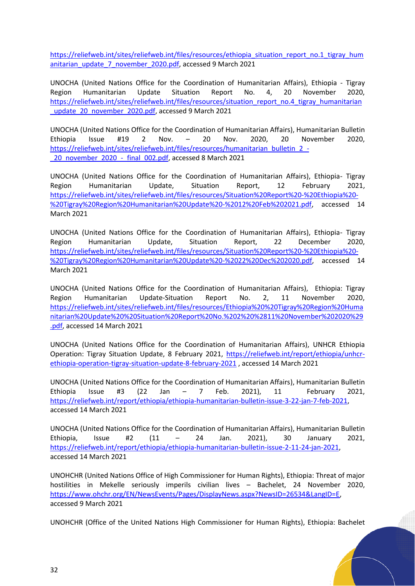[https://reliefweb.int/sites/reliefweb.int/files/resources/ethiopia\\_situation\\_report\\_no.1\\_tigray\\_hum](https://reliefweb.int/sites/reliefweb.int/files/resources/ethiopia_situation_report_no.1_tigray_humanitarian_update_7_november_2020.pdf) [anitarian\\_update\\_7\\_november\\_2020.pdf,](https://reliefweb.int/sites/reliefweb.int/files/resources/ethiopia_situation_report_no.1_tigray_humanitarian_update_7_november_2020.pdf) accessed 9 March 2021

UNOCHA (United Nations Office for the Coordination of Humanitarian Affairs), Ethiopia - Tigray Region Humanitarian Update Situation Report No. 4, 20 November 2020, [https://reliefweb.int/sites/reliefweb.int/files/resources/situation\\_report\\_no.4\\_tigray\\_humanitarian](https://reliefweb.int/sites/reliefweb.int/files/resources/situation_report_no.4_tigray_humanitarian_update_20_november_2020.pdf) update 20 november 2020.pdf, accessed 9 March 2021

UNOCHA (United Nations Office for the Coordination of Humanitarian Affairs), Humanitarian Bulletin Ethiopia Issue #19 2 Nov. – 20 Nov. 2020, 20 November 2020, [https://reliefweb.int/sites/reliefweb.int/files/resources/humanitarian\\_bulletin\\_2\\_-](https://reliefweb.int/sites/reliefweb.int/files/resources/humanitarian_bulletin_2_-_20_november_2020_-_final_002.pdf) [\\_20\\_november\\_2020\\_-\\_final\\_002.pdf,](https://reliefweb.int/sites/reliefweb.int/files/resources/humanitarian_bulletin_2_-_20_november_2020_-_final_002.pdf) accessed 8 March 2021

UNOCHA (United Nations Office for the Coordination of Humanitarian Affairs), Ethiopia- Tigray Region Humanitarian Update, Situation Report, 12 February 2021, [https://reliefweb.int/sites/reliefweb.int/files/resources/Situation%20Report%20-%20Ethiopia%20-](https://reliefweb.int/sites/reliefweb.int/files/resources/Situation%20Report%20-%20Ethiopia%20-%20Tigray%20Region%20Humanitarian%20Update%20-%2012%20Feb%202021.pdf) [%20Tigray%20Region%20Humanitarian%20Update%20-%2012%20Feb%202021.pdf,](https://reliefweb.int/sites/reliefweb.int/files/resources/Situation%20Report%20-%20Ethiopia%20-%20Tigray%20Region%20Humanitarian%20Update%20-%2012%20Feb%202021.pdf) accessed 14 March 2021

UNOCHA (United Nations Office for the Coordination of Humanitarian Affairs), Ethiopia- Tigray Region Humanitarian Update, Situation Report, 22 December 2020, [https://reliefweb.int/sites/reliefweb.int/files/resources/Situation%20Report%20-%20Ethiopia%20-](https://reliefweb.int/sites/reliefweb.int/files/resources/Situation%20Report%20-%20Ethiopia%20-%20Tigray%20Region%20Humanitarian%20Update%20-%2022%20Dec%202020.pdf) [%20Tigray%20Region%20Humanitarian%20Update%20-%2022%20Dec%202020.pdf,](https://reliefweb.int/sites/reliefweb.int/files/resources/Situation%20Report%20-%20Ethiopia%20-%20Tigray%20Region%20Humanitarian%20Update%20-%2022%20Dec%202020.pdf) accessed 14 March 2021

UNOCHA (United Nations Office for the Coordination of Humanitarian Affairs), Ethiopia: Tigray Region Humanitarian Update-Situation Report No. 2, 11 November 2020, [https://reliefweb.int/sites/reliefweb.int/files/resources/Ethiopia%20%20Tigray%20Region%20Huma](https://reliefweb.int/sites/reliefweb.int/files/resources/Ethiopia%20%20Tigray%20Region%20Humanitarian%20Update%20%20Situation%20Report%20No.%202%20%2811%20November%202020%29.pdf) [nitarian%20Update%20%20Situation%20Report%20No.%202%20%2811%20November%202020%29](https://reliefweb.int/sites/reliefweb.int/files/resources/Ethiopia%20%20Tigray%20Region%20Humanitarian%20Update%20%20Situation%20Report%20No.%202%20%2811%20November%202020%29.pdf) [.pdf,](https://reliefweb.int/sites/reliefweb.int/files/resources/Ethiopia%20%20Tigray%20Region%20Humanitarian%20Update%20%20Situation%20Report%20No.%202%20%2811%20November%202020%29.pdf) accessed 14 March 2021

UNOCHA (United Nations Office for the Coordination of Humanitarian Affairs), UNHCR Ethiopia Operation: Tigray Situation Update, 8 February 2021, [https://reliefweb.int/report/ethiopia/unhcr](https://reliefweb.int/report/ethiopia/unhcr-ethiopia-operation-tigray-situation-update-8-february-2021)[ethiopia-operation-tigray-situation-update-8-february-2021](https://reliefweb.int/report/ethiopia/unhcr-ethiopia-operation-tigray-situation-update-8-february-2021) , accessed 14 March 2021

UNOCHA (United Nations Office for the Coordination of Humanitarian Affairs), Humanitarian Bulletin Ethiopia Issue #3 (22 Jan – 7 Feb. 2021), 11 February 2021, [https://reliefweb.int/report/ethiopia/ethiopia-humanitarian-bulletin-issue-3-22-jan-7-feb-2021,](https://reliefweb.int/report/ethiopia/ethiopia-humanitarian-bulletin-issue-3-22-jan-7-feb-2021) accessed 14 March 2021

UNOCHA (United Nations Office for the Coordination of Humanitarian Affairs), Humanitarian Bulletin Ethiopia, Issue #2 (11 – 24 Jan. 2021), 30 January 2021, [https://reliefweb.int/report/ethiopia/ethiopia-humanitarian-bulletin-issue-2-11-24-jan-2021,](https://reliefweb.int/report/ethiopia/ethiopia-humanitarian-bulletin-issue-2-11-24-jan-2021) accessed 14 March 2021

UNOHCHR (United Nations Office of High Commissioner for Human Rights), Ethiopia: Threat of major hostilities in Mekelle seriously imperils civilian lives – Bachelet, 24 November 2020, [https://www.ohchr.org/EN/NewsEvents/Pages/DisplayNews.aspx?NewsID=26534&LangID=E,](https://www.ohchr.org/EN/NewsEvents/Pages/DisplayNews.aspx?NewsID=26534&LangID=E) accessed 9 March 2021

UNOHCHR (Office of the United Nations High Commissioner for Human Rights), Ethiopia: Bachelet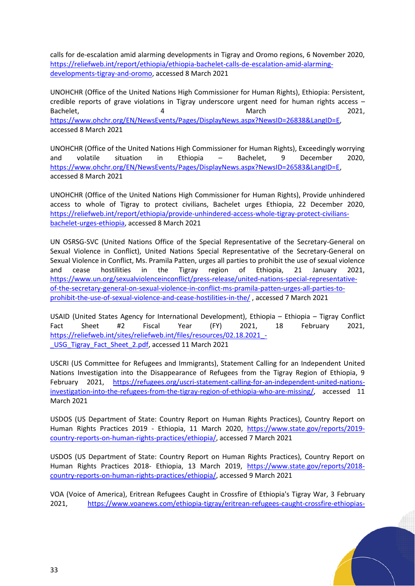calls for de-escalation amid alarming developments in Tigray and Oromo regions, 6 November 2020, [https://reliefweb.int/report/ethiopia/ethiopia-bachelet-calls-de-escalation-amid-alarming](https://reliefweb.int/report/ethiopia/ethiopia-bachelet-calls-de-escalation-amid-alarming-developments-tigray-and-oromo)[developments-tigray-and-oromo,](https://reliefweb.int/report/ethiopia/ethiopia-bachelet-calls-de-escalation-amid-alarming-developments-tigray-and-oromo) accessed 8 March 2021

UNOHCHR (Office of the United Nations High Commissioner for Human Rights), Ethiopia: Persistent, credible reports of grave violations in Tigray underscore urgent need for human rights access – Bachelet, 2021, [https://www.ohchr.org/EN/NewsEvents/Pages/DisplayNews.aspx?NewsID=26838&LangID=E,](https://www.ohchr.org/EN/NewsEvents/Pages/DisplayNews.aspx?NewsID=26838&LangID=E) accessed 8 March 2021

UNOHCHR (Office of the United Nations High Commissioner for Human Rights), Exceedingly worrying and volatile situation in Ethiopia – Bachelet, 9 December 2020, [https://www.ohchr.org/EN/NewsEvents/Pages/DisplayNews.aspx?NewsID=26583&LangID=E,](https://www.ohchr.org/EN/NewsEvents/Pages/DisplayNews.aspx?NewsID=26583&LangID=E) accessed 8 March 2021

UNOHCHR (Office of the United Nations High Commissioner for Human Rights), Provide unhindered access to whole of Tigray to protect civilians, Bachelet urges Ethiopia, 22 December 2020, [https://reliefweb.int/report/ethiopia/provide-unhindered-access-whole-tigray-protect-civilians](https://reliefweb.int/report/ethiopia/provide-unhindered-access-whole-tigray-protect-civilians-bachelet-urges-ethiopia)[bachelet-urges-ethiopia,](https://reliefweb.int/report/ethiopia/provide-unhindered-access-whole-tigray-protect-civilians-bachelet-urges-ethiopia) accessed 8 March 2021

UN OSRSG-SVC (United Nations Office of the Special Representative of the Secretary-General on Sexual Violence in Conflict), United Nations Special Representative of the Secretary-General on Sexual Violence in Conflict, Ms. Pramila Patten, urges all parties to prohibit the use of sexual violence and cease hostilities in the Tigray region of Ethiopia, 21 January 2021, [https://www.un.org/sexualviolenceinconflict/press-release/united-nations-special-representative](https://www.un.org/sexualviolenceinconflict/press-release/united-nations-special-representative-of-the-secretary-general-on-sexual-violence-in-conflict-ms-pramila-patten-urges-all-parties-to-prohibit-the-use-of-sexual-violence-and-cease-hostilities-in-the/)[of-the-secretary-general-on-sexual-violence-in-conflict-ms-pramila-patten-urges-all-parties-to](https://www.un.org/sexualviolenceinconflict/press-release/united-nations-special-representative-of-the-secretary-general-on-sexual-violence-in-conflict-ms-pramila-patten-urges-all-parties-to-prohibit-the-use-of-sexual-violence-and-cease-hostilities-in-the/)[prohibit-the-use-of-sexual-violence-and-cease-hostilities-in-the/](https://www.un.org/sexualviolenceinconflict/press-release/united-nations-special-representative-of-the-secretary-general-on-sexual-violence-in-conflict-ms-pramila-patten-urges-all-parties-to-prohibit-the-use-of-sexual-violence-and-cease-hostilities-in-the/) , accessed 7 March 2021

USAID (United States Agency for International Development), Ethiopia – Ethiopia – Tigray Conflict Fact Sheet #2 Fiscal Year (FY) 2021, 18 February 2021, https://reliefweb.int/sites/reliefweb.int/files/resources/02.18.2021 -[\\_USG\\_Tigray\\_Fact\\_Sheet\\_2.pdf,](https://reliefweb.int/sites/reliefweb.int/files/resources/02.18.2021_-_USG_Tigray_Fact_Sheet_2.pdf) accessed 11 March 2021

USCRI (US Committee for Refugees and Immigrants), Statement Calling for an Independent United Nations Investigation into the Disappearance of Refugees from the Tigray Region of Ethiopia, 9 February 2021, [https://refugees.org/uscri-statement-calling-for-an-independent-united-nations](https://refugees.org/uscri-statement-calling-for-an-independent-united-nations-investigation-into-the-refugees-from-the-tigray-region-of-ethiopia-who-are-missing/)[investigation-into-the-refugees-from-the-tigray-region-of-ethiopia-who-are-missing/,](https://refugees.org/uscri-statement-calling-for-an-independent-united-nations-investigation-into-the-refugees-from-the-tigray-region-of-ethiopia-who-are-missing/) accessed 11 March 2021

USDOS (US Department of State: Country Report on Human Rights Practices), Country Report on Human Rights Practices 2019 - Ethiopia, 11 March 2020, [https://www.state.gov/reports/2019](https://www.state.gov/reports/2019-country-reports-on-human-rights-practices/ethiopia/) [country-reports-on-human-rights-practices/ethiopia/,](https://www.state.gov/reports/2019-country-reports-on-human-rights-practices/ethiopia/) accessed 7 March 2021

USDOS (US Department of State: Country Report on Human Rights Practices), Country Report on Human Rights Practices 2018- Ethiopia, 13 March 2019, [https://www.state.gov/reports/2018](https://www.state.gov/reports/2018-country-reports-on-human-rights-practices/ethiopia/) [country-reports-on-human-rights-practices/ethiopia/,](https://www.state.gov/reports/2018-country-reports-on-human-rights-practices/ethiopia/) accessed 9 March 2021

VOA (Voice of America), Eritrean Refugees Caught in Crossfire of Ethiopia's Tigray War, 3 February 2021, [https://www.voanews.com/ethiopia-tigray/eritrean-refugees-caught-crossfire-ethiopias-](https://www.voanews.com/ethiopia-tigray/eritrean-refugees-caught-crossfire-ethiopias-tigray-war#:~:text=Two%20of%20those%20camps%2C%20Hitsats,and%20Returnee%20Affairs%20(ARRA))